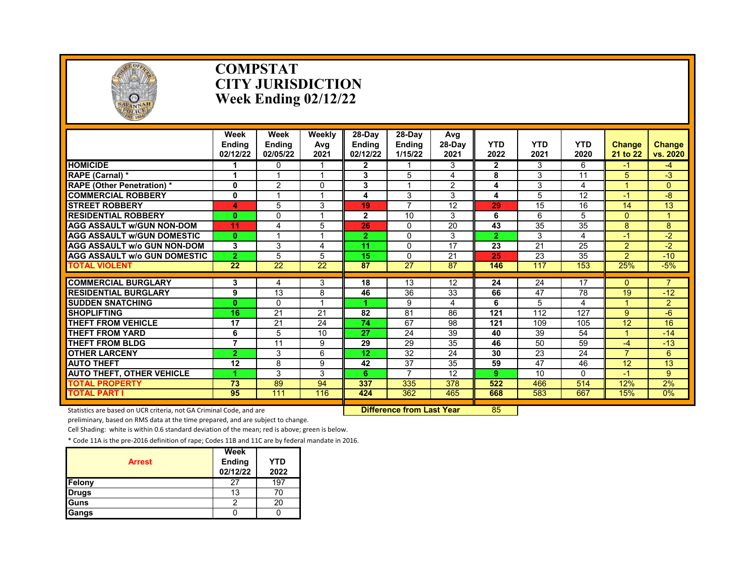

#### **COMPSTAT CITY JURISDICTION Week Ending 02/12/22**

|                                     | Week<br><b>Endina</b><br>02/12/22 | Week<br><b>Endina</b><br>02/05/22 | Weekly<br>Avg<br>2021 | $28-Dav$<br><b>Endina</b><br>02/12/22 | 28-Dav<br><b>Endina</b><br>1/15/22 | Avg<br>28-Day<br>2021 | YTD<br>2022    | <b>YTD</b><br>2021 | <b>YTD</b><br>2020 | <b>Change</b><br>21 to 22 | <b>Change</b><br>vs. 2020 |
|-------------------------------------|-----------------------------------|-----------------------------------|-----------------------|---------------------------------------|------------------------------------|-----------------------|----------------|--------------------|--------------------|---------------------------|---------------------------|
| <b>HOMICIDE</b>                     |                                   | <sup>0</sup>                      |                       | $\mathbf{2}$                          |                                    | 3                     | $\mathbf{2}$   | 3                  | 6                  | -1                        | -4                        |
| RAPE (Carnal) *                     |                                   |                                   | 4                     | 3                                     | 5                                  | 4                     | 8              | 3                  | 11                 | 5                         | $-3$                      |
| <b>RAPE (Other Penetration) *</b>   | $\mathbf{0}$                      | $\overline{2}$                    | $\Omega$              | 3                                     |                                    | $\overline{2}$        | 4              | 3                  | 4                  |                           | $\Omega$                  |
| <b>COMMERCIAL ROBBERY</b>           | $\mathbf 0$                       |                                   | 4                     | 4                                     | 3                                  | 3                     | 4              | 5                  | 12                 | -1                        | -8                        |
| <b>STREET ROBBERY</b>               | 4                                 | 5                                 | 3                     | 19                                    | $\overline{7}$                     | 12                    | 29             | 15                 | 16                 | 14                        | 13                        |
| <b>RESIDENTIAL ROBBERY</b>          | $\bf{0}$                          | $\Omega$                          | 1                     | $\overline{2}$                        | 10                                 | 3                     | 6              | 6                  | 5                  | $\Omega$                  |                           |
| <b>AGG ASSAULT w/GUN NON-DOM</b>    | 11                                | 4                                 | 5                     | 26                                    | 0                                  | 20                    | 43             | 35                 | 35                 | 8                         | 8                         |
| <b>AGG ASSAULT W/GUN DOMESTIC</b>   | $\bf{0}$                          |                                   | 4                     | $\overline{2}$                        | $\Omega$                           | 3                     | $\overline{2}$ | 3                  | 4                  | $-1$                      | $-2$                      |
| <b>AGG ASSAULT w/o GUN NON-DOM</b>  | 3                                 | 3                                 | 4                     | 11                                    | 0                                  | 17                    | 23             | 21                 | 25                 | $\overline{2}$            | $-2$                      |
| <b>AGG ASSAULT W/o GUN DOMESTIC</b> | $\overline{2}$                    | 5                                 | 5                     | 15                                    | 0                                  | $\overline{21}$       | 25             | $\overline{23}$    | $\overline{35}$    | $\overline{2}$            | $-10$                     |
| TOTAL VIOLENT                       | $\overline{22}$                   | $\overline{22}$                   | $\overline{22}$       | 87                                    | $\overline{27}$                    | 87                    | 146            | 117                | 153                | 25%                       | $-5%$                     |
|                                     |                                   |                                   |                       |                                       |                                    |                       |                |                    |                    |                           | $\overline{7}$            |
| <b>COMMERCIAL BURGLARY</b>          | 3                                 | 4                                 | 3                     | 18                                    | 13                                 | 12                    | 24             | 24                 | $\overline{17}$    | $\Omega$                  |                           |
| <b>RESIDENTIAL BURGLARY</b>         | 9                                 | 13                                | 8<br>4                | 46                                    | 36                                 | 33                    | 66             | 47                 | 78                 | 19                        | $-12$                     |
| <b>SUDDEN SNATCHING</b>             | $\bf{0}$                          | $\Omega$                          |                       |                                       | 9                                  | 4                     | 6              | 5                  | 4                  |                           | $\overline{2}$            |
| <b>SHOPLIFTING</b>                  | 16                                | 21                                | 21                    | 82                                    | 81                                 | 86                    | 121            | 112                | 127                | 9                         | $-6$                      |
| <b>THEFT FROM VEHICLE</b>           | 17                                | 21                                | 24                    | 74                                    | 67                                 | 98                    | 121            | 109                | 105                | 12                        | 16                        |
| THEFT FROM YARD                     | 6                                 | 5                                 | 10                    | 27                                    | 24                                 | 39                    | 40             | 39                 | 54                 |                           | $-14$                     |
| <b>THEFT FROM BLDG</b>              | $\overline{7}$                    | $\overline{11}$                   | 9                     | $\overline{29}$                       | $\overline{29}$                    | $\overline{35}$       | 46             | 50                 | $\overline{59}$    | -4                        | $-13$                     |
| <b>OTHER LARCENY</b>                | $\overline{2}$                    | 3                                 | 6                     | 12                                    | 32                                 | 24                    | 30             | 23                 | 24                 | $\overline{\mathbf{7}}$   | 6                         |
| <b>AUTO THEFT</b>                   | 12                                | 8                                 | 9                     | 42                                    | 37                                 | 35                    | 59             | 47                 | 46                 | 12                        | 13                        |
| <b>AUTO THEFT, OTHER VEHICLE</b>    |                                   | 3                                 | 3                     | 6.                                    | $\overline{7}$                     | 12                    | 9              | 10                 | $\Omega$           | $-1$                      | $\overline{9}$            |
| <b>TOTAL PROPERTY</b>               | 73                                | 89                                | 94                    | 337                                   | 335                                | 378                   | 522            | 466                | 514                | 12%                       | 2%                        |
| <b>TOTAL PART I</b>                 | 95                                | 111                               | 116                   | 424                                   | 362                                | 465                   | 668            | 583                | 667                | 15%                       | $0\%$                     |

Statistics are based on UCR criteria, not GA Criminal Code, and are **Difference from Last Year** 85

preliminary, based on RMS data at the time prepared, and are subject to change.

Cell Shading: white is within 0.6 standard deviation of the mean; red is above; green is below.

| <b>Arrest</b> | Week<br><b>Ending</b><br>02/12/22 | <b>YTD</b><br>2022 |
|---------------|-----------------------------------|--------------------|
| Felony        | 27                                | 197                |
| <b>Drugs</b>  | 13                                | 70                 |
| Guns          | າ                                 | 20                 |
| Gangs         |                                   |                    |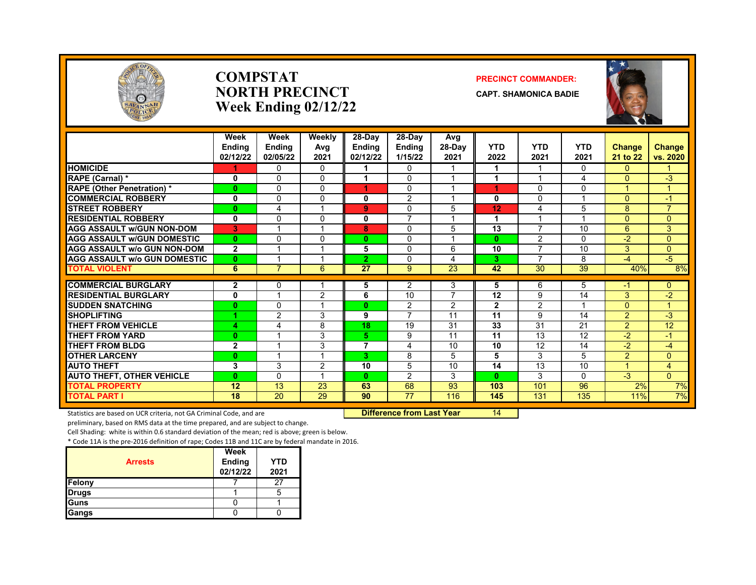

#### **COMPSTAT PRECINCT COMMANDER: NORTH PRECINCT CAPT. SHAMONICA BADIE Week Ending 02/12/22**



|                                     | Week           | Week           | Weekly   | 28-Day          | 28-Day          | Avg             |                 |                 |                         |                |                |
|-------------------------------------|----------------|----------------|----------|-----------------|-----------------|-----------------|-----------------|-----------------|-------------------------|----------------|----------------|
|                                     | <b>Ending</b>  | <b>Ending</b>  | Avg      | <b>Endina</b>   | <b>Ending</b>   | 28-Day          | <b>YTD</b>      | <b>YTD</b>      | <b>YTD</b>              | <b>Change</b>  | Change         |
|                                     | 02/12/22       | 02/05/22       | 2021     | 02/12/22        | 1/15/22         | 2021            | 2022            | 2021            | 2021                    | 21 to 22       | vs. 2020       |
| <b>HOMICIDE</b>                     |                | $\Omega$       | 0        |                 | 0               |                 |                 |                 | 0                       | $\Omega$       |                |
| RAPE (Carnal) *                     | 0              | $\Omega$       | $\Omega$ |                 | $\Omega$        |                 |                 |                 | 4                       | $\Omega$       | $-3$           |
| <b>RAPE (Other Penetration) *</b>   | $\bf{0}$       | $\Omega$       | $\Omega$ | 4               | 0               | 1               | 1               | $\Omega$        | $\Omega$                |                | 4              |
| <b>COMMERCIAL ROBBERY</b>           | 0              | $\Omega$       | $\Omega$ | 0               | 2               | $\overline{ }$  | 0               | $\Omega$        | $\overline{\mathbf{A}}$ | $\Omega$       | $-1$           |
| <b>STREET ROBBERY</b>               | $\bf{0}$       | 4              |          | 9               | 0               | 5               | 12              | 4               | 5                       | 8              | $\overline{7}$ |
| <b>RESIDENTIAL ROBBERY</b>          | 0              | $\mathbf{0}$   | 0        | 0               | $\overline{7}$  |                 |                 |                 |                         | $\Omega$       | $\Omega$       |
| <b>AGG ASSAULT w/GUN NON-DOM</b>    | 3              |                |          | 8               | $\Omega$        | 5               | $\overline{13}$ | $\overline{7}$  | 10                      | 6              | 3              |
| <b>AGG ASSAULT w/GUN DOMESTIC</b>   | $\bf{0}$       | $\Omega$       | $\Omega$ | $\mathbf{0}$    | $\Omega$        | $\overline{ }$  | $\bf{0}$        | $\mathfrak{p}$  | $\Omega$                | $-2$           | $\Omega$       |
| <b>AGG ASSAULT w/o GUN NON-DOM</b>  | $\mathbf{2}$   |                |          | 5               | $\Omega$        | 6               | 10              | 7               | 10                      | 3              | $\Omega$       |
| <b>AGG ASSAULT w/o GUN DOMESTIC</b> | $\bf{0}$       |                |          | $\mathbf{2}$    | $\Omega$        | 4               | 3               | $\overline{7}$  | 8                       | $-4$           | $-5$           |
| <b>TOTAL VIOLENT</b>                | 6              | $\overline{7}$ | 6        | $\overline{27}$ | $9^{\circ}$     | $\overline{23}$ | 42              | $\overline{30}$ | $\overline{39}$         | 40%            | 8%             |
| <b>COMMERCIAL BURGLARY</b>          | $\mathbf{2}$   | $\mathbf{0}$   |          | 5               | 2               | 3               | 5               | 6               | 5                       | -1             | $\mathbf{0}$   |
| <b>RESIDENTIAL BURGLARY</b>         | 0              |                | 2        | 6               | $\overline{10}$ | $\overline{7}$  | $\overline{12}$ | 9               | 14                      | 3              | $-2$           |
| <b>SUDDEN SNATCHING</b>             | $\bf{0}$       | $\Omega$       |          | $\mathbf{0}$    | $\overline{2}$  | 2               | $\mathbf{2}$    | 2               | $\overline{\mathbf{A}}$ | $\Omega$       | $\mathbf{1}$   |
| <b>SHOPLIFTING</b>                  |                | 2              | 3        | 9               | $\overline{7}$  | 11              | 11              | 9               | 14                      | $\overline{2}$ | $-3$           |
| <b>THEFT FROM VEHICLE</b>           | 4              | 4              | 8        | 18              | 19              | 31              | 33              | $\overline{31}$ | 21                      | $\overline{2}$ | 12             |
| <b>THEFT FROM YARD</b>              | $\bf{0}$       |                | 3        | 5               | 9               | 11              | $\overline{11}$ | 13              | $\overline{12}$         | $\overline{2}$ | $-1$           |
| <b>THEFT FROM BLDG</b>              | $\overline{2}$ | и              | 3        | 7               | 4               | 10              | 10              | 12              | 14                      | $-2$           | $-4$           |
| <b>OTHER LARCENY</b>                | $\bf{0}$       |                |          | 3.              | 8               | 5               | 5               | 3               | 5.                      | $\overline{2}$ | $\overline{0}$ |
| <b>AUTO THEFT</b>                   | $\mathbf{3}$   | 3              | 2        | 10              | 5               | 10              | 14              | 13              | 10                      |                | $\overline{4}$ |
| <b>AUTO THEFT, OTHER VEHICLE</b>    | $\bf{0}$       | $\Omega$       |          | $\mathbf{0}$    | $\overline{2}$  | 3               | $\mathbf{0}$    | 3               | $\Omega$                | $-3$           | $\Omega$       |
| <b>TOTAL PROPERTY</b>               | 12             | 13             | 23       | 63              | 68              | 93              | 103             | 101             | 96                      | 2%             | 7%             |
| <b>TOTAL PART I</b>                 | 18             | 20             | 29       | 90              | $\overline{77}$ | 116             | 145             | 131             | 135                     | 11%            | 7%             |

Statistics are based on UCR criteria, not GA Criminal Code, and are **Difference from Last Year** 14

preliminary, based on RMS data at the time prepared, and are subject to change.

Cell Shading: white is within 0.6 standard deviation of the mean; red is above; green is below.

| <b>Arrests</b> | Week<br>Ending<br>02/12/22 | <b>YTD</b><br>2021 |
|----------------|----------------------------|--------------------|
| Felony         |                            | 27                 |
| <b>Drugs</b>   |                            |                    |
| Guns           |                            |                    |
| Gangs          |                            |                    |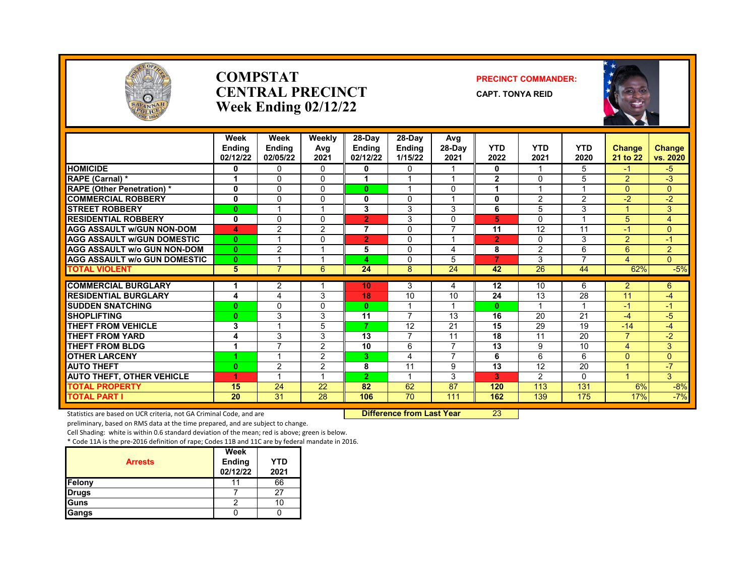

#### **COMPSTAT PRECINCT COMMANDER: CENTRAL PRECINCT** CAPT. TONYA REID **Week Ending 02/12/22**





|                                     | Week<br><b>Endina</b><br>02/12/22 | Week<br><b>Endina</b><br>02/05/22 | Weeklv<br>Avg<br>2021 | 28-Day<br><b>Endina</b><br>02/12/22 | 28-Day<br><b>Endina</b><br>1/15/22 | Avg<br>$28-Dav$<br>2021  | <b>YTD</b><br>2022 | <b>YTD</b><br>2021 | <b>YTD</b><br>2020 | <b>Change</b><br>21 to 22 | <b>Change</b><br>vs. 2020 |
|-------------------------------------|-----------------------------------|-----------------------------------|-----------------------|-------------------------------------|------------------------------------|--------------------------|--------------------|--------------------|--------------------|---------------------------|---------------------------|
| <b>HOMICIDE</b>                     | 0                                 | 0                                 | 0                     | 0                                   | 0                                  |                          | 0                  | 1                  | 5                  | $-1$                      | $-5$                      |
| RAPE (Carnal) *                     |                                   | 0                                 | $\Omega$              |                                     |                                    |                          | $\overline{2}$     | $\Omega$           | 5                  | $\overline{2}$            | $-3$                      |
| <b>RAPE (Other Penetration) *</b>   | 0                                 | $\Omega$                          | 0                     | $\mathbf{0}$                        |                                    | $\Omega$                 |                    |                    |                    | $\Omega$                  | $\mathbf{0}$              |
| <b>COMMERCIAL ROBBERY</b>           | $\mathbf 0$                       | $\Omega$                          | 0                     | 0                                   | 0                                  |                          | 0                  | 2                  | 2                  | $-2$                      | $-2$                      |
| <b>STREET ROBBERY</b>               | $\bf{0}$                          |                                   |                       | 3                                   | 3                                  | 3                        | 6                  | 5                  | 3                  |                           | 3                         |
| <b>RESIDENTIAL ROBBERY</b>          | 0                                 | $\Omega$                          | 0                     | $\overline{2}$                      | 3                                  | $\Omega$                 | 5                  | $\Omega$           |                    | 5                         | $\overline{4}$            |
| <b>AGG ASSAULT w/GUN NON-DOM</b>    | 4                                 | 2                                 | 2                     | $\overline{7}$                      | $\Omega$                           | $\overline{ }$           | 11                 | 12                 | 11                 | -1                        | $\Omega$                  |
| <b>AGG ASSAULT W/GUN DOMESTIC</b>   | $\mathbf{0}$                      |                                   | 0                     | $\overline{2}$                      | $\mathbf{0}$                       |                          | $\overline{2}$     | $\Omega$           | 3                  | $\overline{2}$            | $-1$                      |
| <b>AGG ASSAULT w/o GUN NON-DOM</b>  | $\mathbf{0}$                      | 2                                 |                       | 5                                   | 0                                  | 4                        | 8                  | 2                  | 6                  | 6                         | 2                         |
| <b>AGG ASSAULT W/o GUN DOMESTIC</b> | $\mathbf{0}$                      |                                   |                       | 4                                   | 0                                  | 5                        | 7                  | 3                  | 7                  | 4                         | $\Omega$                  |
| <b>TOTAL VIOLENT</b>                | 5                                 | $\overline{7}$                    | 6                     | 24                                  | 8                                  | $\overline{24}$          | 42                 | $\overline{26}$    | 44                 | 62%                       | $-5%$                     |
| <b>COMMERCIAL BURGLARY</b>          | 1                                 | 2                                 |                       | 10                                  | 3                                  | 4                        | 12                 | 10                 | 6                  | 2                         | 6                         |
| <b>RESIDENTIAL BURGLARY</b>         | 4                                 | 4                                 | 3                     | 18                                  | 10                                 | 10                       | 24                 | 13                 | 28                 | 11                        | -4                        |
| <b>SUDDEN SNATCHING</b>             | $\bf{0}$                          | $\Omega$                          | $\Omega$              | $\mathbf{0}$                        | 1                                  | $\overline{\phantom{a}}$ | $\bf{0}$           |                    |                    | $-1$                      | $-1$                      |
| <b>SHOPLIFTING</b>                  | $\bf{0}$                          | 3                                 | 3                     | 11                                  | 7                                  | 13                       | 16                 | 20                 | 21                 | $-4$                      | -5                        |
| <b>THEFT FROM VEHICLE</b>           | 3                                 |                                   | 5                     | 7                                   | 12                                 | 21                       | 15                 | 29                 | 19                 | $-14$                     | -4                        |
| <b>THEFT FROM YARD</b>              | 4                                 | 3                                 | 3                     | 13                                  | 7                                  | 11                       | 18                 | 11                 | 20                 | $\overline{7}$            | $-2$                      |
| <b>THEFT FROM BLDG</b>              |                                   | 7                                 | 2                     | 10                                  | 6                                  | $\overline{7}$           | 13                 | 9                  | 10                 | $\overline{4}$            | 3                         |
| <b>OTHER LARCENY</b>                | и                                 | $\overline{\mathbf{A}}$           | 2                     | 3                                   | 4                                  | $\overline{7}$           | 6                  | 6                  | 6                  | $\Omega$                  | $\Omega$                  |
| <b>AUTO THEFT</b>                   | $\mathbf{0}$                      | 2                                 | 2                     | 8                                   | 11                                 | 9                        | 13                 | 12                 | 20                 |                           | $-7$                      |
| <b>AUTO THEFT, OTHER VEHICLE</b>    | 1                                 |                                   |                       | $\overline{2}$                      |                                    | 3                        | 3                  | 2                  | 0                  |                           | 3                         |
| <b>TOTAL PROPERTY</b>               | 15                                | 24                                | $\overline{22}$       | 82                                  | 62                                 | $\overline{87}$          | 120                | 113                | 131                | 6%                        | $-8%$                     |
| <b>TOTAL PART I</b>                 | 20                                | 31                                | 28                    | 106                                 | 70                                 | 111                      | 162                | 139                | 175                | 17%                       | $-7%$                     |

Statistics are based on UCR criteria, not GA Criminal Code, and are **Difference from Last Year** 23

preliminary, based on RMS data at the time prepared, and are subject to change.

Cell Shading: white is within 0.6 standard deviation of the mean; red is above; green is below.

| <b>Arrests</b> | Week<br><b>Ending</b><br>02/12/22 | <b>YTD</b><br>2021 |
|----------------|-----------------------------------|--------------------|
| Felony         |                                   | 66                 |
| <b>Drugs</b>   |                                   |                    |
| Guns           |                                   | 1C                 |
| Gangs          |                                   |                    |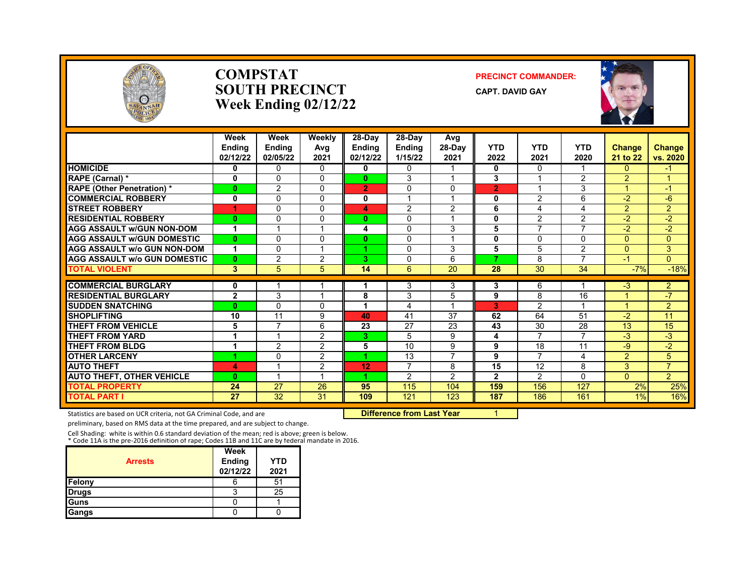

#### **COMPSTAT PRECINCT COMMANDER: SOUTH PRECINCT** CAPT. DAVID GAY **Week Ending 02/12/22**



|                                     | Week<br><b>Endina</b><br>02/12/22 | Week<br><b>Ending</b><br>02/05/22 | Weekly<br>Avg<br>2021 | 28-Day<br><b>Ending</b><br>02/12/22 | 28-Day<br><b>Ending</b><br>1/15/22 | Avg<br>28-Day<br>2021   | <b>YTD</b><br>2022 | <b>YTD</b><br>2021 | <b>YTD</b><br>2020       | <b>Change</b><br>21 to 22 | <b>Change</b><br>vs. 2020 |
|-------------------------------------|-----------------------------------|-----------------------------------|-----------------------|-------------------------------------|------------------------------------|-------------------------|--------------------|--------------------|--------------------------|---------------------------|---------------------------|
| <b>HOMICIDE</b>                     | 0                                 | $\Omega$                          | 0                     | 0                                   | $\Omega$                           |                         | $\bf{0}$           | $\Omega$           |                          | 0                         | $-1$                      |
| RAPE (Carnal) *                     | 0                                 | $\Omega$                          | 0                     | $\mathbf{0}$                        | 3                                  |                         | 3                  |                    | $\overline{2}$           | $\overline{2}$            |                           |
| <b>RAPE (Other Penetration) *</b>   | $\mathbf{0}$                      | 2                                 | 0                     | $\overline{2}$                      | $\Omega$                           | $\Omega$                | $\overline{2}$     |                    | 3                        | A                         | $-1$                      |
| <b>COMMERCIAL ROBBERY</b>           | $\mathbf{0}$                      | $\Omega$                          | 0                     | 0                                   | $\overline{\mathbf{A}}$            | $\overline{\mathbf{A}}$ | 0                  | 2                  | 6                        | $-2$                      | $-6$                      |
| <b>STREET ROBBERY</b>               | 4                                 | $\Omega$                          | 0                     | 4                                   | 2                                  | $\overline{2}$          | 6                  | 4                  | 4                        | $\overline{2}$            | $\overline{2}$            |
| <b>RESIDENTIAL ROBBERY</b>          | $\bf{0}$                          | $\Omega$                          | 0                     | $\bf{0}$                            | $\mathbf{0}$                       | $\overline{ }$          | $\mathbf{0}$       | 2                  | $\overline{2}$           | $-2$                      | $-2$                      |
| <b>AGG ASSAULT w/GUN NON-DOM</b>    | 1                                 |                                   |                       | 4                                   | $\Omega$                           | 3                       | 5                  | $\overline{7}$     | $\overline{ }$           | $-2$                      | $-2$                      |
| <b>AGG ASSAULT w/GUN DOMESTIC</b>   | $\bf{0}$                          | $\Omega$                          | 0                     | $\bf{0}$                            | $\mathbf{0}$                       | $\overline{ }$          | 0                  | $\Omega$           | $\Omega$                 | $\Omega$                  | 0                         |
| <b>AGG ASSAULT w/o GUN NON-DOM</b>  | 1                                 | $\Omega$                          |                       |                                     | $\Omega$                           | 3                       | 5                  | 5                  | $\overline{2}$           | $\Omega$                  | 3                         |
| <b>AGG ASSAULT w/o GUN DOMESTIC</b> | $\mathbf{0}$                      | $\overline{2}$                    | 2                     | З.                                  | 0                                  | 6                       | 7                  | 8                  | $\overline{\phantom{a}}$ | $-1$                      | $\Omega$                  |
| <b>TOTAL VIOLENT</b>                | 3                                 | 5                                 | 5                     | 14                                  | 6                                  | $\overline{20}$         | $\overline{28}$    | $\overline{30}$    | $\overline{34}$          | $-7%$                     | $-18%$                    |
| <b>COMMERCIAL BURGLARY</b>          |                                   |                                   |                       |                                     | 3                                  |                         |                    | 6                  |                          | $-3$                      | $\overline{2}$            |
| <b>RESIDENTIAL BURGLARY</b>         | 0<br>$\overline{2}$               | 3                                 |                       | 8                                   | 3                                  | 3<br>5                  | 3<br>9             | 8                  | 16                       |                           | -7                        |
| <b>SUDDEN SNATCHING</b>             | $\mathbf{0}$                      | $\Omega$                          | 0                     | 1                                   | 4                                  | $\overline{ }$          | 3                  | 2                  | $\overline{\mathbf{A}}$  | $\blacktriangleleft$      | $\overline{2}$            |
| <b>SHOPLIFTING</b>                  | 10                                | 11                                | 9                     | 40                                  | 41                                 | 37                      | 62                 | 64                 | 51                       | $-2$                      | 11                        |
| <b>THEFT FROM VEHICLE</b>           | 5                                 | 7                                 | 6                     | 23                                  | 27                                 | 23                      | 43                 | 30                 | 28                       | 13                        | 15                        |
| <b>THEFT FROM YARD</b>              | 1                                 |                                   | 2                     | 3.                                  | 5                                  | 9                       | 4                  | $\overline{7}$     | $\overline{7}$           | $-3$                      | $-3$                      |
| <b>THEFT FROM BLDG</b>              | 1                                 | 2                                 | $\overline{2}$        | 5                                   | 10                                 | 9                       | 9                  | 18                 | 11                       | -9                        | $-2$                      |
| <b>OTHER LARCENY</b>                |                                   | $\Omega$                          | $\overline{2}$        |                                     | 13                                 | $\overline{7}$          | 9                  | $\overline{7}$     | 4                        | $\overline{2}$            | 5                         |
| <b>AUTO THEFT</b>                   | 4                                 |                                   | $\overline{2}$        | 12                                  | $\overline{7}$                     | 8                       | 15                 | 12                 | 8                        | 3                         | $\overline{7}$            |
| <b>AUTO THEFT, OTHER VEHICLE</b>    | $\bf{0}$                          | $\overline{ }$                    |                       |                                     | 2                                  | $\mathfrak{p}$          | $\mathbf{2}$       | 2                  | $\Omega$                 | $\Omega$                  | $\overline{2}$            |
| <b>TOTAL PROPERTY</b>               | 24                                | 27                                | 26                    | 95                                  | 115                                | 104                     | 159                | 156                | 127                      | 2%                        | 25%                       |
| <b>TOTAL PART I</b>                 | 27                                | $\overline{32}$                   | 31                    | 109                                 | 121                                | 123                     | 187                | 186                | 161                      | 1%                        | 16%                       |

Statistics are based on UCR criteria, not GA Criminal Code, and are **Difference from Last Year** 1

preliminary, based on RMS data at the time prepared, and are subject to change.

Cell Shading: white is within 0.6 standard deviation of the mean; red is above; green is below. \* Code 11A is the pre-2016 definition of rape; Codes 11B and 11C are by federal mandate in 2016.

| <b>Arrests</b> | Week<br><b>Ending</b><br>02/12/22 | YTD<br>2021 |
|----------------|-----------------------------------|-------------|
| Felony         | b                                 | 51          |
| <b>Drugs</b>   | 3                                 | 25          |
| <b>Guns</b>    |                                   |             |
| Gangs          |                                   |             |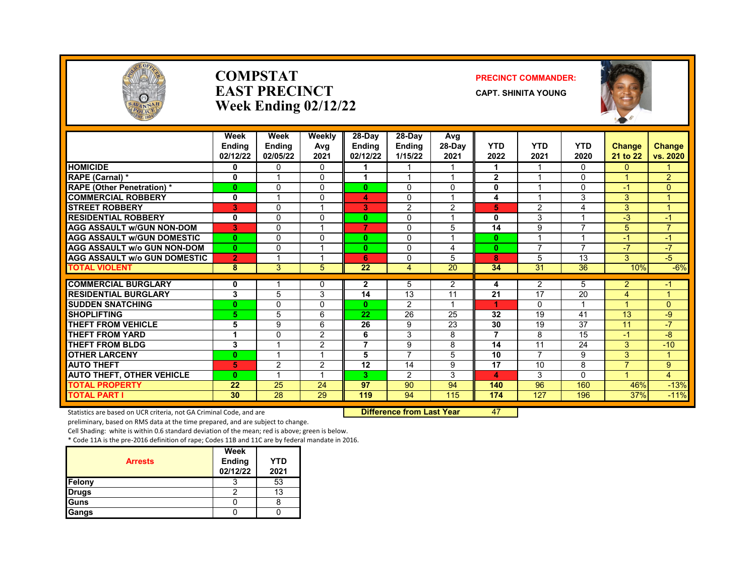

#### **COMPSTAT PRECINCT COMMANDER: EAST PRECINCT CAPT.** SHINITA YOUNG **Week Ending 02/12/22**



|                                     | Week<br><b>Endina</b><br>02/12/22 | Week<br><b>Endina</b><br>02/05/22 | Weekly<br>Avg<br>2021 | 28-Day<br><b>Endina</b><br>02/12/22 | 28-Day<br><b>Endina</b><br>1/15/22 | Avg<br>28-Day<br>2021   | <b>YTD</b><br>2022 | <b>YTD</b><br>2021 | <b>YTD</b><br>2020       | <b>Change</b><br>21 to 22 | <b>Change</b><br>vs. 2020 |
|-------------------------------------|-----------------------------------|-----------------------------------|-----------------------|-------------------------------------|------------------------------------|-------------------------|--------------------|--------------------|--------------------------|---------------------------|---------------------------|
| <b>HOMICIDE</b>                     | 0                                 | $\Omega$                          | $\Omega$              |                                     |                                    |                         |                    |                    | $\Omega$                 | $\overline{0}$            |                           |
| RAPE (Carnal) *                     | 0                                 |                                   | $\Omega$              |                                     | $\overline{ }$                     | $\overline{\mathbf{A}}$ | $\mathbf{2}$       |                    | 0                        |                           | 2                         |
| <b>RAPE (Other Penetration) *</b>   | $\bf{0}$                          | $\Omega$                          | $\Omega$              | O.                                  | 0                                  | 0                       | 0                  |                    | $\Omega$                 | -1                        | $\Omega$                  |
| <b>COMMERCIAL ROBBERY</b>           | $\mathbf{0}$                      |                                   | $\Omega$              | 4                                   | 0                                  | $\overline{\mathbf{A}}$ | 4                  |                    | 3                        | 3                         |                           |
| <b>STREET ROBBERY</b>               | 3                                 | $\Omega$                          |                       | 3                                   | $\overline{2}$                     | $\overline{2}$          | 5                  | $\overline{2}$     | 4                        | 3                         |                           |
| <b>RESIDENTIAL ROBBERY</b>          | 0                                 | $\Omega$                          | $\Omega$              | $\mathbf{0}$                        | 0                                  | 1                       | $\mathbf{0}$       | 3                  | 1                        | $-3$                      | -1                        |
| <b>AGG ASSAULT w/GUN NON-DOM</b>    | 3                                 | $\Omega$                          |                       | 7                                   | $\Omega$                           | 5                       | 14                 | 9                  | $\overline{\phantom{a}}$ | 5                         | $\overline{7}$            |
| <b>AGG ASSAULT w/GUN DOMESTIC</b>   | $\mathbf{0}$                      | $\Omega$                          | $\Omega$              | 0                                   | 0                                  | 1                       | $\bf{0}$           |                    | 1                        | -1                        | $\cdot$                   |
| <b>AGG ASSAULT w/o GUN NON-DOM</b>  | $\mathbf{0}$                      | $\Omega$                          | $\overline{ }$        | 0                                   | 0                                  | 4                       | $\bf{0}$           | $\overline{7}$     | $\overline{\phantom{a}}$ | -7                        | $-7$                      |
| <b>AGG ASSAULT w/o GUN DOMESTIC</b> | $\overline{2}$                    |                                   |                       | 6                                   | 0                                  | 5                       | 8                  | 5                  | 13                       | 3                         | $-5$                      |
| <b>TOTAL VIOLENT</b>                | 8                                 | 3                                 | 5                     | 22                                  | 4                                  | 20                      | 34                 | 31                 | 36                       | 10%                       | $-6%$                     |
| <b>COMMERCIAL BURGLARY</b>          | 0                                 |                                   | $\Omega$              | $\mathbf{2}$                        | 5                                  | $\overline{2}$          | 4                  | 2                  | 5                        | $\overline{2}$            | -1                        |
| <b>RESIDENTIAL BURGLARY</b>         | 3                                 | 5                                 | 3                     | 14                                  | 13                                 | 11                      | 21                 | 17                 | 20                       | 4                         |                           |
| <b>SUDDEN SNATCHING</b>             | $\bf{0}$                          | $\Omega$                          | $\Omega$              | $\mathbf{0}$                        | $\overline{2}$                     | 1                       | 1                  | $\Omega$           | 1                        |                           | $\Omega$                  |
| <b>SHOPLIFTING</b>                  | 5                                 | 5                                 | 6                     | 22                                  | 26                                 | 25                      | 32                 | 19                 | 41                       | 13                        | -9                        |
| <b>THEFT FROM VEHICLE</b>           | 5                                 | 9                                 | 6                     | 26                                  | 9                                  | 23                      | 30                 | 19                 | 37                       | 11                        | $-7$                      |
| <b>THEFT FROM YARD</b>              | 1                                 | $\Omega$                          | 2                     | 6                                   | 3                                  | 8                       | $\overline{7}$     | 8                  | 15                       | -1                        | -8                        |
| <b>THEFT FROM BLDG</b>              | 3                                 |                                   | 2                     | 7                                   | 9                                  | 8                       | 14                 | 11                 | 24                       | 3                         | $-10$                     |
| <b>OTHER LARCENY</b>                | $\mathbf{0}$                      |                                   | 1                     | 5                                   | 7                                  | 5                       | 10                 | $\overline{7}$     | 9                        | 3                         | 4                         |
| <b>AUTO THEFT</b>                   | 5                                 | 2                                 | 2                     | 12                                  | 14                                 | 9                       | 17                 | 10                 | 8                        | $\overline{ }$            | 9                         |
| <b>AUTO THEFT, OTHER VEHICLE</b>    | $\mathbf{0}$                      |                                   |                       | 3                                   | $\overline{2}$                     | 3                       | 4                  | 3                  | $\Omega$                 |                           | $\overline{4}$            |
| <b>TOTAL PROPERTY</b>               | 22                                | 25                                | 24                    | 97                                  | 90                                 | 94                      | 140                | 96                 | 160                      | 46%                       | $-13%$                    |
| <b>TOTAL PART I</b>                 | 30                                | $\overline{28}$                   | 29                    | 119                                 | 94                                 | 115                     | 174                | 127                | 196                      | 37%                       | $-11%$                    |

Statistics are based on UCR criteria, not GA Criminal Code, and are **Difference from Last Year** 47

preliminary, based on RMS data at the time prepared, and are subject to change.

Cell Shading: white is within 0.6 standard deviation of the mean; red is above; green is below.

| <b>Arrests</b> | Week<br><b>Ending</b><br>02/12/22 | <b>YTD</b><br>2021 |
|----------------|-----------------------------------|--------------------|
| Felony         |                                   | 53                 |
| <b>Drugs</b>   |                                   | 13                 |
| <b>I</b> Guns  |                                   |                    |
| Gangs          |                                   |                    |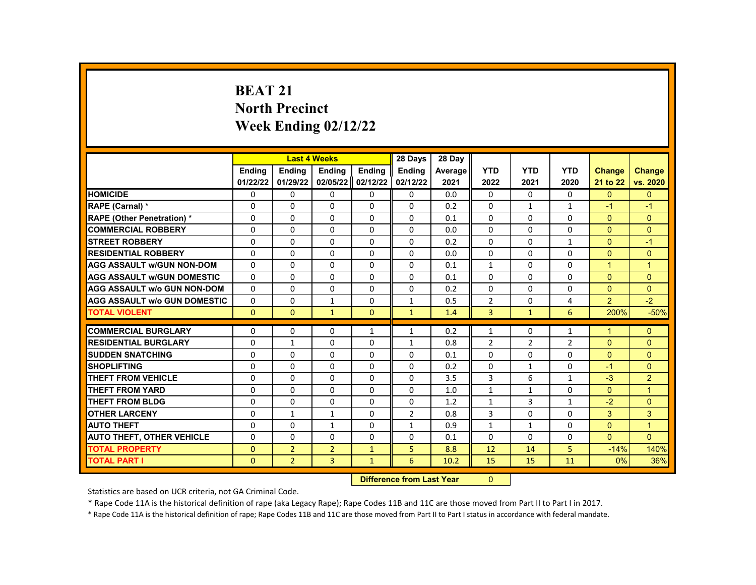# **BEAT 21 North Precinct Week Ending 02/12/22**

|                                     |               | <b>Last 4 Weeks</b>               |                |              | 28 Days        | 28 Day  |                |                |              |                |                |
|-------------------------------------|---------------|-----------------------------------|----------------|--------------|----------------|---------|----------------|----------------|--------------|----------------|----------------|
|                                     | <b>Endina</b> | <b>Ending</b>                     | Ending         | Ending       | Ending         | Average | <b>YTD</b>     | <b>YTD</b>     | <b>YTD</b>   | Change         | <b>Change</b>  |
|                                     | 01/22/22      | 01/29/22                          | 02/05/22       | 02/12/22     | 02/12/22       | 2021    | 2022           | 2021           | 2020         | 21 to 22       | vs. 2020       |
| <b>HOMICIDE</b>                     | 0             | 0                                 | $\mathbf{0}$   | 0            | 0              | 0.0     | $\mathbf{0}$   | $\Omega$       | 0            | $\Omega$       | $\overline{0}$ |
| RAPE (Carnal) *                     | 0             | 0                                 | $\Omega$       | $\Omega$     | 0              | 0.2     | $\Omega$       | $\mathbf{1}$   | $\mathbf{1}$ | $-1$           | $-1$           |
| <b>RAPE (Other Penetration) *</b>   | $\Omega$      | $\Omega$                          | $\Omega$       | $\Omega$     | $\Omega$       | 0.1     | $\Omega$       | $\Omega$       | $\Omega$     | $\Omega$       | $\Omega$       |
| <b>COMMERCIAL ROBBERY</b>           | $\mathbf{0}$  | 0                                 | $\Omega$       | 0            | $\Omega$       | 0.0     | $\Omega$       | $\Omega$       | $\Omega$     | $\Omega$       | $\overline{0}$ |
| <b>STREET ROBBERY</b>               | $\mathbf{0}$  | $\Omega$                          | $\Omega$       | $\Omega$     | $\Omega$       | 0.2     | $\Omega$       | $\Omega$       | $\mathbf{1}$ | $\Omega$       | $-1$           |
| <b>RESIDENTIAL ROBBERY</b>          | $\Omega$      | $\Omega$                          | $\Omega$       | $\Omega$     | $\Omega$       | 0.0     | $\Omega$       | $\Omega$       | $\Omega$     | $\Omega$       | $\mathbf{0}$   |
| <b>AGG ASSAULT w/GUN NON-DOM</b>    | 0             | 0                                 | 0              | 0            | 0              | 0.1     | $\mathbf{1}$   | 0              | $\Omega$     | $\mathbf{1}$   | $\mathbf{1}$   |
| <b>AGG ASSAULT W/GUN DOMESTIC</b>   | $\mathbf{0}$  | $\mathbf 0$                       | $\Omega$       | 0            | $\Omega$       | 0.1     | $\Omega$       | $\Omega$       | $\Omega$     | $\Omega$       | $\Omega$       |
| <b>AGG ASSAULT w/o GUN NON-DOM</b>  | $\Omega$      | $\Omega$                          | $\mathbf{0}$   | $\Omega$     | $\Omega$       | 0.2     | $\Omega$       | $\Omega$       | $\Omega$     | $\Omega$       | $\Omega$       |
| <b>AGG ASSAULT w/o GUN DOMESTIC</b> | $\mathbf{0}$  | 0                                 | $\mathbf{1}$   | 0            | $\mathbf{1}$   | 0.5     | $\overline{2}$ | $\Omega$       | 4            | $\overline{2}$ | $-2$           |
| <b>TOTAL VIOLENT</b>                | $\Omega$      | $\mathbf{0}$                      | $\mathbf{1}$   | $\mathbf{0}$ | $\mathbf{1}$   | 1.4     | $\overline{3}$ | $\mathbf{1}$   | 6            | 200%           | $-50%$         |
|                                     |               |                                   |                |              |                |         |                |                |              |                |                |
| <b>COMMERCIAL BURGLARY</b>          | 0             | 0                                 | 0              | $\mathbf{1}$ | $\mathbf{1}$   | 0.2     | $\mathbf{1}$   | 0              | $\mathbf{1}$ | 1              | $\mathbf{0}$   |
| <b>RESIDENTIAL BURGLARY</b>         | 0             | $\mathbf{1}$                      | 0              | 0            | 1              | 0.8     | $\overline{2}$ | $\overline{2}$ | 2            | $\overline{0}$ | $\overline{0}$ |
| <b>SUDDEN SNATCHING</b>             | $\Omega$      | $\Omega$                          | $\Omega$       | $\Omega$     | $\Omega$       | 0.1     | $\Omega$       | $\Omega$       | $\Omega$     | $\Omega$       | $\Omega$       |
| <b>SHOPLIFTING</b>                  | $\mathbf{0}$  | $\Omega$                          | $\Omega$       | $\Omega$     | 0              | 0.2     | $\Omega$       | $\mathbf{1}$   | $\Omega$     | $-1$           | $\Omega$       |
| <b>THEFT FROM VEHICLE</b>           | 0             | 0                                 | 0              | 0            | 0              | 3.5     | 3              | 6              | 1            | $-3$           | $\overline{2}$ |
| <b>THEFT FROM YARD</b>              | 0             | $\Omega$                          | $\Omega$       | $\Omega$     | 0              | 1.0     | $\mathbf{1}$   | $\mathbf{1}$   | $\Omega$     | $\Omega$       | $\mathbf{1}$   |
| <b>THEFT FROM BLDG</b>              | 0             | $\Omega$                          | $\Omega$       | $\Omega$     | 0              | 1.2     | $\mathbf{1}$   | 3              | $\mathbf{1}$ | $-2$           | $\overline{0}$ |
| <b>OTHER LARCENY</b>                | 0             | $\mathbf{1}$                      | $\mathbf{1}$   | 0            | $\overline{2}$ | 0.8     | 3              | $\mathbf 0$    | $\Omega$     | 3              | 3              |
| <b>AUTO THEFT</b>                   | $\Omega$      | 0                                 | $\mathbf{1}$   | $\Omega$     | $\mathbf{1}$   | 0.9     | $\mathbf{1}$   | $\mathbf{1}$   | $\Omega$     | $\Omega$       | $\mathbf{1}$   |
| <b>AUTO THEFT, OTHER VEHICLE</b>    | $\mathbf{0}$  | $\Omega$                          | $\Omega$       | 0            | 0              | 0.1     | $\Omega$       | $\Omega$       | $\Omega$     | $\Omega$       | $\Omega$       |
| <b>TOTAL PROPERTY</b>               | $\mathbf{0}$  | $\overline{2}$                    | $\overline{2}$ | $\mathbf{1}$ | 5              | 8.8     | 12             | 14             | 5            | $-14%$         | 140%           |
| <b>TOTAL PART I</b>                 | $\mathbf{0}$  | $\overline{2}$                    | 3              | $\mathbf{1}$ | 6              | 10.2    | 15             | 15             | 11           | 0%             | 36%            |
|                                     |               | <b>Difference from Least Vacc</b> |                | $\sim$       |                |         |                |                |              |                |                |

**Difference from Last Year** 0

Statistics are based on UCR criteria, not GA Criminal Code.

\* Rape Code 11A is the historical definition of rape (aka Legacy Rape); Rape Codes 11B and 11C are those moved from Part II to Part I in 2017.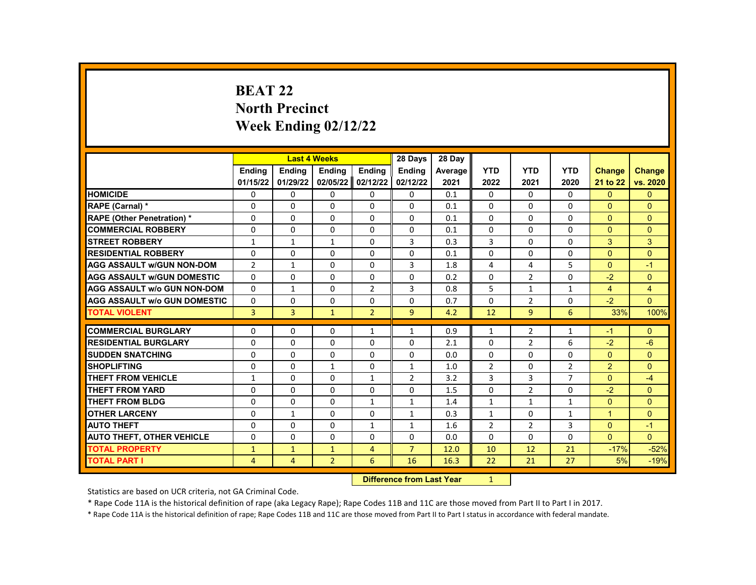# **BEAT 22 North Precinct Week Ending 02/12/22**

|                                     |                |                | <b>Last 4 Weeks</b> |                | 28 Days                   | 28 Day  |                |                |                |                |                |
|-------------------------------------|----------------|----------------|---------------------|----------------|---------------------------|---------|----------------|----------------|----------------|----------------|----------------|
|                                     | <b>Endina</b>  | <b>Ending</b>  | Ending              | Ending         | <b>Ending</b>             | Average | <b>YTD</b>     | <b>YTD</b>     | <b>YTD</b>     | <b>Change</b>  | <b>Change</b>  |
|                                     | 01/15/22       | 01/29/22       | 02/05/22            | 02/12/22       | 02/12/22                  | 2021    | 2022           | 2021           | 2020           | 21 to 22       | vs. 2020       |
| <b>HOMICIDE</b>                     | 0              | 0              | 0                   | 0              | 0                         | 0.1     | 0              | $\Omega$       | 0              | $\mathbf{0}$   | $\mathbf{0}$   |
| RAPE (Carnal) *                     | $\Omega$       | $\Omega$       | $\Omega$            | $\Omega$       | $\Omega$                  | 0.1     | $\Omega$       | $\Omega$       | $\Omega$       | $\Omega$       | $\Omega$       |
| RAPE (Other Penetration) *          | 0              | $\Omega$       | $\Omega$            | $\Omega$       | $\Omega$                  | 0.1     | $\Omega$       | $\Omega$       | $\Omega$       | $\Omega$       | $\Omega$       |
| <b>COMMERCIAL ROBBERY</b>           | $\Omega$       | $\Omega$       | $\Omega$            | $\Omega$       | $\Omega$                  | 0.1     | $\Omega$       | $\Omega$       | $\Omega$       | $\Omega$       | $\Omega$       |
| <b>STREET ROBBERY</b>               | $\mathbf{1}$   | $\mathbf{1}$   | $\mathbf{1}$        | $\Omega$       | 3                         | 0.3     | 3              | $\Omega$       | $\Omega$       | 3              | 3              |
| <b>RESIDENTIAL ROBBERY</b>          | $\Omega$       | $\Omega$       | $\Omega$            | $\Omega$       | $\Omega$                  | 0.1     | $\Omega$       | $\Omega$       | $\Omega$       | $\Omega$       | $\Omega$       |
| <b>AGG ASSAULT w/GUN NON-DOM</b>    | $\overline{2}$ | 1              | 0                   | 0              | 3                         | 1.8     | 4              | 4              | 5              | $\Omega$       | $-1$           |
| <b>AGG ASSAULT w/GUN DOMESTIC</b>   | $\Omega$       | 0              | 0                   | 0              | $\Omega$                  | 0.2     | $\Omega$       | $\overline{2}$ | $\Omega$       | $-2$           | $\mathbf{0}$   |
| <b>AGG ASSAULT w/o GUN NON-DOM</b>  | $\Omega$       | $\mathbf{1}$   | $\Omega$            | $\overline{2}$ | 3                         | 0.8     | 5              | $\mathbf{1}$   | $\mathbf{1}$   | $\overline{4}$ | $\overline{4}$ |
| <b>AGG ASSAULT w/o GUN DOMESTIC</b> | $\Omega$       | 0              | $\Omega$            | 0              | 0                         | 0.7     | $\Omega$       | $\overline{2}$ | $\Omega$       | $-2$           | $\Omega$       |
| <b>TOTAL VIOLENT</b>                | 3              | $\overline{3}$ | $\mathbf{1}$        | $\overline{2}$ | 9                         | 4.2     | 12             | 9              | 6              | 33%            | 100%           |
|                                     |                |                |                     |                |                           |         |                |                |                |                |                |
| <b>COMMERCIAL BURGLARY</b>          | 0              | 0              | 0                   | 1              | 1                         | 0.9     | $\mathbf{1}$   | 2              | 1              | $-1$           | $\mathbf{0}$   |
| <b>RESIDENTIAL BURGLARY</b>         | $\Omega$       | $\Omega$       | $\Omega$            | $\Omega$       | $\Omega$                  | 2.1     | $\Omega$       | $\overline{2}$ | 6              | $-2$           | $-6$           |
| <b>SUDDEN SNATCHING</b>             | $\Omega$       | 0              | $\Omega$            | 0              | $\Omega$                  | 0.0     | $\Omega$       | $\Omega$       | $\Omega$       | $\Omega$       | $\Omega$       |
| <b>SHOPLIFTING</b>                  | $\Omega$       | $\Omega$       | $\mathbf{1}$        | $\Omega$       | $\mathbf{1}$              | 1.0     | $\overline{2}$ | 0              | $\overline{2}$ | $\overline{2}$ | $\Omega$       |
| <b>THEFT FROM VEHICLE</b>           | $\mathbf{1}$   | $\Omega$       | $\Omega$            | $\mathbf{1}$   | $\overline{2}$            | 3.2     | 3              | 3              | $\overline{7}$ | $\Omega$       | $-4$           |
| <b>THEFT FROM YARD</b>              | $\Omega$       | $\Omega$       | $\Omega$            | $\Omega$       | $\Omega$                  | 1.5     | $\Omega$       | $\overline{2}$ | $\Omega$       | $-2$           | $\Omega$       |
| <b>THEFT FROM BLDG</b>              | $\Omega$       | $\Omega$       | $\Omega$            | 1              | $\mathbf{1}$              | 1.4     | $\mathbf{1}$   | 1              | $\mathbf{1}$   | $\Omega$       | $\Omega$       |
| <b>OTHER LARCENY</b>                | $\Omega$       | $\mathbf{1}$   | $\Omega$            | $\Omega$       | $\mathbf{1}$              | 0.3     | $\mathbf{1}$   | $\Omega$       | $\mathbf{1}$   | $\mathbf{1}$   | $\Omega$       |
| <b>AUTO THEFT</b>                   | 0              | 0              | $\Omega$            | $\mathbf{1}$   | $\mathbf{1}$              | 1.6     | $\overline{2}$ | $\overline{2}$ | 3              | $\Omega$       | $-1$           |
| <b>AUTO THEFT, OTHER VEHICLE</b>    | 0              | $\Omega$       | $\Omega$            | $\Omega$       | 0                         | 0.0     | $\Omega$       | $\Omega$       | $\Omega$       | $\Omega$       | $\Omega$       |
| <b>TOTAL PROPERTY</b>               | $\mathbf{1}$   | $\mathbf{1}$   | $\mathbf{1}$        | $\overline{4}$ | $\overline{7}$            | 12.0    | 10             | 12             | 21             | $-17%$         | $-52%$         |
| <b>TOTAL PART I</b>                 | 4              | $\overline{4}$ | $\overline{2}$      | 6              | 16                        | 16.3    | 22             | 21             | 27             | 5%             | $-19%$         |
|                                     |                |                |                     |                | Difference from Loot Voor |         |                |                |                |                |                |

**Difference from Last Year** 

Statistics are based on UCR criteria, not GA Criminal Code.

\* Rape Code 11A is the historical definition of rape (aka Legacy Rape); Rape Codes 11B and 11C are those moved from Part II to Part I in 2017.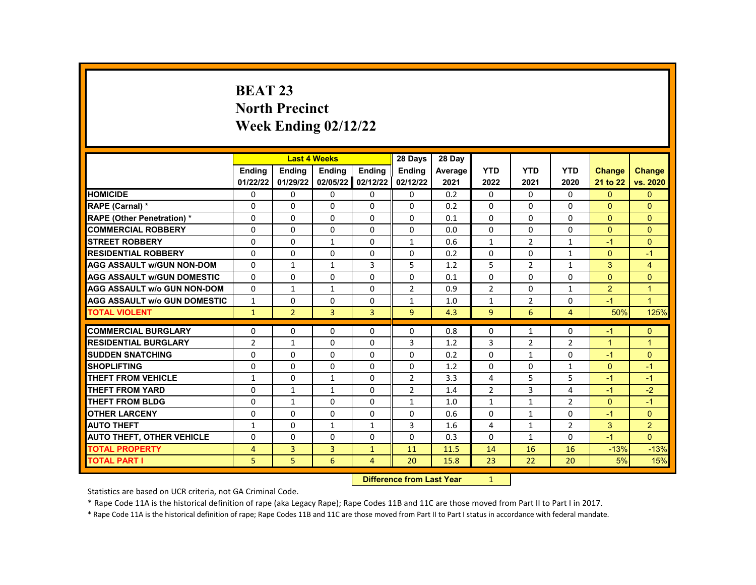# **BEAT 23 North Precinct Week Ending 02/12/22**

|                                     |                |                | <b>Last 4 Weeks</b> |                | 28 Days                   | 28 Day  |                |                |                |                |                |
|-------------------------------------|----------------|----------------|---------------------|----------------|---------------------------|---------|----------------|----------------|----------------|----------------|----------------|
|                                     | <b>Endina</b>  | <b>Ending</b>  | Ending              | Ending         | <b>Ending</b>             | Average | <b>YTD</b>     | <b>YTD</b>     | <b>YTD</b>     | <b>Change</b>  | <b>Change</b>  |
|                                     | 01/22/22       | 01/29/22       | 02/05/22            | 02/12/22       | 02/12/22                  | 2021    | 2022           | 2021           | 2020           | 21 to 22       | vs. 2020       |
| <b>HOMICIDE</b>                     | 0              | 0              | 0                   | 0              | 0                         | 0.2     | 0              | $\Omega$       | 0              | $\mathbf{0}$   | $\mathbf{0}$   |
| RAPE (Carnal) *                     | $\Omega$       | $\Omega$       | $\Omega$            | $\Omega$       | $\Omega$                  | 0.2     | $\Omega$       | $\Omega$       | $\Omega$       | $\Omega$       | $\Omega$       |
| RAPE (Other Penetration) *          | $\Omega$       | $\Omega$       | $\Omega$            | $\Omega$       | $\Omega$                  | 0.1     | $\Omega$       | $\Omega$       | $\Omega$       | $\Omega$       | $\Omega$       |
| <b>COMMERCIAL ROBBERY</b>           | $\Omega$       | $\Omega$       | $\Omega$            | $\Omega$       | $\Omega$                  | 0.0     | $\Omega$       | $\Omega$       | $\Omega$       | $\Omega$       | $\Omega$       |
| <b>STREET ROBBERY</b>               | $\Omega$       | $\Omega$       | $\mathbf{1}$        | $\Omega$       | $\mathbf{1}$              | 0.6     | $\mathbf{1}$   | $\overline{2}$ | $\mathbf{1}$   | $-1$           | $\Omega$       |
| <b>RESIDENTIAL ROBBERY</b>          | $\Omega$       | $\Omega$       | $\Omega$            | $\Omega$       | $\Omega$                  | 0.2     | $\Omega$       | $\Omega$       | $\mathbf{1}$   | $\Omega$       | $-1$           |
| <b>AGG ASSAULT w/GUN NON-DOM</b>    | $\Omega$       | 1              | $\mathbf{1}$        | 3              | 5                         | 1.2     | 5              | $\overline{2}$ | $\mathbf{1}$   | 3              | $\overline{4}$ |
| <b>AGG ASSAULT w/GUN DOMESTIC</b>   | 0              | 0              | 0                   | $\Omega$       | $\Omega$                  | 0.1     | $\Omega$       | $\Omega$       | $\Omega$       | $\Omega$       | $\mathbf{0}$   |
| <b>AGG ASSAULT w/o GUN NON-DOM</b>  | $\Omega$       | $\mathbf{1}$   | $\mathbf{1}$        | $\Omega$       | $\overline{2}$            | 0.9     | $\overline{2}$ | $\Omega$       | $\mathbf{1}$   | $\overline{2}$ | $\mathbf{1}$   |
| <b>AGG ASSAULT w/o GUN DOMESTIC</b> | $\mathbf{1}$   | 0              | $\Omega$            | 0              | 1                         | 1.0     | $\mathbf{1}$   | $\overline{2}$ | $\Omega$       | $-1$           | $\mathbf{1}$   |
| <b>TOTAL VIOLENT</b>                | $\mathbf{1}$   | $\overline{2}$ | $\overline{3}$      | 3              | 9                         | 4.3     | 9              | 6              | $\overline{4}$ | 50%            | 125%           |
|                                     |                |                |                     |                |                           |         |                |                |                |                |                |
| <b>COMMERCIAL BURGLARY</b>          | 0              | 0              | 0                   | 0              | 0                         | 0.8     | 0              | 1              | 0              | $-1$           | $\mathbf{0}$   |
| <b>RESIDENTIAL BURGLARY</b>         | $\overline{2}$ | $\mathbf{1}$   | $\Omega$            | $\Omega$       | 3                         | 1.2     | 3              | $\overline{2}$ | $\overline{2}$ | $\mathbf{1}$   | $\mathbf{1}$   |
| <b>SUDDEN SNATCHING</b>             | $\Omega$       | $\Omega$       | $\Omega$            | $\Omega$       | $\Omega$                  | 0.2     | $\Omega$       | $\mathbf{1}$   | $\Omega$       | $-1$           | $\Omega$       |
| <b>SHOPLIFTING</b>                  | $\Omega$       | $\Omega$       | $\Omega$            | $\Omega$       | $\Omega$                  | 1.2     | 0              | $\Omega$       | $\mathbf{1}$   | $\Omega$       | $-1$           |
| <b>THEFT FROM VEHICLE</b>           | $\mathbf{1}$   | $\Omega$       | $\mathbf{1}$        | $\Omega$       | 2                         | 3.3     | 4              | 5              | 5              | $-1$           | $-1$           |
| <b>THEFT FROM YARD</b>              | $\Omega$       | $\mathbf{1}$   | $\mathbf{1}$        | $\Omega$       | $\overline{2}$            | 1.4     | $\overline{2}$ | 3              | 4              | $-1$           | $-2$           |
| <b>THEFT FROM BLDG</b>              | $\Omega$       | $\mathbf{1}$   | $\Omega$            | $\Omega$       | $\mathbf{1}$              | 1.0     | $\mathbf{1}$   | $\mathbf{1}$   | $\overline{2}$ | $\Omega$       | $-1$           |
| <b>OTHER LARCENY</b>                | $\Omega$       | $\Omega$       | $\Omega$            | $\Omega$       | $\Omega$                  | 0.6     | $\Omega$       | $\mathbf{1}$   | $\Omega$       | $-1$           | $\overline{0}$ |
| <b>AUTO THEFT</b>                   | $\mathbf{1}$   | 0              | $\mathbf{1}$        | $\mathbf{1}$   | 3                         | 1.6     | 4              | $\mathbf{1}$   | $\overline{2}$ | 3              | 2              |
| <b>AUTO THEFT, OTHER VEHICLE</b>    | $\Omega$       | $\Omega$       | $\Omega$            | $\Omega$       | $\Omega$                  | 0.3     | $\Omega$       | $\mathbf{1}$   | 0              | $-1$           | $\Omega$       |
| <b>TOTAL PROPERTY</b>               | 4              | 3              | 3                   | $\mathbf{1}$   | 11                        | 11.5    | 14             | 16             | 16             | $-13%$         | $-13%$         |
| <b>TOTAL PART I</b>                 | 5              | 5              | 6                   | $\overline{4}$ | 20                        | 15.8    | 23             | 22             | 20             | 5%             | 15%            |
|                                     |                |                |                     |                | Difference from Loot Voor |         |                |                |                |                |                |

**Difference from Last Year** 

Statistics are based on UCR criteria, not GA Criminal Code.

\* Rape Code 11A is the historical definition of rape (aka Legacy Rape); Rape Codes 11B and 11C are those moved from Part II to Part I in 2017.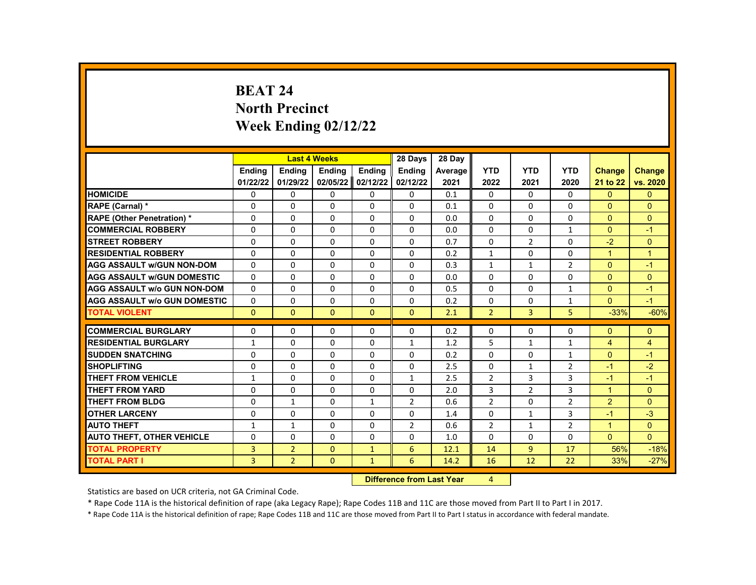# **BEAT 24 North Precinct Week Ending 02/12/22**

|                                     |               |                | <b>Last 4 Weeks</b> |                | 28 Days         | 28 Day                 |                |                |                |                |                |
|-------------------------------------|---------------|----------------|---------------------|----------------|-----------------|------------------------|----------------|----------------|----------------|----------------|----------------|
|                                     | <b>Endina</b> | <b>Ending</b>  | <b>Ending</b>       | <b>Endina</b>  | <b>Ending</b>   | Average                | <b>YTD</b>     | <b>YTD</b>     | <b>YTD</b>     | <b>Change</b>  | <b>Change</b>  |
|                                     | 01/22/22      | 01/29/22       | 02/05/22            | 02/12/22       | 02/12/22        | 2021                   | 2022           | 2021           | 2020           | 21 to 22       | vs. 2020       |
| <b>HOMICIDE</b>                     | 0             | $\Omega$       | 0                   | 0              | 0               | 0.1                    | 0              | $\Omega$       | 0              | $\mathbf{0}$   | $\mathbf{0}$   |
| RAPE (Carnal) *                     | 0             | $\Omega$       | $\Omega$            | $\Omega$       | $\Omega$        | 0.1                    | $\Omega$       | $\Omega$       | $\Omega$       | $\Omega$       | $\Omega$       |
| <b>RAPE (Other Penetration)*</b>    | $\Omega$      | $\Omega$       | $\Omega$            | $\Omega$       | $\Omega$        | 0.0                    | $\Omega$       | $\Omega$       | $\Omega$       | $\Omega$       | $\mathbf{0}$   |
| <b>COMMERCIAL ROBBERY</b>           | $\Omega$      | 0              | $\Omega$            | 0              | 0               | 0.0                    | 0              | 0              | 1              | $\Omega$       | $-1$           |
| <b>STREET ROBBERY</b>               | 0             | $\Omega$       | $\Omega$            | $\Omega$       | $\Omega$        | 0.7                    | $\Omega$       | $\overline{2}$ | $\Omega$       | $-2$           | $\Omega$       |
| <b>RESIDENTIAL ROBBERY</b>          | $\Omega$      | $\Omega$       | $\Omega$            | $\Omega$       | $\Omega$        | 0.2                    | $\mathbf{1}$   | $\Omega$       | $\Omega$       | $\overline{1}$ | $\overline{1}$ |
| <b>AGG ASSAULT w/GUN NON-DOM</b>    | $\Omega$      | $\Omega$       | $\Omega$            | $\Omega$       | $\Omega$        | 0.3                    | $\mathbf{1}$   | $\mathbf{1}$   | $\overline{2}$ | $\Omega$       | $-1$           |
| <b>AGG ASSAULT w/GUN DOMESTIC</b>   | 0             | 0              | 0                   | 0              | 0               | 0.0                    | 0              | 0              | $\Omega$       | $\Omega$       | $\mathbf{0}$   |
| <b>AGG ASSAULT w/o GUN NON-DOM</b>  | $\Omega$      | $\Omega$       | $\Omega$            | $\Omega$       | $\Omega$        | 0.5                    | $\Omega$       | $\Omega$       | 1              | $\Omega$       | $-1$           |
| <b>AGG ASSAULT w/o GUN DOMESTIC</b> | $\Omega$      | 0              | $\Omega$            | $\Omega$       | $\Omega$        | 0.2                    | 0              | 0              | 1              | $\Omega$       | $-1$           |
| <b>TOTAL VIOLENT</b>                | $\Omega$      | $\mathbf{0}$   | $\Omega$            | $\Omega$       | $\Omega$        | 2.1                    | $\overline{2}$ | 3              | 5              | $-33%$         | $-60%$         |
|                                     |               |                |                     |                |                 |                        |                |                |                |                |                |
| <b>COMMERCIAL BURGLARY</b>          | 0             | 0              | 0                   | 0              | 0               | 0.2                    | 0              | 0              | 0              | $\Omega$       | $\mathbf{0}$   |
| <b>RESIDENTIAL BURGLARY</b>         | $\mathbf{1}$  | $\Omega$       | $\Omega$            | $\Omega$       | $\mathbf{1}$    | 1.2                    | 5              | $\mathbf{1}$   | $\mathbf{1}$   | $\overline{4}$ | $\overline{4}$ |
| <b>SUDDEN SNATCHING</b>             | $\Omega$      | $\Omega$       | $\Omega$            | $\Omega$       | $\Omega$        | 0.2                    | $\Omega$       | $\Omega$       | $\mathbf{1}$   | $\Omega$       | $-1$           |
| <b>SHOPLIFTING</b>                  | 0             | 0              | 0                   | 0              | 0               | 2.5                    | 0              | $\mathbf{1}$   | 2              | $-1$           | $-2$           |
| <b>THEFT FROM VEHICLE</b>           | $\mathbf{1}$  | $\Omega$       | $\Omega$            | $\Omega$       | $\mathbf{1}$    | 2.5                    | $\overline{2}$ | 3              | 3              | $-1$           | $-1$           |
| <b>THEFT FROM YARD</b>              | $\Omega$      | $\Omega$       | $\Omega$            | $\Omega$       | $\Omega$        | 2.0                    | 3              | $\overline{2}$ | 3              | $\mathbf{1}$   | $\Omega$       |
| <b>THEFT FROM BLDG</b>              | 0             | $\mathbf{1}$   | 0                   | 1              | 2               | 0.6                    | $\overline{2}$ | 0              | 2              | $\overline{2}$ | $\Omega$       |
| <b>OTHER LARCENY</b>                | $\Omega$      | $\Omega$       | $\Omega$            | $\Omega$       | $\Omega$        | 1.4                    | $\Omega$       | $\mathbf{1}$   | 3              | $-1$           | $-3$           |
| <b>AUTO THEFT</b>                   | $\mathbf{1}$  | $\mathbf{1}$   | $\Omega$            | $\Omega$       | 2               | 0.6                    | $\overline{2}$ | $\mathbf{1}$   | $\overline{2}$ | $\mathbf{1}$   | $\Omega$       |
| <b>AUTO THEFT, OTHER VEHICLE</b>    | 0             | 0              | 0                   | 0              | 0               | 1.0                    | $\Omega$       | 0              | $\Omega$       | $\mathbf{0}$   | $\Omega$       |
| <b>TOTAL PROPERTY</b>               | 3             | $\overline{2}$ | $\Omega$            | $\mathbf{1}$   | $6\phantom{1}6$ | 12.1                   | 14             | 9              | 17             | 56%            | $-18%$         |
| <b>TOTAL PART I</b>                 | 3             | $\overline{2}$ | $\Omega$            | $\mathbf{1}$   | 6               | 14.2                   | 16             | 12             | 22             | 33%            | $-27%$         |
|                                     |               |                |                     | <b>INSTEAD</b> |                 | a a dheann 1 anns Main | $\overline{a}$ |                |                |                |                |

**Difference from Last Year** 4

Statistics are based on UCR criteria, not GA Criminal Code.

\* Rape Code 11A is the historical definition of rape (aka Legacy Rape); Rape Codes 11B and 11C are those moved from Part II to Part I in 2017.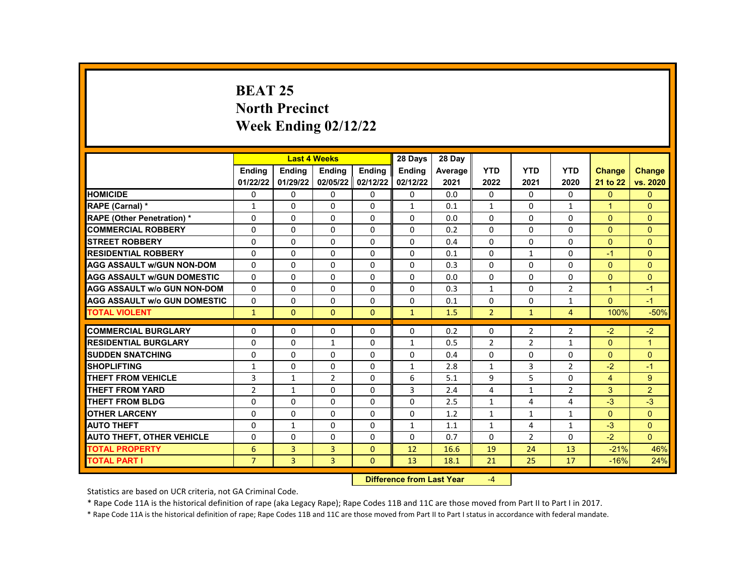# **BEAT 25 North Precinct Week Ending 02/12/22**

|                                     |                |                | <b>Last 4 Weeks</b> |               | 28 Days                    | 28 Day  |                |                |                |                |                |
|-------------------------------------|----------------|----------------|---------------------|---------------|----------------------------|---------|----------------|----------------|----------------|----------------|----------------|
|                                     | <b>Endina</b>  | <b>Endina</b>  | <b>Endina</b>       | <b>Endina</b> | <b>Endina</b>              | Average | <b>YTD</b>     | <b>YTD</b>     | <b>YTD</b>     | <b>Change</b>  | <b>Change</b>  |
|                                     | 01/22/22       | 01/29/22       | 02/05/22            | 02/12/22      | 02/12/22                   | 2021    | 2022           | 2021           | 2020           | 21 to 22       | vs. 2020       |
| <b>HOMICIDE</b>                     | $\Omega$       | $\Omega$       | $\Omega$            | $\Omega$      | $\Omega$                   | 0.0     | $\Omega$       | $\Omega$       | $\Omega$       | $\Omega$       | $\Omega$       |
| RAPE (Carnal) *                     | $\mathbf{1}$   | $\Omega$       | $\Omega$            | $\Omega$      | $\mathbf{1}$               | 0.1     | $\mathbf{1}$   | $\Omega$       | $\mathbf{1}$   | 1              | $\Omega$       |
| <b>RAPE (Other Penetration) *</b>   | 0              | $\Omega$       | $\Omega$            | $\Omega$      | $\Omega$                   | 0.0     | $\Omega$       | $\Omega$       | $\Omega$       | $\Omega$       | $\overline{0}$ |
| <b>COMMERCIAL ROBBERY</b>           | $\Omega$       | $\Omega$       | $\Omega$            | $\Omega$      | $\Omega$                   | 0.2     | $\Omega$       | $\Omega$       | $\Omega$       | $\Omega$       | $\Omega$       |
| <b>STREET ROBBERY</b>               | $\Omega$       | $\Omega$       | $\Omega$            | $\Omega$      | $\Omega$                   | 0.4     | $\Omega$       | $\Omega$       | $\Omega$       | $\Omega$       | $\Omega$       |
| <b>RESIDENTIAL ROBBERY</b>          | $\Omega$       | $\Omega$       | $\Omega$            | $\mathbf{0}$  | $\Omega$                   | 0.1     | $\Omega$       | $\mathbf{1}$   | $\Omega$       | $-1$           | $\Omega$       |
| <b>AGG ASSAULT W/GUN NON-DOM</b>    | $\Omega$       | $\Omega$       | $\Omega$            | $\Omega$      | $\Omega$                   | 0.3     | $\Omega$       | $\Omega$       | $\Omega$       | $\Omega$       | $\Omega$       |
| <b>AGG ASSAULT W/GUN DOMESTIC</b>   | $\Omega$       | $\Omega$       | $\Omega$            | $\Omega$      | $\Omega$                   | 0.0     | $\Omega$       | $\Omega$       | $\Omega$       | $\Omega$       | $\Omega$       |
| <b>AGG ASSAULT W/o GUN NON-DOM</b>  | $\Omega$       | $\Omega$       | $\Omega$            | $\Omega$      | $\Omega$                   | 0.3     | $\mathbf{1}$   | $\Omega$       | $\overline{2}$ | $\overline{1}$ | $-1$           |
| <b>AGG ASSAULT W/o GUN DOMESTIC</b> | 0              | $\Omega$       | $\Omega$            | $\mathbf{0}$  | $\Omega$                   | 0.1     | $\Omega$       | $\Omega$       | $\mathbf{1}$   | $\Omega$       | $-1$           |
| <b>TOTAL VIOLENT</b>                | $\mathbf{1}$   | $\mathbf{0}$   | $\mathbf{0}$        | $\Omega$      | $\mathbf{1}$               | 1.5     | $\overline{2}$ | $\mathbf{1}$   | $\overline{4}$ | 100%           | $-50%$         |
|                                     |                |                |                     |               |                            |         |                |                |                |                |                |
| <b>COMMERCIAL BURGLARY</b>          | 0              | $\Omega$       | $\Omega$            | 0             | $\Omega$                   | 0.2     | $\Omega$       | $\overline{2}$ | $\overline{2}$ | $-2$           | $-2$           |
| <b>RESIDENTIAL BURGLARY</b>         | $\Omega$       | $\Omega$       | $\mathbf{1}$        | $\mathbf{0}$  | $\mathbf{1}$               | 0.5     | $\overline{2}$ | $\overline{2}$ | $\mathbf{1}$   | $\Omega$       | $\mathbf{1}$   |
| <b>SUDDEN SNATCHING</b>             | $\Omega$       | $\Omega$       | $\Omega$            | $\Omega$      | $\Omega$                   | 0.4     | $\Omega$       | $\Omega$       | $\Omega$       | $\Omega$       | $\Omega$       |
| <b>SHOPLIFTING</b>                  | $\mathbf{1}$   | $\Omega$       | $\Omega$            | $\Omega$      | $\mathbf{1}$               | 2.8     | $\mathbf{1}$   | 3              | $\overline{2}$ | $-2$           | $-1$           |
| <b>THEFT FROM VEHICLE</b>           | 3              | 1              | $\overline{2}$      | $\mathbf{0}$  | 6                          | 5.1     | 9              | 5              | $\Omega$       | $\overline{4}$ | 9              |
| THEFT FROM YARD                     | $\overline{2}$ | $\mathbf{1}$   | $\Omega$            | $\Omega$      | 3                          | 2.4     | 4              | $\mathbf{1}$   | 2              | 3              | $\overline{2}$ |
| THEFT FROM BLDG                     | $\Omega$       | $\Omega$       | $\Omega$            | $\Omega$      | $\Omega$                   | 2.5     | $\mathbf{1}$   | 4              | 4              | $-3$           | $-3$           |
| <b>OTHER LARCENY</b>                | $\Omega$       | $\Omega$       | $\Omega$            | $\mathbf{0}$  | $\Omega$                   | 1.2     | $\mathbf{1}$   | $\mathbf{1}$   | $\mathbf{1}$   | $\Omega$       | $\mathbf{0}$   |
| <b>AUTO THEFT</b>                   | $\Omega$       | $\mathbf{1}$   | $\Omega$            | $\Omega$      | $\mathbf{1}$               | 1.1     | $\mathbf{1}$   | 4              | $\mathbf{1}$   | $-3$           | $\Omega$       |
| <b>AUTO THEFT, OTHER VEHICLE</b>    | 0              | $\Omega$       | $\Omega$            | $\Omega$      | $\Omega$                   | 0.7     | $\Omega$       | $\overline{2}$ | $\Omega$       | $-2$           | $\Omega$       |
| <b>TOTAL PROPERTY</b>               | 6              | $\overline{3}$ | 3                   | $\Omega$      | 12                         | 16.6    | 19             | 24             | 13             | $-21%$         | 46%            |
| <b>TOTAL PART I</b>                 | $\overline{7}$ | $\overline{3}$ | $\overline{3}$      | $\Omega$      | 13                         | 18.1    | 21             | 25             | 17             | $-16%$         | 24%            |
|                                     |                |                |                     |               | Difference from Least Vaca |         | $\mathbf{A}$   |                |                |                |                |

**Difference from Last Year** -4

Statistics are based on UCR criteria, not GA Criminal Code.

\* Rape Code 11A is the historical definition of rape (aka Legacy Rape); Rape Codes 11B and 11C are those moved from Part II to Part I in 2017.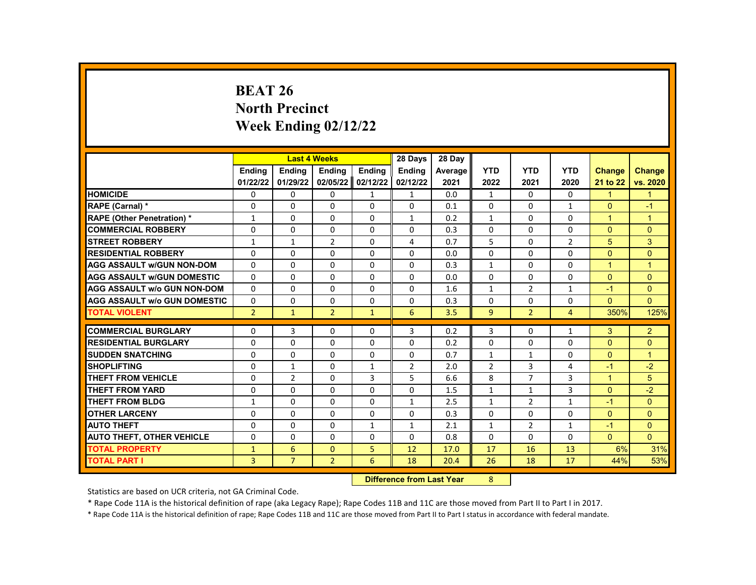# **BEAT 26 North Precinct Week Ending 02/12/22**

|                                     |                                       |               | <b>Last 4 Weeks</b> |              | 28 Days        | 28 Day                     |                |                |                |                |                |
|-------------------------------------|---------------------------------------|---------------|---------------------|--------------|----------------|----------------------------|----------------|----------------|----------------|----------------|----------------|
|                                     | <b>Endina</b>                         | <b>Ending</b> | Ending              | Ending       | <b>Ending</b>  | Average                    | <b>YTD</b>     | <b>YTD</b>     | <b>YTD</b>     | <b>Change</b>  | <b>Change</b>  |
|                                     | 01/22/22                              | 01/29/22      | 02/05/22            | 02/12/22     | 02/12/22       | 2021                       | 2022           | 2021           | 2020           | 21 to 22       | vs. 2020       |
| <b>HOMICIDE</b>                     | 0                                     | 0             | 0                   | $\mathbf{1}$ | $\mathbf{1}$   | 0.0                        | $\mathbf{1}$   | $\Omega$       | 0              | $\mathbf{1}$   | $\mathbf{1}$   |
| RAPE (Carnal) *                     | 0                                     | $\Omega$      | $\Omega$            | $\Omega$     | $\Omega$       | 0.1                        | $\Omega$       | 0              | $\mathbf{1}$   | $\Omega$       | $-1$           |
| <b>RAPE (Other Penetration)*</b>    | $\mathbf{1}$                          | $\Omega$      | $\Omega$            | $\Omega$     | $\mathbf{1}$   | 0.2                        | $\mathbf{1}$   | $\Omega$       | $\Omega$       | $\mathbf{1}$   | $\mathbf{1}$   |
| <b>COMMERCIAL ROBBERY</b>           | $\Omega$                              | $\Omega$      | $\Omega$            | $\Omega$     | $\Omega$       | 0.3                        | $\Omega$       | $\Omega$       | $\Omega$       | $\Omega$       | $\Omega$       |
| <b>STREET ROBBERY</b>               | $\mathbf{1}$                          | $\mathbf{1}$  | $\overline{2}$      | $\Omega$     | $\overline{4}$ | 0.7                        | 5              | $\Omega$       | $\overline{2}$ | 5              | 3              |
| <b>RESIDENTIAL ROBBERY</b>          | $\Omega$                              | $\Omega$      | $\Omega$            | $\Omega$     | $\Omega$       | 0.0                        | $\Omega$       | $\Omega$       | $\Omega$       | $\Omega$       | $\Omega$       |
| <b>AGG ASSAULT w/GUN NON-DOM</b>    | 0                                     | 0             | 0                   | 0            | 0              | 0.3                        | $\mathbf{1}$   | $\mathbf{0}$   | 0              | $\mathbf{1}$   | $\mathbf{1}$   |
| <b>AGG ASSAULT w/GUN DOMESTIC</b>   | $\Omega$                              | 0             | $\Omega$            | 0            | $\Omega$       | 0.0                        | 0              | 0              | $\Omega$       | $\Omega$       | $\Omega$       |
| <b>AGG ASSAULT w/o GUN NON-DOM</b>  | $\Omega$                              | $\Omega$      | $\Omega$            | $\Omega$     | $\Omega$       | 1.6                        | $\mathbf{1}$   | $\overline{2}$ | $\mathbf{1}$   | $-1$           | $\Omega$       |
| <b>AGG ASSAULT w/o GUN DOMESTIC</b> | 0                                     | 0             | 0                   | 0            | 0              | 0.3                        | 0              | 0              | 0              | $\mathbf{0}$   | $\Omega$       |
| <b>TOTAL VIOLENT</b>                | $\overline{2}$                        | $\mathbf{1}$  | $\overline{2}$      | $\mathbf{1}$ | 6              | 3.5                        | 9              | $\overline{2}$ | $\overline{4}$ | 350%           | 125%           |
| <b>COMMERCIAL BURGLARY</b>          | 0                                     |               | 0                   | 0            | 3              | 0.2                        |                |                | $\mathbf{1}$   | 3              | $\overline{2}$ |
| <b>RESIDENTIAL BURGLARY</b>         |                                       | 3<br>$\Omega$ | $\Omega$            | $\Omega$     | $\Omega$       |                            | 3<br>0         | 0<br>$\Omega$  |                | $\overline{0}$ | $\mathbf{0}$   |
| <b>SUDDEN SNATCHING</b>             | 0<br>$\Omega$                         | $\Omega$      | $\Omega$            | $\Omega$     | $\Omega$       | 0.2<br>0.7                 |                |                | 0<br>$\Omega$  | $\Omega$       | $\mathbf{1}$   |
|                                     |                                       |               |                     |              |                |                            | $\mathbf{1}$   | $\mathbf{1}$   |                |                |                |
| <b>SHOPLIFTING</b>                  | $\Omega$                              | $\mathbf{1}$  | $\Omega$            | $\mathbf{1}$ | $\overline{2}$ | 2.0                        | $\overline{2}$ | 3              | 4              | $-1$           | $-2$           |
| <b>THEFT FROM VEHICLE</b>           | 0                                     | 2             | $\Omega$            | 3            | 5              | 6.6                        | 8              | $\overline{7}$ | 3              | $\mathbf{1}$   | 5              |
| <b>THEFT FROM YARD</b>              | $\Omega$                              | $\Omega$      | $\Omega$            | $\Omega$     | $\Omega$       | 1.5                        | $\mathbf{1}$   | $\mathbf{1}$   | 3              | $\Omega$       | $-2$           |
| <b>THEFT FROM BLDG</b>              | $\mathbf{1}$                          | $\Omega$      | $\Omega$            | $\Omega$     | $\mathbf{1}$   | 2.5                        | $\mathbf{1}$   | $\overline{2}$ | $\mathbf{1}$   | $-1$           | $\Omega$       |
| <b>OTHER LARCENY</b>                | $\Omega$                              | $\Omega$      | $\Omega$            | $\Omega$     | $\Omega$       | 0.3                        | $\Omega$       | $\Omega$       | $\Omega$       | $\Omega$       | $\Omega$       |
| <b>AUTO THEFT</b>                   | 0                                     | $\Omega$      | $\Omega$            | $\mathbf{1}$ | $\mathbf{1}$   | 2.1                        | $\mathbf{1}$   | $\overline{2}$ | $\mathbf{1}$   | $-1$           | $\Omega$       |
| <b>AUTO THEFT, OTHER VEHICLE</b>    | 0                                     | 0             | 0                   | 0            | 0              | 0.8                        | 0              | 0              | 0              | $\Omega$       | $\Omega$       |
| <b>TOTAL PROPERTY</b>               | $\mathbf{1}$                          | 6             | $\mathbf{0}$        | 5<br>6       | 12<br>18       | 17.0                       | 17             | 16             | 13             | 6%             | 31%            |
| <b>TOTAL PART I</b>                 | 3<br>$\overline{7}$<br>$\overline{2}$ |               |                     |              |                | 20.4                       | 26             | 18             | 17             | 44%            | 53%            |
|                                     |                                       |               |                     |              |                | Difference from Look Vance | $\Omega$       |                |                |                |                |

**Difference from Last Year** 8

Statistics are based on UCR criteria, not GA Criminal Code.

\* Rape Code 11A is the historical definition of rape (aka Legacy Rape); Rape Codes 11B and 11C are those moved from Part II to Part I in 2017.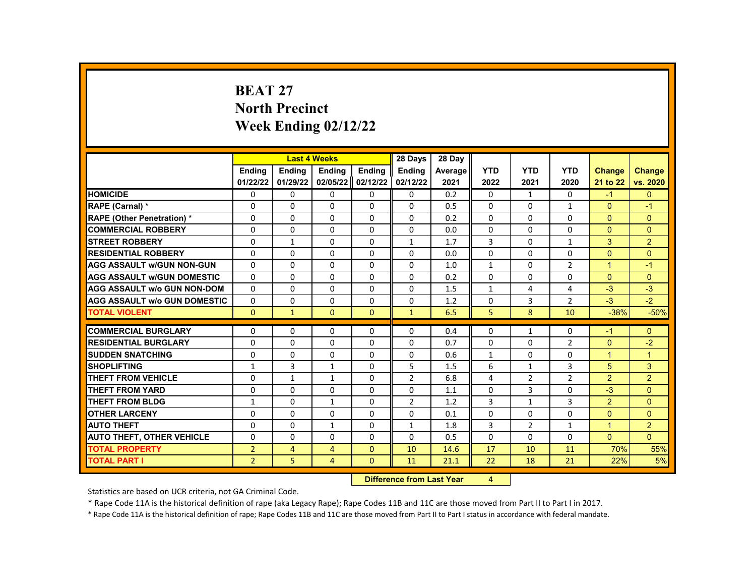# **BEAT 27 North Precinct Week Ending 02/12/22**

|                                     |                | <b>Last 4 Weeks</b> |              |                | 28 Days                   | 28 Day  |              |                |                |                |                |
|-------------------------------------|----------------|---------------------|--------------|----------------|---------------------------|---------|--------------|----------------|----------------|----------------|----------------|
|                                     | <b>Endina</b>  | <b>Ending</b>       | Ending       | Ending         | <b>Ending</b>             | Average | <b>YTD</b>   | <b>YTD</b>     | <b>YTD</b>     | <b>Change</b>  | <b>Change</b>  |
|                                     | 01/22/22       | 01/29/22            | 02/05/22     | 02/12/22       | 02/12/22                  | 2021    | 2022         | 2021           | 2020           | 21 to 22       | vs. 2020       |
| <b>HOMICIDE</b>                     | 0              | 0                   | 0            | $\Omega$       | $\mathbf{0}$              | 0.2     | $\mathbf{0}$ | $\mathbf{1}$   | 0              | $-1$           | $\mathbf{0}$   |
| RAPE (Carnal) *                     | 0              | $\Omega$            | 0            | 0              | $\Omega$                  | 0.5     | $\Omega$     | $\Omega$       | $\mathbf{1}$   | $\Omega$       | $-1$           |
| <b>RAPE (Other Penetration) *</b>   | $\Omega$       | $\Omega$            | $\Omega$     | $\Omega$       | $\Omega$                  | 0.2     | $\Omega$     | $\Omega$       | $\Omega$       | $\Omega$       | $\Omega$       |
| <b>COMMERCIAL ROBBERY</b>           | 0              | 0                   | 0            | 0              | 0                         | 0.0     | $\mathbf{0}$ | $\mathbf{0}$   | 0              | $\Omega$       | $\mathbf{0}$   |
| <b>STREET ROBBERY</b>               | 0              | $\mathbf{1}$        | 0            | $\Omega$       | $\mathbf{1}$              | 1.7     | 3            | $\Omega$       | $\mathbf{1}$   | 3              | 2              |
| <b>RESIDENTIAL ROBBERY</b>          | $\Omega$       | $\Omega$            | $\Omega$     | $\Omega$       | $\Omega$                  | 0.0     | $\Omega$     | $\Omega$       | $\Omega$       | $\Omega$       | $\Omega$       |
| <b>AGG ASSAULT w/GUN NON-GUN</b>    | $\Omega$       | $\Omega$            | 0            | 0              | $\Omega$                  | 1.0     | $\mathbf{1}$ | $\mathbf{0}$   | $\overline{2}$ | $\mathbf{1}$   | $-1$           |
| <b>AGG ASSAULT w/GUN DOMESTIC</b>   | 0              | $\Omega$            | 0            | 0              | 0                         | 0.2     | 0            | 0              | 0              | $\Omega$       | $\Omega$       |
| <b>AGG ASSAULT w/o GUN NON-DOM</b>  | $\Omega$       | $\Omega$            | $\Omega$     | $\Omega$       | $\Omega$                  | 1.5     | $\mathbf{1}$ | 4              | 4              | $-3$           | $-3$           |
| <b>AGG ASSAULT w/o GUN DOMESTIC</b> | $\Omega$       | 0                   | 0            | 0              | $\Omega$                  | 1.2     | 0            | 3              | $\overline{2}$ | $-3$           | $-2$           |
| <b>TOTAL VIOLENT</b>                | $\Omega$       | $\mathbf{1}$        | $\Omega$     | $\Omega$       | $\mathbf{1}$              | 6.5     | 5            | 8              | 10             | $-38%$         | $-50%$         |
|                                     |                |                     |              |                |                           |         |              |                |                |                |                |
| <b>COMMERCIAL BURGLARY</b>          | 0              | $\Omega$            | 0            | 0              | 0                         | 0.4     | $\mathbf{0}$ | 1              | 0              | $-1$           | $\Omega$       |
| <b>RESIDENTIAL BURGLARY</b>         | $\Omega$       | 0                   | $\Omega$     | $\Omega$       | $\Omega$                  | 0.7     | $\Omega$     | $\Omega$       | $\overline{2}$ | $\Omega$       | $-2$           |
| <b>SUDDEN SNATCHING</b>             | 0              | $\Omega$            | 0            | 0              | $\Omega$                  | 0.6     | $\mathbf{1}$ | $\Omega$       | $\mathbf 0$    | $\mathbf{1}$   | $\mathbf{1}$   |
| <b>SHOPLIFTING</b>                  | $\mathbf{1}$   | 3                   | $\mathbf{1}$ | 0              | 5                         | 1.5     | 6            | $\mathbf{1}$   | 3              | 5              | 3              |
| <b>THEFT FROM VEHICLE</b>           | 0              | $\mathbf{1}$        | $\mathbf{1}$ | 0              | $\overline{2}$            | 6.8     | 4            | $\overline{2}$ | $\overline{2}$ | $\overline{2}$ | $\overline{2}$ |
| <b>THEFT FROM YARD</b>              | 0              | $\Omega$            | $\Omega$     | $\Omega$       | $\Omega$                  | 1.1     | $\Omega$     | 3              | $\Omega$       | $-3$           | $\Omega$       |
| <b>THEFT FROM BLDG</b>              | $\mathbf{1}$   | 0                   | $\mathbf{1}$ | 0              | $\overline{2}$            | 1.2     | 3            | $\mathbf{1}$   | 3              | $\overline{2}$ | $\Omega$       |
| <b>OTHER LARCENY</b>                | $\Omega$       | $\Omega$            | $\Omega$     | $\Omega$       | $\Omega$                  | 0.1     | $\Omega$     | $\Omega$       | $\Omega$       | $\Omega$       | $\Omega$       |
| <b>AUTO THEFT</b>                   | 0              | $\Omega$            | $\mathbf{1}$ | $\Omega$       | $\mathbf{1}$              | 1.8     | 3            | $\overline{2}$ | $\mathbf{1}$   | $\mathbf{1}$   | 2              |
| <b>AUTO THEFT, OTHER VEHICLE</b>    | 0              | 0                   | $\Omega$     | 0              | 0                         | 0.5     | $\mathbf{0}$ | 0              | 0              | $\overline{0}$ | $\Omega$       |
| <b>TOTAL PROPERTY</b>               | $\overline{2}$ | 4                   | 4            | $\mathbf{0}$   | 10                        | 14.6    | 17           | 10             | 11             | 70%            | 55%            |
| <b>TOTAL PART I</b>                 | $\overline{2}$ | 5                   | 4            | $\Omega$       | 11                        | 21.1    | 22           | 18             | 21             | 22%            | 5%             |
|                                     |                |                     |              | <b>INSECUL</b> | a a dheanna 1 anns a Mara |         |              |                |                |                |                |

**Difference from Last Year** 4

Statistics are based on UCR criteria, not GA Criminal Code.

\* Rape Code 11A is the historical definition of rape (aka Legacy Rape); Rape Codes 11B and 11C are those moved from Part II to Part I in 2017.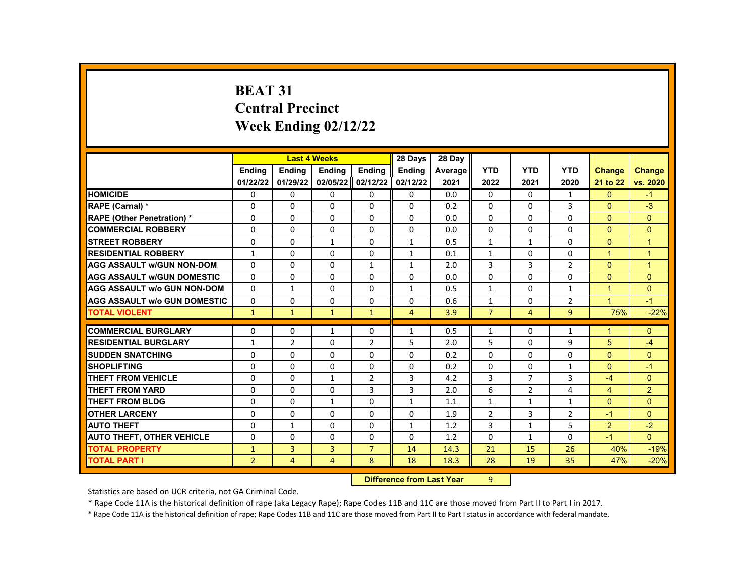# **BEAT 31 Central Precinct Week Ending 02/12/22**

|                                     |                | <b>Last 4 Weeks</b> |                |                | 28 Days                     | 28 Day  |                |                |                |                |                |
|-------------------------------------|----------------|---------------------|----------------|----------------|-----------------------------|---------|----------------|----------------|----------------|----------------|----------------|
|                                     | <b>Endina</b>  | <b>Endina</b>       | <b>Ending</b>  | <b>Ending</b>  | Ending                      | Average | <b>YTD</b>     | <b>YTD</b>     | <b>YTD</b>     | <b>Change</b>  | <b>Change</b>  |
|                                     | 01/22/22       | 01/29/22            | 02/05/22       | 02/12/22       | 02/12/22                    | 2021    | 2022           | 2021           | 2020           | 21 to 22       | vs. 2020       |
| <b>HOMICIDE</b>                     | 0              | $\mathbf{0}$        | $\Omega$       | $\mathbf{0}$   | $\mathbf{0}$                | 0.0     | $\mathbf{0}$   | 0              | $\mathbf{1}$   | $\mathbf{0}$   | $-1$           |
| RAPE (Carnal) *                     | $\Omega$       | $\Omega$            | $\Omega$       | $\Omega$       | 0                           | 0.2     | $\Omega$       | 0              | 3              | $\mathbf{0}$   | $-3$           |
| <b>RAPE (Other Penetration) *</b>   | $\Omega$       | $\Omega$            | $\Omega$       | $\Omega$       | $\Omega$                    | 0.0     | $\Omega$       | $\Omega$       | $\Omega$       | $\Omega$       | $\Omega$       |
| <b>COMMERCIAL ROBBERY</b>           | 0              | 0                   | 0              | 0              | 0                           | 0.0     | 0              | 0              | 0              | $\Omega$       | $\mathbf{0}$   |
| <b>STREET ROBBERY</b>               | $\Omega$       | 0                   | $\mathbf{1}$   | $\Omega$       | $\mathbf{1}$                | 0.5     | $\mathbf{1}$   | $\mathbf{1}$   | $\Omega$       | $\Omega$       | $\overline{1}$ |
| <b>RESIDENTIAL ROBBERY</b>          | 1              | $\Omega$            | $\Omega$       | $\Omega$       | 1                           | 0.1     | $\mathbf{1}$   | $\Omega$       | $\Omega$       | $\mathbf{1}$   | $\overline{1}$ |
| <b>AGG ASSAULT w/GUN NON-DOM</b>    | $\Omega$       | $\Omega$            | $\Omega$       | $\mathbf{1}$   | $\mathbf{1}$                | 2.0     | 3              | 3              | $\overline{2}$ | $\Omega$       | 1              |
| <b>AGG ASSAULT w/GUN DOMESTIC</b>   | $\Omega$       | $\Omega$            | $\Omega$       | $\Omega$       | 0                           | 0.0     | 0              | $\Omega$       | $\mathbf 0$    | $\Omega$       | $\Omega$       |
| <b>AGG ASSAULT w/o GUN NON-DOM</b>  | $\Omega$       | $\mathbf{1}$        | $\Omega$       | $\Omega$       | $\mathbf{1}$                | 0.5     | $\mathbf{1}$   | $\Omega$       | $\mathbf{1}$   | $\mathbf{1}$   | $\Omega$       |
| <b>AGG ASSAULT w/o GUN DOMESTIC</b> | 0              | 0                   | 0              | 0              | 0                           | 0.6     | $\mathbf{1}$   | 0              | 2              | $\mathbf{1}$   | $-1$           |
| <b>TOTAL VIOLENT</b>                | $\mathbf{1}$   | $\mathbf{1}$        | $\mathbf{1}$   | $\mathbf{1}$   | $\overline{4}$              | 3.9     | $\overline{7}$ | 4              | 9              | 75%            | $-22%$         |
| <b>COMMERCIAL BURGLARY</b>          |                |                     |                |                |                             |         |                |                |                |                |                |
|                                     | 0              | 0                   | $\mathbf{1}$   | $\Omega$       | $\mathbf{1}$                | 0.5     | 1              | 0              | 1              | 1              | $\Omega$       |
| <b>RESIDENTIAL BURGLARY</b>         | $\mathbf{1}$   | $\overline{2}$      | 0              | $\overline{2}$ | 5                           | 2.0     | 5              | 0              | 9              | 5              | $-4$           |
| <b>SUDDEN SNATCHING</b>             | $\Omega$       | $\Omega$            | $\Omega$       | $\Omega$       | $\Omega$                    | 0.2     | $\Omega$       | $\Omega$       | $\Omega$       | $\Omega$       | $\Omega$       |
| <b>SHOPLIFTING</b>                  | $\Omega$       | 0                   | $\Omega$       | 0              | 0                           | 0.2     | 0              | $\Omega$       | $\mathbf{1}$   | $\Omega$       | $-1$           |
| <b>THEFT FROM VEHICLE</b>           | $\mathbf 0$    | 0                   | $\mathbf{1}$   | $\overline{2}$ | 3                           | 4.2     | 3              | $\overline{7}$ | 3              | $-4$           | $\Omega$       |
| <b>THEFT FROM YARD</b>              | $\Omega$       | $\Omega$            | $\Omega$       | 3              | 3                           | 2.0     | 6              | $\overline{2}$ | $\overline{a}$ | $\overline{4}$ | 2              |
| <b>THEFT FROM BLDG</b>              | $\Omega$       | $\Omega$            | $\mathbf{1}$   | $\Omega$       | $\mathbf{1}$                | 1.1     | $\mathbf{1}$   | $\mathbf{1}$   | $\mathbf{1}$   | $\Omega$       | $\Omega$       |
| <b>OTHER LARCENY</b>                | $\Omega$       | $\Omega$            | $\Omega$       | $\Omega$       | $\Omega$                    | 1.9     | $\overline{2}$ | 3              | $\overline{2}$ | $-1$           | $\Omega$       |
| <b>AUTO THEFT</b>                   | $\Omega$       | $\mathbf{1}$        | $\Omega$       | $\Omega$       | $\mathbf{1}$                | 1.2     | 3              | $\mathbf{1}$   | 5              | $\overline{2}$ | $-2$           |
| <b>AUTO THEFT, OTHER VEHICLE</b>    | $\Omega$       | 0                   | $\Omega$       | 0              | 0                           | 1.2     | $\Omega$       | 1              | $\Omega$       | $-1$           | $\Omega$       |
| <b>TOTAL PROPERTY</b>               | $\mathbf{1}$   | 3                   | 3              | $\overline{7}$ | 14                          | 14.3    | 21             | 15             | 26             | 40%            | $-19%$         |
| <b>TOTAL PART I</b>                 | $\overline{2}$ | 4                   | $\overline{4}$ | 8              | 18                          | 18.3    | 28             | 19             | 35             | 47%            | $-20%$         |
|                                     |                |                     |                | <b>INSECUL</b> | a a dheanna 1 an a 170 an a |         | $\sim$         |                |                |                |                |

**Difference from Last Year** 9

Statistics are based on UCR criteria, not GA Criminal Code.

\* Rape Code 11A is the historical definition of rape (aka Legacy Rape); Rape Codes 11B and 11C are those moved from Part II to Part I in 2017.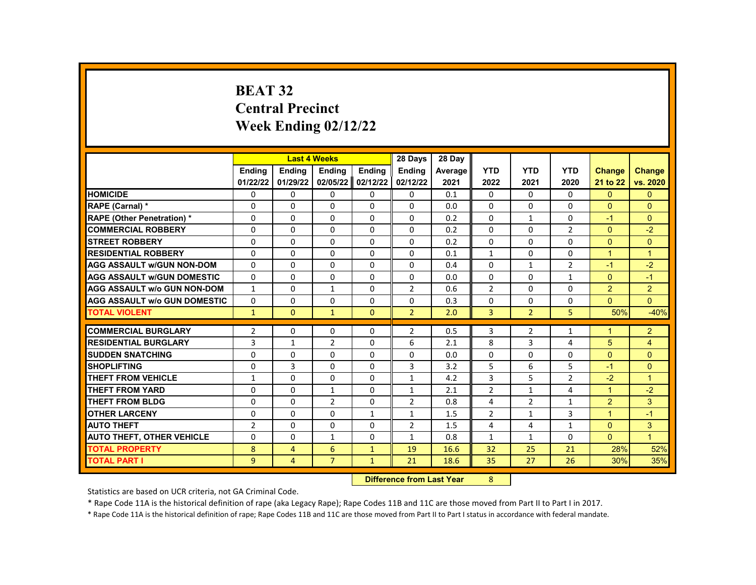# **BEAT 32 Central Precinct Week Ending 02/12/22**

|                                     |                |                | <b>Last 4 Weeks</b> |                | 28 Days                 | 28 Day  |                |                |                |                |                |
|-------------------------------------|----------------|----------------|---------------------|----------------|-------------------------|---------|----------------|----------------|----------------|----------------|----------------|
|                                     | <b>Endina</b>  | <b>Endina</b>  | <b>Ending</b>       | Ending         | Ending                  | Average | <b>YTD</b>     | <b>YTD</b>     | <b>YTD</b>     | <b>Change</b>  | <b>Change</b>  |
|                                     | 01/22/22       | 01/29/22       | 02/05/22            | 02/12/22       | 02/12/22                | 2021    | 2022           | 2021           | 2020           | 21 to 22       | vs. 2020       |
| <b>HOMICIDE</b>                     | 0              | 0              | 0                   | 0              | 0                       | 0.1     | 0              | $\mathbf{0}$   | 0              | $\mathbf{0}$   | $\mathbf{0}$   |
| RAPE (Carnal) *                     | 0              | 0              | 0                   | 0              | $\Omega$                | 0.0     | $\Omega$       | 0              | 0              | $\Omega$       | $\Omega$       |
| <b>RAPE (Other Penetration)*</b>    | $\Omega$       | $\Omega$       | $\Omega$            | $\Omega$       | $\Omega$                | 0.2     | $\Omega$       | $\mathbf{1}$   | $\Omega$       | $-1$           | $\Omega$       |
| <b>COMMERCIAL ROBBERY</b>           | 0              | 0              | 0                   | 0              | 0                       | 0.2     | 0              | 0              | 2              | $\mathbf{0}$   | $-2$           |
| <b>STREET ROBBERY</b>               | $\Omega$       | $\Omega$       | $\Omega$            | $\Omega$       | $\Omega$                | 0.2     | $\Omega$       | $\Omega$       | $\Omega$       | $\Omega$       | $\Omega$       |
| <b>RESIDENTIAL ROBBERY</b>          | $\Omega$       | $\Omega$       | $\Omega$            | $\Omega$       | $\Omega$                | 0.1     | $\mathbf{1}$   | $\Omega$       | $\Omega$       | $\mathbf{1}$   | $\overline{1}$ |
| <b>AGG ASSAULT w/GUN NON-DOM</b>    | $\Omega$       | $\Omega$       | $\Omega$            | 0              | 0                       | 0.4     | $\Omega$       | $\mathbf{1}$   | $\overline{2}$ | $-1$           | $-2$           |
| <b>AGG ASSAULT w/GUN DOMESTIC</b>   | $\Omega$       | $\Omega$       | $\Omega$            | $\Omega$       | $\Omega$                | 0.0     | $\Omega$       | $\Omega$       | $\mathbf{1}$   | $\Omega$       | $-1$           |
| <b>AGG ASSAULT w/o GUN NON-DOM</b>  | $\mathbf{1}$   | $\Omega$       | $\mathbf{1}$        | $\Omega$       | $\overline{2}$          | 0.6     | $\overline{2}$ | $\Omega$       | $\Omega$       | $\overline{2}$ | $\overline{2}$ |
| <b>AGG ASSAULT w/o GUN DOMESTIC</b> | 0              | 0              | 0                   | 0              | 0                       | 0.3     | 0              | 0              | 0              | $\overline{0}$ | $\mathbf{0}$   |
| <b>TOTAL VIOLENT</b>                | $\mathbf{1}$   | $\Omega$       | $\mathbf{1}$        | $\Omega$       | $\overline{2}$          | 2.0     | $\overline{3}$ | $\overline{2}$ | 5              | 50%            | $-40%$         |
|                                     |                |                |                     |                |                         |         |                |                |                |                |                |
| <b>COMMERCIAL BURGLARY</b>          | $\overline{2}$ | 0              | 0                   | 0              | 2                       | 0.5     | 3              | $\overline{2}$ | $\mathbf{1}$   | 1              | $\overline{2}$ |
| <b>RESIDENTIAL BURGLARY</b>         | 3              | $\mathbf{1}$   | $\overline{2}$      | 0              | 6                       | 2.1     | 8              | 3              | 4              | 5              | 4              |
| <b>SUDDEN SNATCHING</b>             | $\Omega$       | $\Omega$       | $\Omega$            | $\Omega$       | $\Omega$                | 0.0     | $\Omega$       | $\Omega$       | $\Omega$       | $\Omega$       | $\Omega$       |
| <b>SHOPLIFTING</b>                  | $\Omega$       | 3              | $\Omega$            | $\Omega$       | 3                       | 3.2     | 5              | 6              | 5              | $-1$           | $\Omega$       |
| <b>THEFT FROM VEHICLE</b>           | $\mathbf{1}$   | $\Omega$       | $\Omega$            | $\Omega$       | $\mathbf{1}$            | 4.2     | 3              | 5              | $\overline{2}$ | $-2$           | $\overline{1}$ |
| <b>THEFT FROM YARD</b>              | $\Omega$       | $\Omega$       | $\mathbf{1}$        | $\Omega$       | $\mathbf{1}$            | 2.1     | $\overline{2}$ | $\mathbf{1}$   | 4              | $\mathbf{1}$   | $-2$           |
| <b>THEFT FROM BLDG</b>              | $\Omega$       | $\Omega$       | $\overline{2}$      | $\Omega$       | $\overline{2}$          | 0.8     | 4              | $\overline{2}$ | $\mathbf{1}$   | $\overline{2}$ | 3              |
| <b>OTHER LARCENY</b>                | $\Omega$       | $\Omega$       | $\Omega$            | $\mathbf{1}$   | $\mathbf{1}$            | 1.5     | $\overline{2}$ | $\mathbf{1}$   | 3              | $\mathbf{1}$   | $-1$           |
| <b>AUTO THEFT</b>                   | $\overline{2}$ | $\Omega$       | $\Omega$            | $\Omega$       | 2                       | 1.5     | 4              | 4              | $\mathbf{1}$   | $\Omega$       | 3              |
| <b>AUTO THEFT, OTHER VEHICLE</b>    | 0              | 0              | 1                   | 0              | 1                       | 0.8     | $\mathbf{1}$   | $\mathbf{1}$   | 0              | $\Omega$       | $\overline{1}$ |
| <b>TOTAL PROPERTY</b>               | 8              | $\overline{4}$ | 6                   | $\mathbf{1}$   | 19                      | 16.6    | 32             | 25             | 21             | 28%            | 52%            |
| <b>TOTAL PART I</b>                 | 9              | $\overline{4}$ | $\overline{7}$      | $\mathbf{1}$   | 21                      | 18.6    | 35             | 27             | 26             | 30%            | 35%            |
|                                     |                |                |                     | <b>INSECUL</b> | a a dheanailteach Malai |         | $\sim$         |                |                |                |                |

**Difference from Last Year** 8

Statistics are based on UCR criteria, not GA Criminal Code.

\* Rape Code 11A is the historical definition of rape (aka Legacy Rape); Rape Codes 11B and 11C are those moved from Part II to Part I in 2017.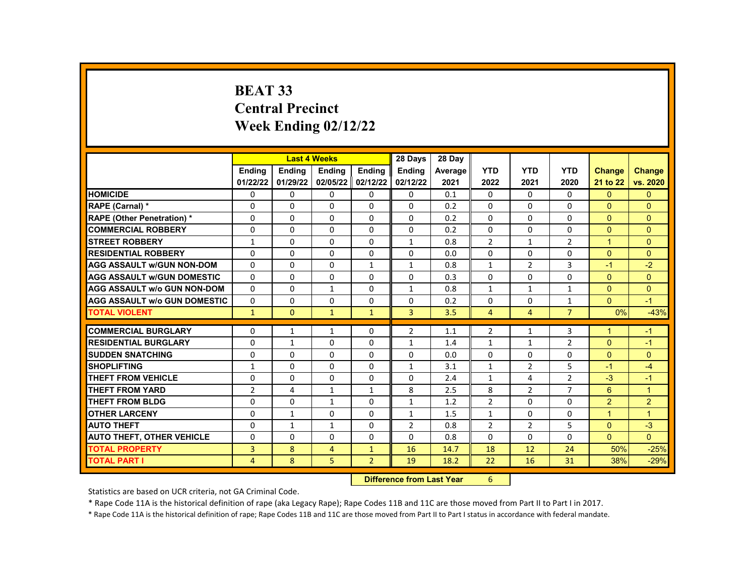# **BEAT 33 Central Precinct Week Ending 02/12/22**

|                                     |                | <b>Last 4 Weeks</b> |                |                                                                    | 28 Days        | 28 Day  |                |                |                |                      |                |
|-------------------------------------|----------------|---------------------|----------------|--------------------------------------------------------------------|----------------|---------|----------------|----------------|----------------|----------------------|----------------|
|                                     | <b>Endina</b>  | <b>Endina</b>       | <b>Endina</b>  | <b>Endina</b>                                                      | <b>Endina</b>  | Average | <b>YTD</b>     | <b>YTD</b>     | <b>YTD</b>     | <b>Change</b>        | <b>Change</b>  |
|                                     | 01/22/22       | 01/29/22            |                | 02/05/22 02/12/22                                                  | 02/12/22       | 2021    | 2022           | 2021           | 2020           | 21 to 22             | vs. 2020       |
| <b>HOMICIDE</b>                     | 0              | 0                   | 0              | 0                                                                  | 0              | 0.1     | 0              | 0              | 0              | $\Omega$             | $\mathbf{0}$   |
| RAPE (Carnal) *                     | $\Omega$       | $\Omega$            | $\Omega$       | 0                                                                  | $\Omega$       | 0.2     | $\Omega$       | $\Omega$       | $\Omega$       | $\Omega$             | $\Omega$       |
| <b>RAPE (Other Penetration) *</b>   | $\Omega$       | $\Omega$            | $\Omega$       | $\Omega$                                                           | $\Omega$       | 0.2     | $\Omega$       | $\Omega$       | $\Omega$       | $\Omega$             | $\Omega$       |
| <b>COMMERCIAL ROBBERY</b>           | $\Omega$       | $\Omega$            | $\Omega$       | $\Omega$                                                           | $\Omega$       | 0.2     | $\Omega$       | $\Omega$       | $\Omega$       | $\mathbf{0}$         | $\Omega$       |
| <b>STREET ROBBERY</b>               | 1              | $\Omega$            | 0              | 0                                                                  | $\mathbf{1}$   | 0.8     | $\overline{2}$ | $\mathbf{1}$   | $\overline{2}$ | $\blacktriangleleft$ | $\Omega$       |
| <b>RESIDENTIAL ROBBERY</b>          | $\Omega$       | $\Omega$            | $\mathbf{0}$   | $\Omega$                                                           | $\Omega$       | 0.0     | $\Omega$       | $\Omega$       | $\Omega$       | $\Omega$             | $\Omega$       |
| <b>AGG ASSAULT w/GUN NON-DOM</b>    | $\Omega$       | 0                   | $\Omega$       | $\mathbf{1}$                                                       | $\mathbf{1}$   | 0.8     | $\mathbf{1}$   | $\overline{2}$ | 3              | $-1$                 | $-2$           |
| <b>AGG ASSAULT w/GUN DOMESTIC</b>   | $\Omega$       | $\Omega$            | 0              | 0                                                                  | 0              | 0.3     | $\Omega$       | 0              | $\Omega$       | $\Omega$             | $\Omega$       |
| <b>AGG ASSAULT w/o GUN NON-DOM</b>  | $\Omega$       | $\Omega$            | $\mathbf{1}$   | $\Omega$                                                           | $\mathbf{1}$   | 0.8     | $\mathbf{1}$   | $\mathbf{1}$   | $\mathbf{1}$   | $\Omega$             | $\Omega$       |
| <b>AGG ASSAULT w/o GUN DOMESTIC</b> | $\Omega$       | $\Omega$            | 0              | 0                                                                  | $\Omega$       | 0.2     | $\Omega$       | 0              | $\mathbf{1}$   | $\Omega$             | $-1$           |
| <b>TOTAL VIOLENT</b>                | $\mathbf{1}$   | $\mathbf{0}$        | $\mathbf{1}$   | $\mathbf{1}$                                                       | $\overline{3}$ | 3.5     | $\overline{4}$ | $\overline{4}$ | $\overline{7}$ | 0%                   | $-43%$         |
|                                     |                |                     |                |                                                                    |                |         |                |                |                |                      |                |
| <b>COMMERCIAL BURGLARY</b>          | 0              | $\mathbf{1}$        | $\mathbf{1}$   | $\mathbf{0}$                                                       | $\overline{2}$ | 1.1     | $\overline{2}$ | $\mathbf{1}$   | 3              | 1                    | $-1$           |
| <b>RESIDENTIAL BURGLARY</b>         | $\Omega$       | $\mathbf{1}$        | $\Omega$       | $\Omega$                                                           | $\mathbf{1}$   | 1.4     | $\mathbf{1}$   | $\mathbf{1}$   | $\overline{2}$ | $\Omega$             | $-1$           |
| <b>SUDDEN SNATCHING</b>             | $\Omega$       | $\Omega$            | $\Omega$       | $\Omega$                                                           | $\Omega$       | 0.0     | $\Omega$       | $\Omega$       | $\Omega$       | $\Omega$             | $\Omega$       |
| <b>SHOPLIFTING</b>                  | 1              | 0                   | $\Omega$       | 0                                                                  | $\mathbf{1}$   | 3.1     | $\mathbf{1}$   | $\overline{2}$ | 5              | $-1$                 | $-4$           |
| <b>THEFT FROM VEHICLE</b>           | $\Omega$       | $\mathbf 0$         | $\Omega$       | $\mathbf{0}$                                                       | 0              | 2.4     | $\mathbf{1}$   | 4              | $\overline{2}$ | $-3$                 | $-1$           |
| <b>THEFT FROM YARD</b>              | $\overline{2}$ | 4                   | $\mathbf{1}$   | $\mathbf{1}$                                                       | 8              | 2.5     | 8              | $\overline{2}$ | $\overline{7}$ | 6                    | $\overline{1}$ |
| <b>THEFT FROM BLDG</b>              | $\Omega$       | 0                   | $\mathbf{1}$   | 0                                                                  | $\mathbf{1}$   | 1.2     | $\overline{2}$ | 0              | $\Omega$       | 2                    | 2              |
| <b>OTHER LARCENY</b>                | $\Omega$       | $\mathbf{1}$        | $\Omega$       | $\Omega$                                                           | $\mathbf{1}$   | 1.5     | $\mathbf{1}$   | $\Omega$       | $\Omega$       | $\overline{1}$       | $\overline{1}$ |
| <b>AUTO THEFT</b>                   | $\Omega$       | $\mathbf{1}$        | $\mathbf{1}$   | $\Omega$                                                           | $\overline{2}$ | 0.8     | $\overline{2}$ | $\overline{2}$ | 5              | $\Omega$             | $-3$           |
| <b>AUTO THEFT, OTHER VEHICLE</b>    | 0              | 0                   | 0              | $\mathbf{0}$                                                       | 0              | 0.8     | 0              | 0              | 0              | $\Omega$             | $\Omega$       |
| <b>TOTAL PROPERTY</b>               | 3              | 8                   | $\overline{4}$ | $\mathbf{1}$                                                       | 16             | 14.7    | 18             | 12             | 24             | 50%                  | $-25%$         |
| <b>TOTAL PART I</b>                 | 4              | 8                   | 5              | $\overline{2}$                                                     | 19             | 18.2    | 22             | 16             | 31             | 38%                  | $-29%$         |
|                                     |                |                     |                | <b>PARKERS</b><br>and the company of the second state of<br>$\sim$ |                |         |                |                |                |                      |                |

**Difference from Last Year** 6

Statistics are based on UCR criteria, not GA Criminal Code.

\* Rape Code 11A is the historical definition of rape (aka Legacy Rape); Rape Codes 11B and 11C are those moved from Part II to Part I in 2017.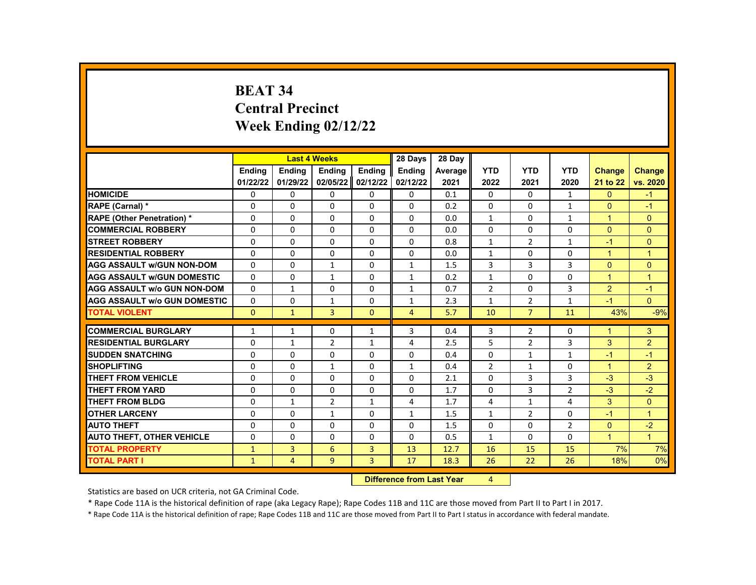# **BEAT 34 Central Precinct Week Ending 02/12/22**

|                                     |               | <b>Last 4 Weeks</b> |                |               | 28 Days                    | 28 Day  |                |                |                |                |                      |
|-------------------------------------|---------------|---------------------|----------------|---------------|----------------------------|---------|----------------|----------------|----------------|----------------|----------------------|
|                                     | <b>Ending</b> | <b>Ending</b>       | <b>Ending</b>  | <b>Ending</b> | Ending                     | Average | <b>YTD</b>     | <b>YTD</b>     | <b>YTD</b>     | <b>Change</b>  | <b>Change</b>        |
|                                     | 01/22/22      | 01/29/22            | 02/05/22       | 02/12/22      | 02/12/22                   | 2021    | 2022           | 2021           | 2020           | 21 to 22       | vs. 2020             |
| <b>HOMICIDE</b>                     | 0             | 0                   | 0              | $\mathbf{0}$  | 0                          | 0.1     | $\mathbf{0}$   | $\mathbf{0}$   | $\mathbf{1}$   | $\Omega$       | $-1$                 |
| RAPE (Carnal) *                     | $\Omega$      | 0                   | 0              | $\Omega$      | $\Omega$                   | 0.2     | $\Omega$       | 0              | $\mathbf{1}$   | $\Omega$       | $-1$                 |
| <b>RAPE (Other Penetration) *</b>   | $\Omega$      | $\Omega$            | $\Omega$       | $\Omega$      | $\Omega$                   | 0.0     | $\mathbf{1}$   | $\Omega$       | $\mathbf{1}$   | $\mathbf{1}$   | $\Omega$             |
| <b>COMMERCIAL ROBBERY</b>           | $\Omega$      | 0                   | $\Omega$       | 0             | 0                          | 0.0     | $\Omega$       | 0              | 0              | $\Omega$       | $\overline{0}$       |
| <b>STREET ROBBERY</b>               | $\Omega$      | 0                   | 0              | $\Omega$      | $\Omega$                   | 0.8     | $\mathbf{1}$   | $\overline{2}$ | $\mathbf{1}$   | $-1$           | $\overline{0}$       |
| <b>RESIDENTIAL ROBBERY</b>          | $\Omega$      | $\Omega$            | $\Omega$       | $\Omega$      | $\Omega$                   | 0.0     | 1              | $\Omega$       | $\Omega$       | $\mathbf{1}$   | $\mathbf{1}$         |
| <b>AGG ASSAULT w/GUN NON-DOM</b>    | $\Omega$      | $\Omega$            | $\mathbf{1}$   | $\Omega$      | $\mathbf{1}$               | 1.5     | 3              | 3              | 3              | $\Omega$       | $\Omega$             |
| <b>AGG ASSAULT w/GUN DOMESTIC</b>   | $\Omega$      | $\Omega$            | $\mathbf{1}$   | $\Omega$      | $\mathbf{1}$               | 0.2     | $\mathbf{1}$   | $\Omega$       | $\Omega$       | $\mathbf{1}$   | $\mathbf{1}$         |
| <b>AGG ASSAULT w/o GUN NON-DOM</b>  | $\Omega$      | $\mathbf{1}$        | 0              | $\Omega$      | $\mathbf{1}$               | 0.7     | $\overline{2}$ | $\Omega$       | 3              | $\overline{2}$ | $-1$                 |
| <b>AGG ASSAULT w/o GUN DOMESTIC</b> | 0             | 0                   | 1              | 0             | $\mathbf{1}$               | 2.3     | 1              | $\overline{2}$ | 1              | $-1$           | $\mathbf{0}$         |
| <b>TOTAL VIOLENT</b>                | $\Omega$      | $\mathbf{1}$        | $\overline{3}$ | $\Omega$      | 4                          | 5.7     | 10             | $\overline{7}$ | 11             | 43%            | $-9%$                |
| <b>COMMERCIAL BURGLARY</b>          |               |                     |                |               |                            |         |                |                |                | 1              |                      |
|                                     | $\mathbf{1}$  | $\mathbf{1}$        | 0              | $\mathbf{1}$  | 3                          | 0.4     | 3              | 2              | 0              |                | 3                    |
| <b>RESIDENTIAL BURGLARY</b>         | 0             | $\mathbf{1}$        | $\overline{2}$ | $\mathbf{1}$  | 4                          | 2.5     | 5              | $\overline{2}$ | 3              | 3              | $\overline{2}$       |
| <b>SUDDEN SNATCHING</b>             | $\Omega$      | $\Omega$            | $\Omega$       | $\Omega$      | $\Omega$                   | 0.4     | $\Omega$       | $\mathbf{1}$   | 1              | $-1$           | $-1$                 |
| <b>SHOPLIFTING</b>                  | $\Omega$      | 0                   | $\mathbf{1}$   | $\Omega$      | $\mathbf{1}$               | 0.4     | $\overline{2}$ | $\mathbf{1}$   | 0              | $\mathbf{1}$   | $\overline{2}$       |
| <b>THEFT FROM VEHICLE</b>           | $\Omega$      | 0                   | $\Omega$       | 0             | $\mathbf 0$                | 2.1     | $\Omega$       | 3              | 3              | $-3$           | $-3$                 |
| <b>THEFT FROM YARD</b>              | $\Omega$      | $\Omega$            | $\Omega$       | $\Omega$      | $\Omega$                   | 1.7     | $\Omega$       | 3              | $\overline{2}$ | $-3$           | $-2$                 |
| <b>THEFT FROM BLDG</b>              | $\Omega$      | $\mathbf{1}$        | $\overline{2}$ | $\mathbf{1}$  | 4                          | 1.7     | 4              | $\mathbf{1}$   | 4              | 3              | $\Omega$             |
| <b>OTHER LARCENY</b>                | $\Omega$      | $\Omega$            | $\mathbf{1}$   | $\Omega$      | $\mathbf{1}$               | 1.5     | $\mathbf{1}$   | $\overline{2}$ | $\Omega$       | $-1$           | $\mathbf{1}$         |
| <b>AUTO THEFT</b>                   | $\Omega$      | $\Omega$            | 0              | $\Omega$      | $\Omega$                   | 1.5     | $\Omega$       | $\Omega$       | $\overline{2}$ | $\Omega$       | $-2$                 |
| <b>AUTO THEFT, OTHER VEHICLE</b>    | $\Omega$      | $\Omega$            | 0              | $\Omega$      | $\Omega$                   | 0.5     | $\mathbf{1}$   | $\Omega$       | $\Omega$       | $\mathbf{1}$   | $\blacktriangleleft$ |
| <b>TOTAL PROPERTY</b>               | $\mathbf{1}$  | 3                   | 6              | 3             | 13                         | 12.7    | 16             | 15             | 15             | 7%             | 7%                   |
| <b>TOTAL PART I</b>                 | $\mathbf{1}$  | $\overline{4}$      | 9              | 3             | 17                         | 18.3    | 26             | 22             | 26             | 18%            | 0%                   |
|                                     |               |                     |                |               | a a dheanna 1 anns 17 an a |         | $\mathbf{A}$   |                |                |                |                      |

**Difference from Last Year** 4

Statistics are based on UCR criteria, not GA Criminal Code.

\* Rape Code 11A is the historical definition of rape (aka Legacy Rape); Rape Codes 11B and 11C are those moved from Part II to Part I in 2017.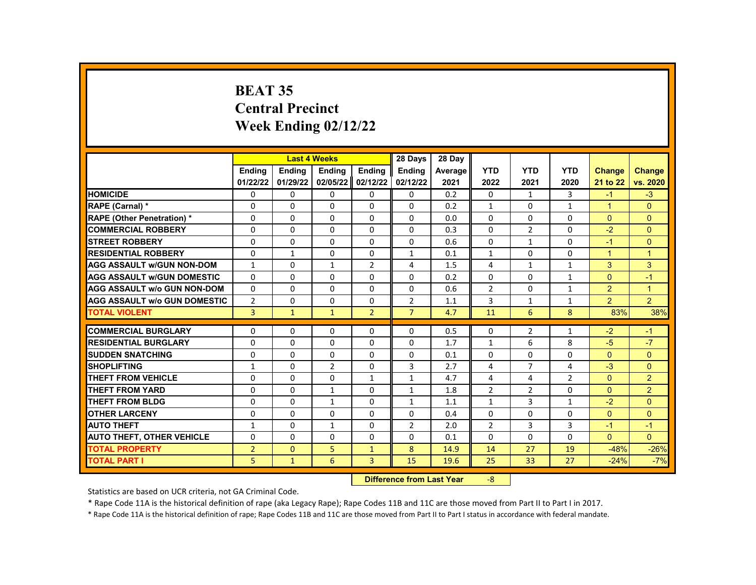# **BEAT 35 Central Precinct Week Ending 02/12/22**

|                                     |                | <b>Last 4 Weeks</b> |                |                | 28 Days        | 28 Day  |                |                |                |                |                |
|-------------------------------------|----------------|---------------------|----------------|----------------|----------------|---------|----------------|----------------|----------------|----------------|----------------|
|                                     | Ending         | <b>Ending</b>       | Ending         | <b>Endina</b>  | <b>Ending</b>  | Average | <b>YTD</b>     | <b>YTD</b>     | <b>YTD</b>     | <b>Change</b>  | <b>Change</b>  |
|                                     | 01/22/22       | 01/29/22            | 02/05/22       | 02/12/22       | 02/12/22       | 2021    | 2022           | 2021           | 2020           | 21 to 22       | vs. 2020       |
| <b>HOMICIDE</b>                     | 0              | 0                   | 0              | 0              | 0              | 0.2     | 0              | $\mathbf{1}$   | 3              | $-1$           | $-3$           |
| RAPE (Carnal) *                     | $\Omega$       | $\Omega$            | $\Omega$       | $\Omega$       | 0              | 0.2     | $\mathbf{1}$   | $\Omega$       | $\mathbf{1}$   | $\mathbf{1}$   | $\Omega$       |
| <b>RAPE (Other Penetration) *</b>   | $\Omega$       | $\Omega$            | $\Omega$       | 0              | $\Omega$       | 0.0     | $\Omega$       | $\Omega$       | $\Omega$       | $\Omega$       | $\Omega$       |
| <b>COMMERCIAL ROBBERY</b>           | 0              | 0                   | 0              | 0              | 0              | 0.3     | $\Omega$       | $\overline{2}$ | 0              | $-2$           | $\mathbf{0}$   |
| <b>STREET ROBBERY</b>               | $\Omega$       | $\Omega$            | $\Omega$       | $\Omega$       | 0              | 0.6     | $\Omega$       | $\mathbf{1}$   | $\Omega$       | $-1$           | $\Omega$       |
| <b>RESIDENTIAL ROBBERY</b>          | $\Omega$       | $\mathbf{1}$        | $\Omega$       | $\Omega$       | 1              | 0.1     | $\mathbf{1}$   | $\Omega$       | $\Omega$       | $\mathbf{1}$   | $\overline{1}$ |
| <b>AGG ASSAULT w/GUN NON-DOM</b>    | $\mathbf{1}$   | $\Omega$            | $\mathbf{1}$   | $\overline{2}$ | 4              | 1.5     | 4              | $\mathbf{1}$   | $\mathbf{1}$   | 3              | 3              |
| <b>AGG ASSAULT w/GUN DOMESTIC</b>   | $\Omega$       | 0                   | 0              | 0              | 0              | 0.2     | 0              | 0              | 1              | $\Omega$       | $-1$           |
| <b>AGG ASSAULT w/o GUN NON-DOM</b>  | $\Omega$       | $\mathbf 0$         | $\mathbf{0}$   | $\mathbf 0$    | $\Omega$       | 0.6     | $\overline{2}$ | $\Omega$       | 1              | $\overline{2}$ | $\overline{1}$ |
| <b>AGG ASSAULT w/o GUN DOMESTIC</b> | $\overline{2}$ | 0                   | 0              | 0              | $\overline{2}$ | 1.1     | 3              | 1              | 1              | $\overline{2}$ | $\overline{2}$ |
| <b>TOTAL VIOLENT</b>                | 3              | $\mathbf{1}$        | $\mathbf{1}$   | $\overline{2}$ | $\overline{7}$ | 4.7     | 11             | 6              | 8              | 83%            | 38%            |
|                                     |                |                     |                |                |                |         |                |                |                |                |                |
| <b>COMMERCIAL BURGLARY</b>          | 0              | 0                   | $\Omega$       | 0              | 0              | 0.5     | 0              | $\overline{2}$ | 1              | $-2$           | $-1$           |
| <b>RESIDENTIAL BURGLARY</b>         | $\mathbf 0$    | $\mathbf 0$         | $\Omega$       | $\mathbf 0$    | $\Omega$       | 1.7     | $\mathbf{1}$   | 6              | 8              | $-5$           | $-7$           |
| <b>SUDDEN SNATCHING</b>             | $\Omega$       | $\Omega$            | $\Omega$       | $\Omega$       | 0              | 0.1     | $\Omega$       | 0              | $\Omega$       | $\Omega$       | $\Omega$       |
| <b>SHOPLIFTING</b>                  | $\mathbf{1}$   | $\Omega$            | $\overline{2}$ | $\Omega$       | 3              | 2.7     | 4              | $\overline{7}$ | 4              | $-3$           | $\Omega$       |
| <b>THEFT FROM VEHICLE</b>           | 0              | 0                   | 0              | $\mathbf{1}$   | 1              | 4.7     | 4              | 4              | $\overline{2}$ | $\Omega$       | $\overline{2}$ |
| <b>THEFT FROM YARD</b>              | $\Omega$       | $\Omega$            | $\mathbf{1}$   | $\Omega$       | $\mathbf{1}$   | 1.8     | $\overline{2}$ | $\overline{2}$ | $\Omega$       | $\Omega$       | 2              |
| <b>THEFT FROM BLDG</b>              | 0              | $\Omega$            | $\mathbf{1}$   | 0              | $\mathbf{1}$   | 1.1     | $\mathbf{1}$   | 3              | $\mathbf{1}$   | $-2$           | $\Omega$       |
| <b>OTHER LARCENY</b>                | $\Omega$       | $\Omega$            | $\Omega$       | $\Omega$       | $\Omega$       | 0.4     | $\Omega$       | $\Omega$       | $\Omega$       | $\Omega$       | $\Omega$       |
| <b>AUTO THEFT</b>                   | $\mathbf{1}$   | $\Omega$            | $\mathbf{1}$   | $\Omega$       | $\overline{2}$ | 2.0     | $\overline{2}$ | 3              | 3              | $-1$           | $-1$           |
| <b>AUTO THEFT, OTHER VEHICLE</b>    | $\Omega$       | 0                   | $\Omega$       | 0              | 0              | 0.1     | 0              | 0              | $\Omega$       | $\overline{0}$ | $\Omega$       |
| <b>TOTAL PROPERTY</b>               | $\overline{2}$ | $\mathbf{0}$        | 5              | $\mathbf{1}$   | 8              | 14.9    | 14             | 27             | 19             | $-48%$         | $-26%$         |
| <b>TOTAL PART I</b>                 | 5              | $\mathbf{1}$        | 6              | 3              | 15             | 19.6    | 25             | 33             | 27             | $-24%$         | $-7%$          |
|                                     |                |                     |                | <b>INSECUL</b> |                |         |                |                |                |                |                |

**Difference from Last Year** -8

Statistics are based on UCR criteria, not GA Criminal Code.

\* Rape Code 11A is the historical definition of rape (aka Legacy Rape); Rape Codes 11B and 11C are those moved from Part II to Part I in 2017.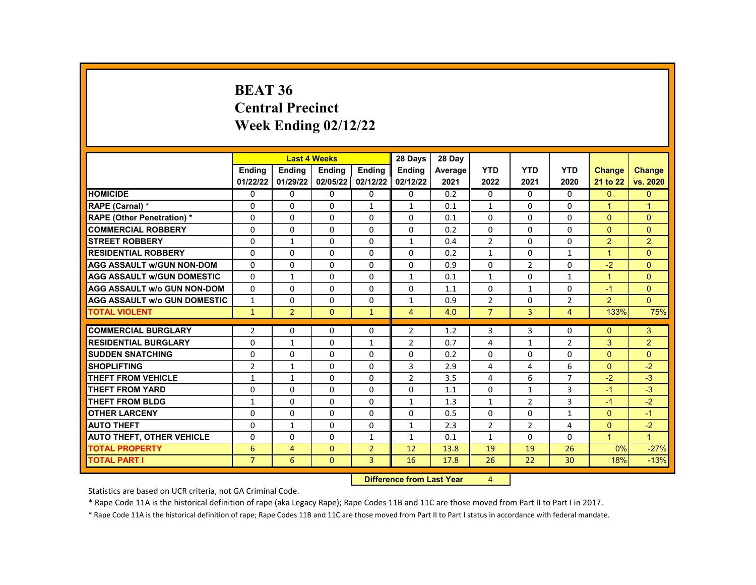#### **BEAT 36 Central Precinct Week Ending 02/12/22**

|                                     |                | <b>Last 4 Weeks</b> |               |                | 28 Days        | 28 Day  |                |                |                |               |                |
|-------------------------------------|----------------|---------------------|---------------|----------------|----------------|---------|----------------|----------------|----------------|---------------|----------------|
|                                     | <b>Endina</b>  | <b>Endina</b>       | <b>Endina</b> | <b>Endina</b>  | <b>Endina</b>  | Average | <b>YTD</b>     | <b>YTD</b>     | <b>YTD</b>     | <b>Change</b> | <b>Change</b>  |
|                                     | 01/22/22       | 01/29/22            | 02/05/22      | 02/12/22       | 02/12/22       | 2021    | 2022           | 2021           | 2020           | 21 to 22      | vs. 2020       |
| <b>HOMICIDE</b>                     | 0              | 0                   | 0             | 0              | 0              | 0.2     | $\mathbf{0}$   | 0              | 0              | $\mathbf{0}$  | $\mathbf{0}$   |
| RAPE (Carnal) *                     | 0              | $\Omega$            | $\Omega$      | $\mathbf{1}$   | $\mathbf{1}$   | 0.1     | $\mathbf{1}$   | 0              | $\Omega$       | $\mathbf{1}$  | $\overline{1}$ |
| RAPE (Other Penetration) *          | $\Omega$       | $\Omega$            | $\Omega$      | $\Omega$       | $\Omega$       | 0.1     | $\Omega$       | $\Omega$       | $\Omega$       | $\Omega$      | $\Omega$       |
| <b>COMMERCIAL ROBBERY</b>           | 0              | $\mathbf{0}$        | 0             | 0              | 0              | 0.2     | $\mathbf{0}$   | 0              | 0              | $\mathbf{0}$  | $\Omega$       |
| <b>STREET ROBBERY</b>               | 0              | $\mathbf{1}$        | 0             | 0              | $\mathbf{1}$   | 0.4     | 2              | 0              | 0              | 2             | 2              |
| <b>RESIDENTIAL ROBBERY</b>          | $\Omega$       | $\Omega$            | $\Omega$      | $\Omega$       | $\Omega$       | 0.2     | $\mathbf{1}$   | $\Omega$       | $\mathbf{1}$   | $\mathbf{1}$  | $\Omega$       |
| <b>AGG ASSAULT w/GUN NON-DOM</b>    | $\Omega$       | $\Omega$            | $\Omega$      | $\Omega$       | 0              | 0.9     | $\Omega$       | $\overline{2}$ | $\Omega$       | $-2$          | $\Omega$       |
| <b>AGG ASSAULT w/GUN DOMESTIC</b>   | $\Omega$       | $\mathbf{1}$        | $\Omega$      | $\Omega$       | $\mathbf{1}$   | 0.1     | $\mathbf{1}$   | $\Omega$       | $\mathbf{1}$   | $\mathbf{1}$  | $\Omega$       |
| <b>AGG ASSAULT w/o GUN NON-DOM</b>  | $\Omega$       | 0                   | $\Omega$      | $\Omega$       | $\Omega$       | 1.1     | $\Omega$       | $\mathbf{1}$   | $\Omega$       | $-1$          | $\Omega$       |
| <b>AGG ASSAULT w/o GUN DOMESTIC</b> | $\mathbf{1}$   | $\Omega$            | $\Omega$      | 0              | $\mathbf{1}$   | 0.9     | $\overline{2}$ | $\Omega$       | $\overline{2}$ | $\mathcal{P}$ | $\Omega$       |
| <b>TOTAL VIOLENT</b>                | $\mathbf{1}$   | $\overline{2}$      | $\Omega$      | $\mathbf{1}$   | 4              | 4.0     | $\overline{7}$ | 3              | $\overline{4}$ | 133%          | 75%            |
|                                     |                |                     |               |                |                |         |                |                |                |               |                |
| <b>COMMERCIAL BURGLARY</b>          | 2              | 0                   | 0             | 0              | $\overline{2}$ | 1.2     | 3              | 3              | $\Omega$       | $\Omega$      | 3              |
| <b>RESIDENTIAL BURGLARY</b>         | $\Omega$       | $\mathbf{1}$        | $\Omega$      | $\mathbf{1}$   | $\overline{2}$ | 0.7     | 4              | $\mathbf{1}$   | $\overline{2}$ | 3             | $\overline{2}$ |
| <b>SUDDEN SNATCHING</b>             | $\Omega$       | $\Omega$            | $\Omega$      | $\Omega$       | $\Omega$       | 0.2     | $\Omega$       | $\Omega$       | $\Omega$       | $\Omega$      | $\Omega$       |
| <b>SHOPLIFTING</b>                  | $\overline{2}$ | $\mathbf{1}$        | $\Omega$      | $\Omega$       | 3              | 2.9     | $\overline{4}$ | 4              | 6              | $\Omega$      | $-2$           |
| THEFT FROM VEHICLE                  | $\mathbf{1}$   | $\mathbf{1}$        | $\Omega$      | $\Omega$       | $\overline{2}$ | 3.5     | 4              | 6              | 7              | $-2$          | $-3$           |
| <b>THEFT FROM YARD</b>              | $\Omega$       | $\Omega$            | $\Omega$      | $\Omega$       | $\Omega$       | 1.1     | $\Omega$       | $\mathbf{1}$   | 3              | $-1$          | $-3$           |
| <b>THEFT FROM BLDG</b>              | $\mathbf{1}$   | $\Omega$            | $\Omega$      | $\Omega$       | 1              | 1.3     | $\mathbf{1}$   | $\overline{2}$ | 3              | $-1$          | $-2$           |
| <b>OTHER LARCENY</b>                | $\Omega$       | $\Omega$            | $\Omega$      | 0              | 0              | 0.5     | $\mathbf{0}$   | 0              | 1              | $\Omega$      | $-1$           |
| <b>AUTO THEFT</b>                   | $\Omega$       | $\mathbf{1}$        | $\Omega$      | $\Omega$       | $\mathbf{1}$   | 2.3     | $\overline{2}$ | $\overline{2}$ | $\overline{4}$ | $\Omega$      | $-2$           |
| <b>AUTO THEFT, OTHER VEHICLE</b>    | $\Omega$       | $\Omega$            | $\Omega$      | $\mathbf{1}$   | 1              | 0.1     | $\mathbf{1}$   | $\Omega$       | $\Omega$       | $\mathbf{1}$  | $\mathbf{1}$   |
| <b>TOTAL PROPERTY</b>               | 6              | 4                   | $\Omega$      | $\overline{2}$ | 12             | 13.8    | 19             | 19             | 26             | 0%            | $-27%$         |
| <b>TOTAL PART I</b>                 | $\overline{7}$ | 6                   | $\mathbf{0}$  | 3              | 16             | 17.8    | 26             | 22             | 30             | 18%           | $-13%$         |
|                                     |                |                     |               |                |                |         |                |                |                |               |                |

**Difference from Last Year** 4

Statistics are based on UCR criteria, not GA Criminal Code.

\* Rape Code 11A is the historical definition of rape (aka Legacy Rape); Rape Codes 11B and 11C are those moved from Part II to Part I in 2017.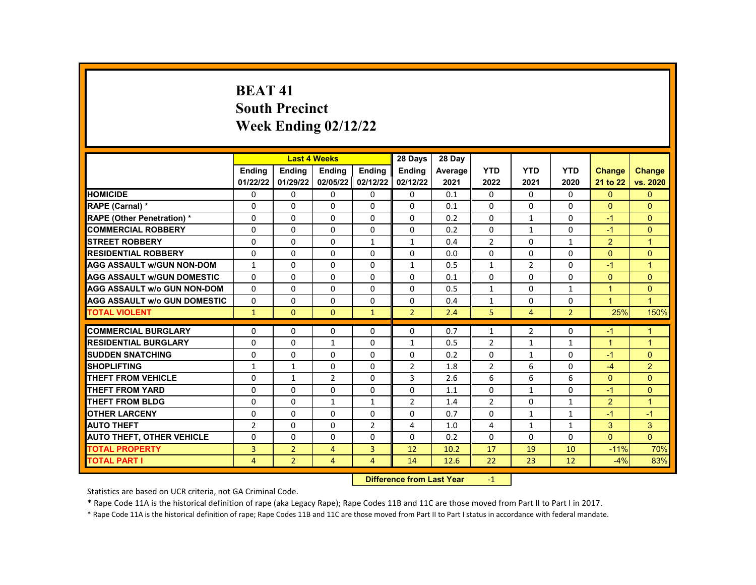# **BEAT 41 South Precinct Week Ending 02/12/22**

|                                     |                |                            | <b>Last 4 Weeks</b> |                | 28 Days        | 28 Day  |                |                |                |                      |                      |
|-------------------------------------|----------------|----------------------------|---------------------|----------------|----------------|---------|----------------|----------------|----------------|----------------------|----------------------|
|                                     | <b>Endina</b>  | <b>Endina</b>              | <b>Endina</b>       | <b>Endina</b>  | <b>Ending</b>  | Average | <b>YTD</b>     | <b>YTD</b>     | <b>YTD</b>     | <b>Change</b>        | <b>Change</b>        |
|                                     | 01/22/22       | 01/29/22                   | 02/05/22            | 02/12/22       | 02/12/22       | 2021    | 2022           | 2021           | 2020           | 21 to 22             | vs. 2020             |
| <b>HOMICIDE</b>                     | 0              | $\Omega$                   | $\Omega$            | 0              | $\Omega$       | 0.1     | $\Omega$       | $\Omega$       | $\Omega$       | $\Omega$             | $\mathbf{0}$         |
| <b>RAPE (Carnal) *</b>              | $\Omega$       | $\Omega$                   | $\Omega$            | $\Omega$       | $\Omega$       | 0.1     | $\Omega$       | $\Omega$       | $\Omega$       | $\Omega$             | $\Omega$             |
| <b>RAPE (Other Penetration) *</b>   | 0              | $\Omega$                   | $\Omega$            | 0              | $\Omega$       | 0.2     | $\Omega$       | $\mathbf{1}$   | $\Omega$       | $-1$                 | $\Omega$             |
| <b>COMMERCIAL ROBBERY</b>           | 0              | $\Omega$                   | $\Omega$            | 0              | 0              | 0.2     | $\Omega$       | $\mathbf{1}$   | $\Omega$       | $-1$                 | $\Omega$             |
| <b>STREET ROBBERY</b>               | $\Omega$       | $\Omega$                   | $\Omega$            | $\mathbf{1}$   | $\mathbf{1}$   | 0.4     | $\overline{2}$ | $\Omega$       | $\mathbf{1}$   | 2                    | $\overline{1}$       |
| <b>RESIDENTIAL ROBBERY</b>          | 0              | $\Omega$                   | $\Omega$            | $\Omega$       | $\Omega$       | 0.0     | $\Omega$       | $\mathbf{0}$   | $\Omega$       | $\Omega$             | $\Omega$             |
| <b>AGG ASSAULT w/GUN NON-DOM</b>    | $\mathbf{1}$   | $\Omega$                   | $\Omega$            | 0              | $\mathbf{1}$   | 0.5     | $\mathbf{1}$   | $\overline{2}$ | $\Omega$       | $-1$                 | $\overline{1}$       |
| <b>AGG ASSAULT W/GUN DOMESTIC</b>   | 0              | $\Omega$                   | $\Omega$            | $\Omega$       | $\Omega$       | 0.1     | $\Omega$       | $\Omega$       | $\Omega$       | $\Omega$             | $\Omega$             |
| <b>AGG ASSAULT w/o GUN NON-DOM</b>  | $\Omega$       | $\Omega$                   | $\Omega$            | $\Omega$       | $\Omega$       | 0.5     | $\mathbf{1}$   | $\Omega$       | $\mathbf{1}$   | $\overline{1}$       | $\Omega$             |
| <b>AGG ASSAULT W/o GUN DOMESTIC</b> | 0              | $\Omega$                   | $\Omega$            | 0              | 0              | 0.4     | $\mathbf{1}$   | $\mathbf{0}$   | $\Omega$       | $\blacktriangleleft$ | $\blacktriangleleft$ |
| <b>TOTAL VIOLENT</b>                | $\mathbf{1}$   | $\mathbf{0}$               | $\Omega$            | $\mathbf{1}$   | $\overline{2}$ | 2.4     | 5              | $\overline{4}$ | $\overline{2}$ | 25%                  | 150%                 |
|                                     |                |                            |                     |                |                |         |                |                |                |                      |                      |
| <b>COMMERCIAL BURGLARY</b>          | 0              | $\Omega$                   | $\Omega$            | 0              | $\Omega$       | 0.7     | $\mathbf{1}$   | $\overline{2}$ | $\Omega$       | $-1$                 | $\mathbf{1}$         |
| <b>RESIDENTIAL BURGLARY</b>         | 0              | $\Omega$                   | $\mathbf{1}$        | $\Omega$       | $\mathbf{1}$   | 0.5     | $\overline{2}$ | 1              | 1              | $\blacktriangleleft$ | $\overline{1}$       |
| <b>SUDDEN SNATCHING</b>             | $\Omega$       | $\Omega$                   | $\Omega$            | $\Omega$       | $\Omega$       | 0.2     | $\Omega$       | $\mathbf{1}$   | $\Omega$       | $-1$                 | $\Omega$             |
| <b>SHOPLIFTING</b>                  | 1              | $\mathbf{1}$               | $\Omega$            | $\Omega$       | $\overline{2}$ | 1.8     | $\overline{2}$ | 6              | $\mathbf{0}$   | $-4$                 | $\overline{2}$       |
| <b>THEFT FROM VEHICLE</b>           | 0              | $\mathbf{1}$               | $\overline{2}$      | $\Omega$       | 3              | 2.6     | 6              | 6              | 6              | $\Omega$             | $\Omega$             |
| <b>THEFT FROM YARD</b>              | 0              | $\Omega$                   | $\Omega$            | $\mathbf{0}$   | 0              | 1.1     | $\Omega$       | $\mathbf{1}$   | $\Omega$       | $-1$                 | $\Omega$             |
| <b>THEFT FROM BLDG</b>              | 0              | 0                          | $\mathbf{1}$        | $\mathbf{1}$   | $\overline{2}$ | 1.4     | $\overline{2}$ | $\mathbf{0}$   | 1              | 2                    | $\blacktriangleleft$ |
| <b>OTHER LARCENY</b>                | 0              | $\Omega$                   | $\Omega$            | $\Omega$       | $\Omega$       | 0.7     | $\Omega$       | 1              | 1              | $-1$                 | $-1$                 |
| <b>AUTO THEFT</b>                   | $\overline{2}$ | $\Omega$                   | $\Omega$            | $\overline{2}$ | 4              | 1.0     | 4              | $\mathbf{1}$   | $\mathbf{1}$   | 3                    | 3                    |
| <b>AUTO THEFT, OTHER VEHICLE</b>    | 0              | $\Omega$                   | $\Omega$            | 0              | 0              | 0.2     | $\Omega$       | $\Omega$       | $\Omega$       | $\mathbf{0}$         | $\mathbf{0}$         |
| <b>TOTAL PROPERTY</b>               | 3              | $\overline{2}$             | 4                   | 3              | 12             | 10.2    | 17             | 19             | 10             | $-11%$               | 70%                  |
| <b>TOTAL PART I</b>                 | 4              | $\overline{2}$             | $\overline{4}$      | $\overline{4}$ | 14             | 12.6    | 22             | 23             | 12             | $-4%$                | 83%                  |
|                                     | <b>INSECU</b>  | a a dheanna 1 an a 40 Main |                     | $\sim$         |                |         |                |                |                |                      |                      |

**Difference from Last Year** -1

Statistics are based on UCR criteria, not GA Criminal Code.

\* Rape Code 11A is the historical definition of rape (aka Legacy Rape); Rape Codes 11B and 11C are those moved from Part II to Part I in 2017.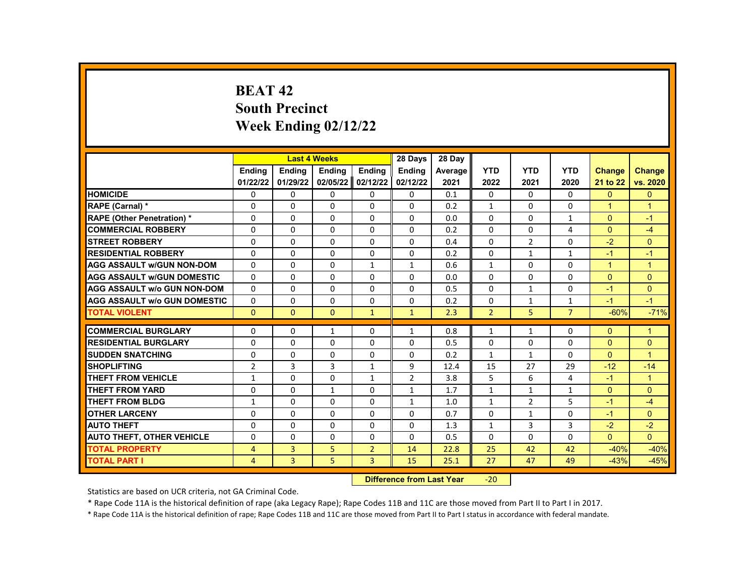# **BEAT 42 South Precinct Week Ending 02/12/22**

|                                     |                |               | <b>Last 4 Weeks</b> |                    | 28 Days                                                                                                                                                                                                                        | 28 Day  |                |                |                |               |                |
|-------------------------------------|----------------|---------------|---------------------|--------------------|--------------------------------------------------------------------------------------------------------------------------------------------------------------------------------------------------------------------------------|---------|----------------|----------------|----------------|---------------|----------------|
|                                     | <b>Endina</b>  | <b>Endina</b> | <b>Ending</b>       | Ending             | Ending                                                                                                                                                                                                                         | Average | <b>YTD</b>     | <b>YTD</b>     | <b>YTD</b>     | <b>Change</b> | <b>Change</b>  |
|                                     | 01/22/22       | 01/29/22      | 02/05/22            | 02/12/22           | 02/12/22                                                                                                                                                                                                                       | 2021    | 2022           | 2021           | 2020           | 21 to 22      | vs. 2020       |
| <b>HOMICIDE</b>                     | 0              | 0             | 0                   | 0                  | 0                                                                                                                                                                                                                              | 0.1     | 0              | 0              | 0              | $\mathbf{0}$  | $\mathbf{0}$   |
| RAPE (Carnal) *                     | $\Omega$       | $\Omega$      | $\Omega$            | $\Omega$           | $\Omega$                                                                                                                                                                                                                       | 0.2     | $\mathbf{1}$   | $\Omega$       | $\Omega$       | $\mathbf{1}$  | $\overline{1}$ |
| RAPE (Other Penetration) *          | $\Omega$       | $\Omega$      | $\Omega$            | $\Omega$           | $\Omega$                                                                                                                                                                                                                       | 0.0     | $\Omega$       | $\Omega$       | $\mathbf{1}$   | $\Omega$      | $-1$           |
| <b>COMMERCIAL ROBBERY</b>           | $\Omega$       | $\Omega$      | $\Omega$            | 0                  | $\Omega$                                                                                                                                                                                                                       | 0.2     | $\Omega$       | $\Omega$       | 4              | $\Omega$      | $-4$           |
| <b>STREET ROBBERY</b>               | 0              | 0             | 0                   | 0                  | 0                                                                                                                                                                                                                              | 0.4     | $\Omega$       | $\overline{2}$ | $\Omega$       | $-2$          | $\Omega$       |
| <b>RESIDENTIAL ROBBERY</b>          | $\Omega$       | $\Omega$      | $\Omega$            | $\Omega$           | $\Omega$                                                                                                                                                                                                                       | 0.2     | $\Omega$       | $\mathbf{1}$   | $\mathbf{1}$   | $-1$          | $-1$           |
| <b>AGG ASSAULT w/GUN NON-DOM</b>    | 0              | 0             | 0                   | $\mathbf{1}$       | 1                                                                                                                                                                                                                              | 0.6     | $\mathbf{1}$   | 0              | 0              | $\mathbf{1}$  | $\mathbf{1}$   |
| <b>AGG ASSAULT w/GUN DOMESTIC</b>   | $\Omega$       | 0             | $\Omega$            | 0                  | $\Omega$                                                                                                                                                                                                                       | 0.0     | $\Omega$       | 0              | $\Omega$       | $\Omega$      | $\mathbf{0}$   |
| <b>AGG ASSAULT w/o GUN NON-DOM</b>  | $\Omega$       | $\Omega$      | $\Omega$            | $\Omega$           | $\Omega$                                                                                                                                                                                                                       | 0.5     | $\Omega$       | $\mathbf{1}$   | $\Omega$       | $-1$          | $\Omega$       |
| <b>AGG ASSAULT w/o GUN DOMESTIC</b> | $\Omega$       | 0             | $\Omega$            | $\Omega$           | $\Omega$                                                                                                                                                                                                                       | 0.2     | 0              | $\mathbf{1}$   | $\mathbf{1}$   | $-1$          | $-1$           |
| <b>TOTAL VIOLENT</b>                | $\Omega$       | $\mathbf{0}$  | $\Omega$            | $\mathbf{1}$       | $\mathbf{1}$                                                                                                                                                                                                                   | 2.3     | $\overline{2}$ | 5              | $\overline{7}$ | $-60%$        | $-71%$         |
|                                     |                |               |                     |                    |                                                                                                                                                                                                                                |         |                |                |                |               |                |
| <b>COMMERCIAL BURGLARY</b>          | 0              | 0             | 1                   | 0                  | 1                                                                                                                                                                                                                              | 0.8     | $\mathbf{1}$   | 1              | 0              | $\Omega$      | $\mathbf{1}$   |
| <b>RESIDENTIAL BURGLARY</b>         | $\Omega$       | $\Omega$      | $\Omega$            | $\Omega$           | $\Omega$                                                                                                                                                                                                                       | 0.5     | $\Omega$       | $\Omega$       | $\Omega$       | $\Omega$      | $\mathbf{0}$   |
| <b>SUDDEN SNATCHING</b>             | $\Omega$       | $\Omega$      | $\Omega$            | $\Omega$           | $\Omega$                                                                                                                                                                                                                       | 0.2     | $\mathbf{1}$   | $\mathbf{1}$   | $\Omega$       | $\Omega$      | $\overline{1}$ |
| <b>SHOPLIFTING</b>                  | $\overline{2}$ | 3             | 3                   | $\mathbf{1}$       | 9                                                                                                                                                                                                                              | 12.4    | 15             | 27             | 29             | $-12$         | $-14$          |
| <b>THEFT FROM VEHICLE</b>           | $\mathbf{1}$   | $\Omega$      | $\Omega$            | $\mathbf{1}$       | $\overline{2}$                                                                                                                                                                                                                 | 3.8     | 5              | 6              | 4              | $-1$          | $\mathbf{1}$   |
| <b>THEFT FROM YARD</b>              | $\Omega$       | $\Omega$      | $\mathbf{1}$        | $\Omega$           | $\mathbf{1}$                                                                                                                                                                                                                   | 1.7     | $\mathbf{1}$   | $\mathbf{1}$   | $\mathbf{1}$   | $\Omega$      | $\Omega$       |
| <b>THEFT FROM BLDG</b>              | $\mathbf{1}$   | $\Omega$      | $\Omega$            | $\Omega$           | $\mathbf{1}$                                                                                                                                                                                                                   | 1.0     | $\mathbf{1}$   | $\overline{2}$ | 5              | $-1$          | $-4$           |
| <b>OTHER LARCENY</b>                | 0              | 0             | $\Omega$            | 0                  | 0                                                                                                                                                                                                                              | 0.7     | $\Omega$       | $\mathbf{1}$   | $\Omega$       | $-1$          | $\Omega$       |
| <b>AUTO THEFT</b>                   | $\Omega$       | $\Omega$      | $\Omega$            | $\Omega$           | $\Omega$                                                                                                                                                                                                                       | 1.3     | $\mathbf{1}$   | 3              | 3              | $-2$          | $-2$           |
| <b>AUTO THEFT, OTHER VEHICLE</b>    | $\Omega$       | $\Omega$      | $\Omega$            | 0                  | 0                                                                                                                                                                                                                              | 0.5     | $\Omega$       | 0              | $\Omega$       | $\Omega$      | $\Omega$       |
| <b>TOTAL PROPERTY</b>               | 4              | 3             | 5                   | $\overline{2}$     | 14                                                                                                                                                                                                                             | 22.8    | 25             | 42             | 42             | $-40%$        | $-40%$         |
| <b>TOTAL PART I</b>                 | 4              | 3             | 5                   | 3                  | 15                                                                                                                                                                                                                             | 25.1    | 27             | 47             | 49             | $-43%$        | $-45%$         |
|                                     |                |               |                     | <b>CARLO CARDS</b> | and the company of the State of the State of the State of the State of the State of the State of the State of the State of the State of the State of the State of the State of the State of the State of the State of the Stat |         | $\sim$ $\sim$  |                |                |               |                |

**Difference from Last Year -20** 

Statistics are based on UCR criteria, not GA Criminal Code.

\* Rape Code 11A is the historical definition of rape (aka Legacy Rape); Rape Codes 11B and 11C are those moved from Part II to Part I in 2017.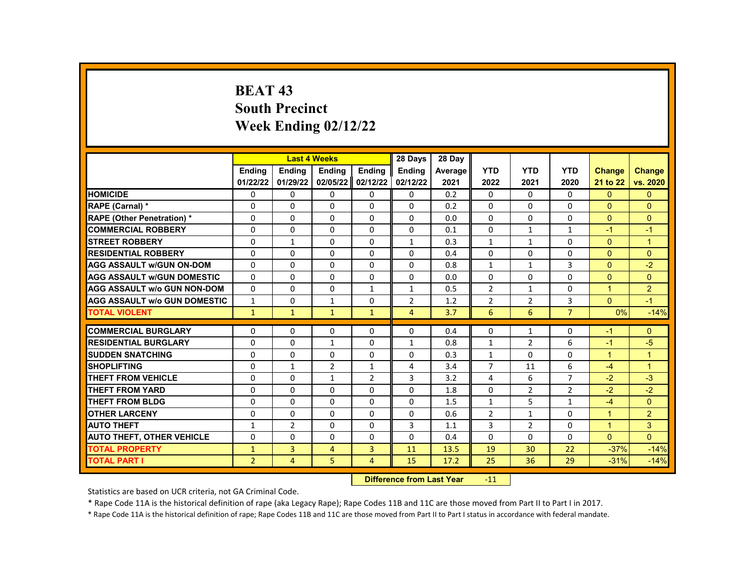# **BEAT 43 South Precinct Week Ending 02/12/22**

|                                     |                | <b>Last 4 Weeks</b> |                |                | 28 Days                | 28 Day  |                |                |                |               |                |
|-------------------------------------|----------------|---------------------|----------------|----------------|------------------------|---------|----------------|----------------|----------------|---------------|----------------|
|                                     | <b>Endina</b>  | <b>Endina</b>       | Ending         | <b>Endina</b>  | <b>Endina</b>          | Average | <b>YTD</b>     | <b>YTD</b>     | <b>YTD</b>     | <b>Change</b> | <b>Change</b>  |
|                                     | 01/22/22       | 01/29/22            | 02/05/22       | 02/12/22       | 02/12/22               | 2021    | 2022           | 2021           | 2020           | 21 to 22      | vs. 2020       |
| <b>HOMICIDE</b>                     | 0              | 0                   | 0              | 0              | $\mathbf{0}$           | 0.2     | $\mathbf{0}$   | 0              | 0              | $\mathbf{0}$  | $\mathbf{0}$   |
| RAPE (Carnal) *                     | 0              | 0                   | 0              | 0              | $\Omega$               | 0.2     | $\Omega$       | 0              | 0              | $\mathbf{0}$  | $\Omega$       |
| <b>RAPE (Other Penetration) *</b>   | 0              | $\Omega$            | $\Omega$       | $\Omega$       | $\Omega$               | 0.0     | $\Omega$       | $\Omega$       | $\Omega$       | $\Omega$      | $\Omega$       |
| <b>COMMERCIAL ROBBERY</b>           | 0              | 0                   | 0              | 0              | 0                      | 0.1     | $\mathbf{0}$   | $\mathbf{1}$   | 1              | $-1$          | $-1$           |
| <b>STREET ROBBERY</b>               | 0              | $\mathbf{1}$        | 0              | $\Omega$       | $\mathbf{1}$           | 0.3     | $\mathbf{1}$   | $\mathbf{1}$   | $\Omega$       | $\Omega$      | $\overline{1}$ |
| <b>RESIDENTIAL ROBBERY</b>          | $\Omega$       | $\Omega$            | $\Omega$       | $\Omega$       | $\Omega$               | 0.4     | $\Omega$       | $\Omega$       | $\Omega$       | $\Omega$      | $\Omega$       |
| <b>AGG ASSAULT w/GUN ON-DOM</b>     | $\Omega$       | $\Omega$            | $\Omega$       | 0              | $\Omega$               | 0.8     | $\mathbf{1}$   | $\mathbf{1}$   | 3              | $\Omega$      | $-2$           |
| <b>AGG ASSAULT w/GUN DOMESTIC</b>   | $\Omega$       | $\Omega$            | 0              | 0              | $\Omega$               | 0.0     | 0              | $\Omega$       | $\Omega$       | $\Omega$      | $\Omega$       |
| <b>AGG ASSAULT w/o GUN NON-DOM</b>  | $\Omega$       | $\Omega$            | $\Omega$       | $\mathbf{1}$   | $\mathbf{1}$           | 0.5     | $\overline{2}$ | $\mathbf{1}$   | $\Omega$       | $\mathbf{1}$  | 2              |
| <b>AGG ASSAULT w/o GUN DOMESTIC</b> | 1              | 0                   | $\mathbf{1}$   | 0              | $\overline{2}$         | 1.2     | $\overline{2}$ | $\overline{2}$ | 3              | $\Omega$      | $-1$           |
| <b>TOTAL VIOLENT</b>                | $\mathbf{1}$   | $\mathbf{1}$        | $\mathbf{1}$   | $\mathbf{1}$   | $\overline{4}$         | 3.7     | 6              | 6              | $\overline{7}$ | 0%            | $-14%$         |
|                                     |                |                     |                |                |                        |         |                |                |                |               |                |
| <b>COMMERCIAL BURGLARY</b>          | 0              | 0                   | 0              | 0              | 0                      | 0.4     | $\Omega$       | $\mathbf{1}$   | 0              | $-1$          | $\Omega$       |
| <b>RESIDENTIAL BURGLARY</b>         | 0              | 0                   | $\mathbf{1}$   | 0              | $\mathbf{1}$           | 0.8     | $\mathbf{1}$   | $\overline{2}$ | 6              | $-1$          | $-5$           |
| <b>SUDDEN SNATCHING</b>             | $\Omega$       | $\Omega$            | $\Omega$       | 0              | $\Omega$               | 0.3     | $\mathbf{1}$   | $\Omega$       | $\Omega$       | $\mathbf{1}$  | $\overline{1}$ |
| <b>SHOPLIFTING</b>                  | 0              | $\mathbf{1}$        | $\overline{2}$ | 1              | $\overline{4}$         | 3.4     | $\overline{7}$ | 11             | 6              | $-4$          | $\mathbf{1}$   |
| <b>THEFT FROM VEHICLE</b>           | $\Omega$       | 0                   | $\mathbf{1}$   | $\overline{2}$ | 3                      | 3.2     | 4              | 6              | $\overline{7}$ | $-2$          | $-3$           |
| <b>THEFT FROM YARD</b>              | $\Omega$       | $\Omega$            | $\Omega$       | $\Omega$       | $\Omega$               | 1.8     | $\Omega$       | $\overline{2}$ | 2              | $-2$          | $-2$           |
| <b>THEFT FROM BLDG</b>              | 0              | $\Omega$            | 0              | $\Omega$       | 0                      | 1.5     | $\mathbf{1}$   | 5              | $\mathbf{1}$   | $-4$          | $\Omega$       |
| <b>OTHER LARCENY</b>                | $\Omega$       | $\Omega$            | $\Omega$       | $\Omega$       | $\Omega$               | 0.6     | $\overline{2}$ | $\mathbf{1}$   | $\Omega$       | $\mathbf{1}$  | 2              |
| <b>AUTO THEFT</b>                   | $\mathbf{1}$   | $\overline{2}$      | 0              | $\Omega$       | $\overline{3}$         | 1.1     | 3              | $\overline{2}$ | $\Omega$       | $\mathbf{1}$  | 3              |
| <b>AUTO THEFT, OTHER VEHICLE</b>    | 0              | 0                   | $\Omega$       | 0              | 0                      | 0.4     | $\mathbf{0}$   | 0              | $\Omega$       | $\Omega$      | $\Omega$       |
| <b>TOTAL PROPERTY</b>               | $\mathbf{1}$   | $\overline{3}$      | 4              | 3              | 11                     | 13.5    | 19             | 30             | 22             | $-37%$        | $-14%$         |
| <b>TOTAL PART I</b>                 | $\overline{2}$ | $\overline{4}$      | 5              | $\overline{4}$ | 15                     | 17.2    | 25             | 36             | 29             | $-31%$        | $-14%$         |
|                                     |                |                     |                | <b>INSECUL</b> | a a dheann 1 anns Main |         | $\overline{A}$ |                |                |               |                |

**Difference from Last Year -11** 

Statistics are based on UCR criteria, not GA Criminal Code.

\* Rape Code 11A is the historical definition of rape (aka Legacy Rape); Rape Codes 11B and 11C are those moved from Part II to Part I in 2017.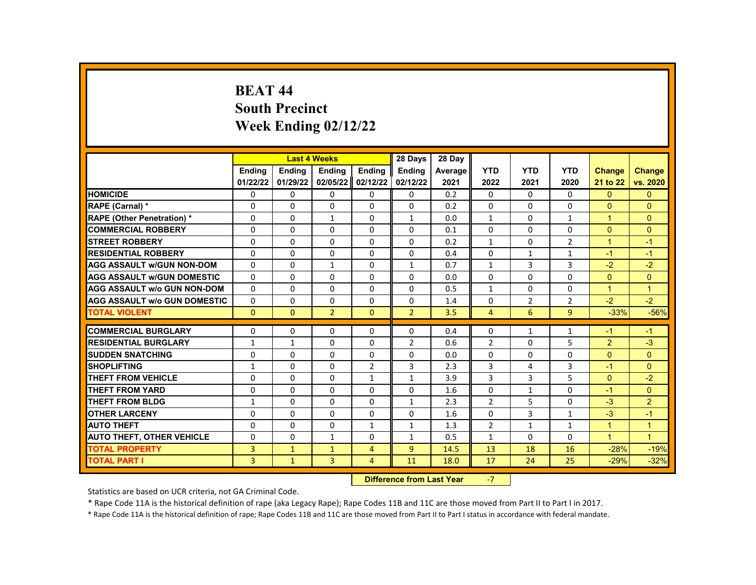# **BEAT 44 South Precinct Week Ending 02/12/22**

|                                     |               |               | <b>Last 4 Weeks</b> |                | 28 Days                   | 28 Day  |                |                |                |                |                      |
|-------------------------------------|---------------|---------------|---------------------|----------------|---------------------------|---------|----------------|----------------|----------------|----------------|----------------------|
|                                     | <b>Endina</b> | <b>Endina</b> | <b>Endina</b>       | <b>Endina</b>  | <b>Endina</b>             | Average | <b>YTD</b>     | <b>YTD</b>     | <b>YTD</b>     | <b>Change</b>  | <b>Change</b>        |
|                                     | 01/22/22      | 01/29/22      | 02/05/22            | 02/12/22       | 02/12/22                  | 2021    | 2022           | 2021           | 2020           | 21 to 22       | vs. 2020             |
| <b>HOMICIDE</b>                     | 0             | 0             | 0                   | 0              | 0                         | 0.2     | $\mathbf{0}$   | $\mathbf{0}$   | $\Omega$       | $\mathbf{0}$   | $\mathbf{0}$         |
| RAPE (Carnal) *                     | 0             | $\Omega$      | $\Omega$            | $\Omega$       | $\Omega$                  | 0.2     | $\Omega$       | $\mathbf{0}$   | $\Omega$       | $\Omega$       | $\Omega$             |
| <b>RAPE (Other Penetration) *</b>   | $\Omega$      | $\Omega$      | $\mathbf{1}$        | $\Omega$       | $\mathbf{1}$              | 0.0     | $\mathbf{1}$   | $\Omega$       | $\mathbf{1}$   | $\mathbf{1}$   | $\Omega$             |
| <b>COMMERCIAL ROBBERY</b>           | 0             | 0             | 0                   | 0              | 0                         | 0.1     | $\mathbf{0}$   | $\mathbf{0}$   | 0              | $\Omega$       | $\Omega$             |
| <b>STREET ROBBERY</b>               | $\Omega$      | 0             | $\Omega$            | $\Omega$       | $\Omega$                  | 0.2     | $\mathbf{1}$   | $\mathbf{0}$   | $\overline{2}$ | $\mathbf{1}$   | $-1$                 |
| <b>RESIDENTIAL ROBBERY</b>          | $\Omega$      | $\Omega$      | $\Omega$            | 0              | $\Omega$                  | 0.4     | $\Omega$       | $\mathbf{1}$   | $\mathbf{1}$   | $-1$           | $-1$                 |
| <b>AGG ASSAULT w/GUN NON-DOM</b>    | $\Omega$      | 0             | $\mathbf{1}$        | 0              | $\mathbf{1}$              | 0.7     | $\mathbf{1}$   | 3              | 3              | $-2$           | $-2$                 |
| <b>AGG ASSAULT w/GUN DOMESTIC</b>   | $\Omega$      | $\Omega$      | 0                   | $\Omega$       | $\Omega$                  | 0.0     | $\Omega$       | $\Omega$       | $\Omega$       | $\Omega$       | $\Omega$             |
| <b>AGG ASSAULT w/o GUN NON-DOM</b>  | $\Omega$      | $\Omega$      | $\Omega$            | $\Omega$       | $\Omega$                  | 0.5     | $\mathbf{1}$   | $\Omega$       | $\Omega$       | $\mathbf{1}$   | $\mathbf{1}$         |
| <b>AGG ASSAULT w/o GUN DOMESTIC</b> | 0             | 0             | 0                   | 0              | 0                         | 1.4     | $\Omega$       | $\overline{2}$ | 2              | $-2$           | $-2$                 |
| <b>TOTAL VIOLENT</b>                | $\mathbf{0}$  | $\mathbf{0}$  | $\overline{2}$      | $\mathbf{0}$   | $\overline{2}$            | 3.5     | 4              | 6              | 9              | $-33%$         | $-56%$               |
| <b>COMMERCIAL BURGLARY</b>          |               |               |                     |                |                           |         |                |                |                |                |                      |
|                                     | 0             | 0             | 0<br>$\Omega$       | 0              | $\Omega$                  | 0.4     | 0              | 1              | 1              | $-1$           | $-1$<br>$-3$         |
| <b>RESIDENTIAL BURGLARY</b>         | $\mathbf{1}$  | $\mathbf{1}$  |                     | $\Omega$       | $\overline{2}$            | 0.6     | $\overline{2}$ | $\Omega$       | 5              | $\overline{2}$ |                      |
| <b>SUDDEN SNATCHING</b>             | 0             | $\Omega$      | 0                   | $\Omega$       | $\Omega$                  | 0.0     | $\Omega$       | $\Omega$       | $\Omega$       | $\Omega$       | $\Omega$             |
| <b>SHOPLIFTING</b>                  | $\mathbf{1}$  | 0             | 0                   | $\overline{2}$ | 3                         | 2.3     | 3              | 4              | 3              | $-1$           | $\Omega$             |
| <b>THEFT FROM VEHICLE</b>           | 0             | 0             | $\Omega$            | $\mathbf{1}$   | $\mathbf{1}$              | 3.9     | 3              | 3              | 5              | $\mathbf{0}$   | $-2$                 |
| <b>THEFT FROM YARD</b>              | 0             | $\Omega$      | $\Omega$            | $\Omega$       | $\Omega$                  | 1.6     | $\Omega$       | $\mathbf{1}$   | $\Omega$       | $-1$           | $\Omega$             |
| <b>THEFT FROM BLDG</b>              | $\mathbf{1}$  | $\Omega$      | 0                   | $\Omega$       | $\mathbf{1}$              | 2.3     | $\overline{2}$ | 5              | $\Omega$       | $-3$           | $\overline{2}$       |
| <b>OTHER LARCENY</b>                | 0             | 0             | $\Omega$            | $\mathbf 0$    | 0                         | 1.6     | $\mathbf 0$    | 3              | $\mathbf{1}$   | $-3$           | $-1$                 |
| <b>AUTO THEFT</b>                   | 0             | 0             | $\Omega$            | $\mathbf{1}$   | $\mathbf{1}$              | 1.3     | $\overline{2}$ | $\mathbf{1}$   | $\mathbf{1}$   | $\mathbf{1}$   | $\blacktriangleleft$ |
| <b>AUTO THEFT, OTHER VEHICLE</b>    | $\Omega$      | $\Omega$      | $\mathbf{1}$        | $\Omega$       | $\mathbf{1}$              | 0.5     | $\mathbf{1}$   | $\mathbf{0}$   | $\Omega$       | $\mathbf{1}$   | $\overline{1}$       |
| <b>TOTAL PROPERTY</b>               | 3             | $\mathbf{1}$  | $\mathbf{1}$        | $\overline{4}$ | 9                         | 14.5    | 13             | 18             | 16             | $-28%$         | $-19%$               |
| <b>TOTAL PART I</b>                 | 3             | $\mathbf{1}$  | 3                   | 4              | 11                        | 18.0    | 17             | 24             | 25             | $-29%$         | $-32%$               |
|                                     |               |               |                     |                | Difference from Loot Voor |         | $\overline{ }$ |                |                |                |                      |

**Difference from Last Year** 

Statistics are based on UCR criteria, not GA Criminal Code.

\* Rape Code 11A is the historical definition of rape (aka Legacy Rape); Rape Codes 11B and 11C are those moved from Part II to Part I in 2017.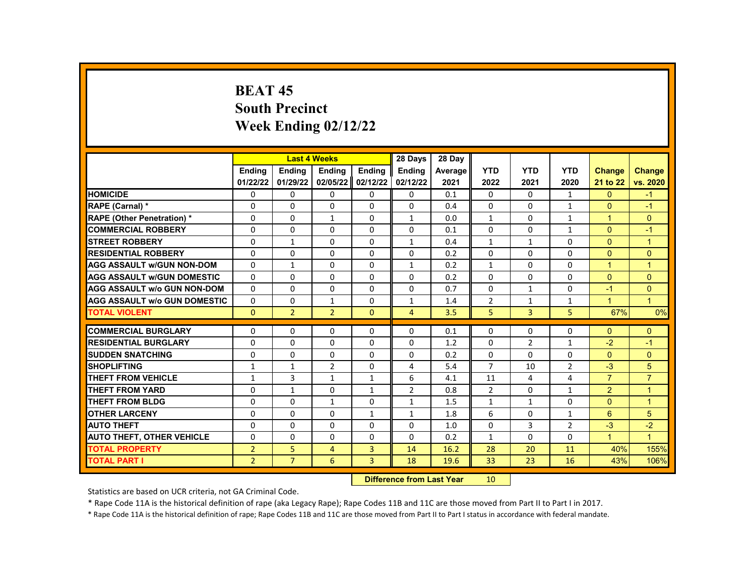# **BEAT 45 South Precinct Week Ending 02/12/22**

|                                     |                |                | <b>Last 4 Weeks</b> |               | 28 Days        | 28 Day         |                |                |                |                |                      |
|-------------------------------------|----------------|----------------|---------------------|---------------|----------------|----------------|----------------|----------------|----------------|----------------|----------------------|
|                                     | <b>Endina</b>  | <b>Endina</b>  | <b>Ending</b>       | <b>Endina</b> | <b>Endina</b>  | <b>Average</b> | <b>YTD</b>     | <b>YTD</b>     | <b>YTD</b>     | <b>Change</b>  | <b>Change</b>        |
|                                     | 01/22/22       | 01/29/22       | 02/05/22            | 02/12/22      | 02/12/22       | 2021           | 2022           | 2021           | 2020           | 21 to 22       | vs. 2020             |
| <b>HOMICIDE</b>                     | 0              | 0              | 0                   | 0             | 0              | 0.1            | $\mathbf{0}$   | $\mathbf{0}$   | $\mathbf{1}$   | $\mathbf{0}$   | $-1$                 |
| RAPE (Carnal) *                     | 0              | $\Omega$       | $\Omega$            | $\Omega$      | $\Omega$       | 0.4            | $\Omega$       | $\mathbf{0}$   | $\mathbf{1}$   | $\Omega$       | $-1$                 |
| <b>RAPE (Other Penetration) *</b>   | $\Omega$       | $\Omega$       | $\mathbf{1}$        | $\Omega$      | $\mathbf{1}$   | 0.0            | $\mathbf{1}$   | $\Omega$       | $\mathbf{1}$   | $\mathbf{1}$   | $\Omega$             |
| <b>COMMERCIAL ROBBERY</b>           | 0              | 0              | 0                   | 0             | 0              | 0.1            | $\mathbf{0}$   | $\mathbf{0}$   | $\mathbf{1}$   | $\Omega$       | $-1$                 |
| <b>STREET ROBBERY</b>               | 0              | $\mathbf{1}$   | $\Omega$            | 0             | $\mathbf{1}$   | 0.4            | $\mathbf{1}$   | $\mathbf{1}$   | $\Omega$       | $\Omega$       | $\overline{1}$       |
| <b>RESIDENTIAL ROBBERY</b>          | $\Omega$       | $\Omega$       | $\Omega$            | 0             | $\Omega$       | 0.2            | $\Omega$       | $\Omega$       | $\Omega$       | $\Omega$       | $\Omega$             |
| <b>AGG ASSAULT w/GUN NON-DOM</b>    | $\Omega$       | 1              | 0                   | 0             | $\mathbf{1}$   | 0.2            | $\mathbf{1}$   | 0              | $\Omega$       | 1              | $\mathbf{1}$         |
| <b>AGG ASSAULT w/GUN DOMESTIC</b>   | $\Omega$       | $\Omega$       | 0                   | $\Omega$      | $\Omega$       | 0.2            | $\Omega$       | $\Omega$       | $\Omega$       | $\Omega$       | $\Omega$             |
| <b>AGG ASSAULT w/o GUN NON-DOM</b>  | $\Omega$       | $\Omega$       | $\Omega$            | $\Omega$      | $\Omega$       | 0.7            | $\Omega$       | $\mathbf{1}$   | $\Omega$       | $-1$           | $\mathbf{0}$         |
| <b>AGG ASSAULT w/o GUN DOMESTIC</b> | 0              | 0              | 1                   | 0             | $\mathbf{1}$   | 1.4            | 2              | $\mathbf{1}$   | 1              | $\mathbf{1}$   | $\mathbf{1}$         |
| <b>TOTAL VIOLENT</b>                | $\mathbf{0}$   | $\overline{2}$ | $\overline{2}$      | $\mathbf{0}$  | $\overline{4}$ | 3.5            | 5              | 3              | 5              | 67%            | 0%                   |
| <b>COMMERCIAL BURGLARY</b>          | 0              | 0              | 0                   | 0             | $\Omega$       | 0.1            | 0              | 0              | 0              | $\Omega$       | $\Omega$             |
| <b>RESIDENTIAL BURGLARY</b>         | $\Omega$       | $\Omega$       | $\Omega$            | $\Omega$      | $\Omega$       | 1.2            | $\Omega$       | $\overline{2}$ | $\mathbf{1}$   | $-2$           | $-1$                 |
| <b>SUDDEN SNATCHING</b>             | 0              | $\Omega$       | 0                   | $\Omega$      | $\Omega$       | 0.2            | $\Omega$       | $\Omega$       | $\Omega$       | $\Omega$       | $\Omega$             |
| <b>SHOPLIFTING</b>                  | $\mathbf{1}$   | $\mathbf{1}$   | $\overline{2}$      | 0             | 4              | 5.4            | $\overline{7}$ | 10             | $\overline{2}$ | $-3$           | 5                    |
| <b>THEFT FROM VEHICLE</b>           | 1              | 3              | $\mathbf{1}$        | $\mathbf{1}$  | 6              | 4.1            | 11             | 4              | 4              | $\overline{7}$ | $\overline{7}$       |
| <b>THEFT FROM YARD</b>              | $\Omega$       | $\mathbf{1}$   | $\Omega$            | $\mathbf{1}$  | $\overline{2}$ | 0.8            | $\overline{2}$ | $\Omega$       | $\mathbf{1}$   | $\overline{2}$ | $\overline{1}$       |
| <b>THEFT FROM BLDG</b>              | 0              | $\Omega$       | $\mathbf{1}$        | $\Omega$      | $\mathbf{1}$   | 1.5            | $\mathbf{1}$   | $\mathbf{1}$   | $\Omega$       | $\Omega$       | $\overline{1}$       |
| <b>OTHER LARCENY</b>                | 0              | 0              | $\Omega$            | $\mathbf{1}$  | $\mathbf{1}$   | 1.8            | 6              | $\mathbf{0}$   | $\mathbf{1}$   | 6              | 5                    |
| <b>AUTO THEFT</b>                   | 0              | 0              | $\Omega$            | 0             | $\Omega$       | 1.0            | $\Omega$       | 3              | 2              | $-3$           | $-2$                 |
| <b>AUTO THEFT, OTHER VEHICLE</b>    | $\Omega$       | $\Omega$       | $\Omega$            | $\Omega$      | $\Omega$       | 0.2            | $\mathbf{1}$   | $\Omega$       | $\Omega$       | $\mathbf{1}$   | $\blacktriangleleft$ |
| <b>TOTAL PROPERTY</b>               | $\overline{2}$ | 5              | 4                   | 3             | 14             | 16.2           | 28             | 20             | 11             | 40%            | 155%                 |
| <b>TOTAL PART I</b>                 | $\overline{2}$ | $\overline{7}$ | 6                   | 3             | 18             | 19.6           | 33             | 23             | 16             | 43%            | 106%                 |
|                                     |                |                |                     |               |                |                |                |                |                |                |                      |

**Difference from Last Year** 10

Statistics are based on UCR criteria, not GA Criminal Code.

\* Rape Code 11A is the historical definition of rape (aka Legacy Rape); Rape Codes 11B and 11C are those moved from Part II to Part I in 2017.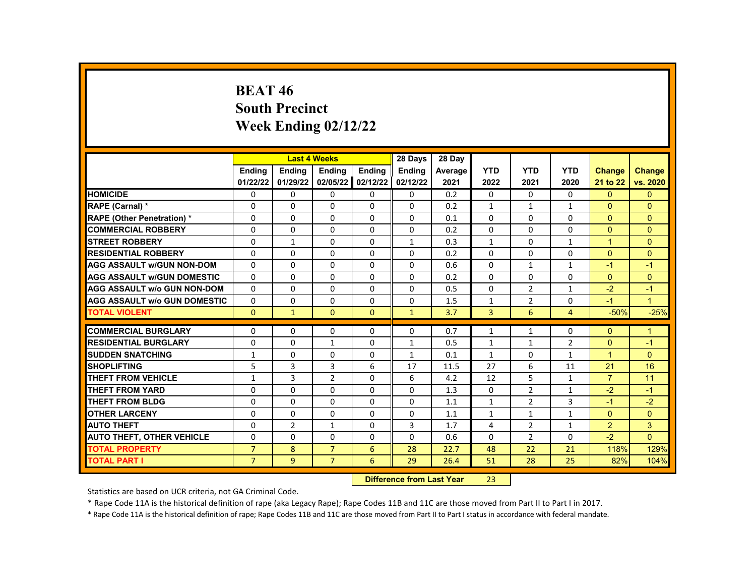# **BEAT 46 South Precinct Week Ending 02/12/22**

|                                     |                |                | <b>Last 4 Weeks</b> |               | 28 Days                          | 28 Day  |                |                |                |                |              |
|-------------------------------------|----------------|----------------|---------------------|---------------|----------------------------------|---------|----------------|----------------|----------------|----------------|--------------|
|                                     | <b>Endina</b>  | <b>Endina</b>  | <b>Ending</b>       | <b>Endina</b> | <b>Endina</b>                    | Average | <b>YTD</b>     | <b>YTD</b>     | <b>YTD</b>     | <b>Change</b>  | Change       |
|                                     | 01/22/22       | 01/29/22       | 02/05/22            | 02/12/22      | 02/12/22                         | 2021    | 2022           | 2021           | 2020           | 21 to 22       | vs. 2020     |
| <b>HOMICIDE</b>                     | 0              | 0              | 0                   | 0             | 0                                | 0.2     | 0              | 0              | 0              | $\mathbf{0}$   | $\mathbf{0}$ |
| RAPE (Carnal) *                     | $\Omega$       | $\Omega$       | $\Omega$            | $\Omega$      | $\Omega$                         | 0.2     | $\mathbf{1}$   | $\mathbf{1}$   | $\mathbf{1}$   | $\Omega$       | $\Omega$     |
| <b>RAPE (Other Penetration) *</b>   | $\Omega$       | $\Omega$       | $\Omega$            | $\Omega$      | $\Omega$                         | 0.1     | $\Omega$       | $\Omega$       | $\Omega$       | $\Omega$       | $\Omega$     |
| <b>COMMERCIAL ROBBERY</b>           | 0              | 0              | 0                   | 0             | 0                                | 0.2     | $\Omega$       | 0              | $\Omega$       | $\Omega$       | $\Omega$     |
| <b>STREET ROBBERY</b>               | $\Omega$       | $\mathbf{1}$   | $\Omega$            | $\Omega$      | $\mathbf{1}$                     | 0.3     | $\mathbf{1}$   | $\Omega$       | $\mathbf{1}$   | $\mathbf{1}$   | $\Omega$     |
| <b>RESIDENTIAL ROBBERY</b>          | $\Omega$       | $\Omega$       | $\Omega$            | $\Omega$      | $\Omega$                         | 0.2     | $\Omega$       | $\Omega$       | $\Omega$       | $\Omega$       | $\Omega$     |
| <b>AGG ASSAULT w/GUN NON-DOM</b>    | $\Omega$       | $\Omega$       | $\Omega$            | $\Omega$      | $\Omega$                         | 0.6     | $\Omega$       | $\mathbf{1}$   | $\mathbf{1}$   | $-1$           | $-1$         |
| <b>AGG ASSAULT w/GUN DOMESTIC</b>   | $\Omega$       | $\Omega$       | $\Omega$            | $\Omega$      | $\Omega$                         | 0.2     | $\Omega$       | $\Omega$       | $\Omega$       | $\Omega$       | $\Omega$     |
| <b>AGG ASSAULT w/o GUN NON-DOM</b>  | $\Omega$       | $\Omega$       | $\Omega$            | $\Omega$      | $\Omega$                         | 0.5     | $\Omega$       | $\overline{2}$ | 1              | $-2$           | $-1$         |
| <b>AGG ASSAULT w/o GUN DOMESTIC</b> | $\Omega$       | 0              | $\Omega$            | $\Omega$      | $\Omega$                         | 1.5     | $\mathbf{1}$   | $\overline{2}$ | $\Omega$       | $-1$           | $\mathbf{1}$ |
| <b>TOTAL VIOLENT</b>                | $\Omega$       | $\mathbf{1}$   | $\Omega$            | $\Omega$      | $\mathbf{1}$                     | 3.7     | $\overline{3}$ | 6              | $\overline{4}$ | $-50%$         | $-25%$       |
| <b>COMMERCIAL BURGLARY</b>          | $\Omega$       | $\Omega$       | $\Omega$            | $\Omega$      | 0                                | 0.7     | $\mathbf{1}$   | $\mathbf{1}$   | 0              | $\Omega$       | $\mathbf{1}$ |
| <b>RESIDENTIAL BURGLARY</b>         | 0              | $\Omega$       | $\mathbf{1}$        | 0             | 1                                | 0.5     | $\mathbf{1}$   | $\mathbf{1}$   | $\overline{2}$ | $\mathbf{0}$   | $-1$         |
| <b>SUDDEN SNATCHING</b>             | $\mathbf{1}$   | $\Omega$       | $\Omega$            | $\Omega$      | $\mathbf{1}$                     | 0.1     | $\mathbf{1}$   | $\Omega$       | $\mathbf{1}$   | $\mathbf{1}$   | $\Omega$     |
| <b>SHOPLIFTING</b>                  | 5              | 3              | 3                   | 6             | 17                               | 11.5    | 27             | 6              | 11             | 21             | 16           |
| <b>THEFT FROM VEHICLE</b>           | $\mathbf{1}$   | 3              | $\overline{2}$      | 0             | 6                                | 4.2     | 12             | 5              | $\mathbf{1}$   | $\overline{7}$ | 11           |
| <b>THEFT FROM YARD</b>              | 0              | 0              | 0                   | 0             | 0                                | 1.3     | 0              | $\overline{2}$ | $\mathbf{1}$   | $-2$           | $-1$         |
| <b>THEFT FROM BLDG</b>              | $\Omega$       | $\Omega$       | $\Omega$            | $\Omega$      | $\Omega$                         | 1.1     | $\mathbf{1}$   | $\overline{2}$ | 3              | $-1$           | $-2$         |
| <b>OTHER LARCENY</b>                | 0              | $\Omega$       | $\Omega$            | $\Omega$      | $\Omega$                         | 1.1     | $\mathbf{1}$   | $\mathbf{1}$   | $\mathbf{1}$   | $\Omega$       | $\Omega$     |
| <b>AUTO THEFT</b>                   | $\Omega$       | $\overline{2}$ | $\mathbf{1}$        | $\Omega$      | 3                                | 1.7     | 4              | $\overline{2}$ | 1              | $\overline{2}$ | 3            |
| <b>AUTO THEFT, OTHER VEHICLE</b>    | $\Omega$       | $\Omega$       | $\Omega$            | $\Omega$      | $\Omega$                         | 0.6     | $\Omega$       | $\overline{2}$ | $\Omega$       | $-2$           | $\Omega$     |
| <b>TOTAL PROPERTY</b>               | $\overline{7}$ | 8              | $\overline{7}$      | 6             | 28                               | 22.7    | 48             | 22             | 21             | 118%           | 129%         |
| <b>TOTAL PART I</b>                 | $\overline{7}$ | 9              | $\overline{7}$      | 6             | 29                               | 26.4    | 51             | 28             | 25             | 82%            | 104%         |
|                                     |                |                |                     |               | <b>Difference from Last Year</b> |         | 23             |                |                |                |              |

Statistics are based on UCR criteria, not GA Criminal Code.

\* Rape Code 11A is the historical definition of rape (aka Legacy Rape); Rape Codes 11B and 11C are those moved from Part II to Part I in 2017.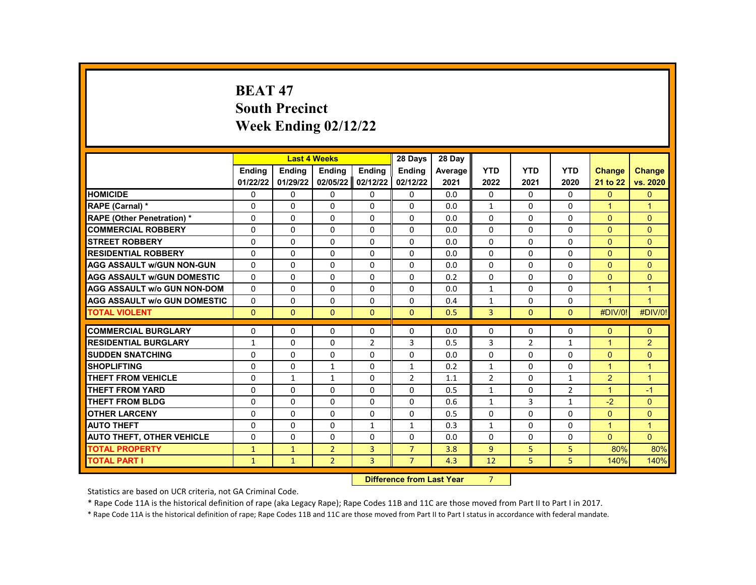# **BEAT 47 South Precinct Week Ending 02/12/22**

|                                     |               | <b>Last 4 Weeks</b> |                |                  | 28 Days                | 28 Day  |                          |                |              |                      |                |
|-------------------------------------|---------------|---------------------|----------------|------------------|------------------------|---------|--------------------------|----------------|--------------|----------------------|----------------|
|                                     | <b>Endina</b> | <b>Endina</b>       | <b>Ending</b>  | Ending           | <b>Endina</b>          | Average | <b>YTD</b>               | <b>YTD</b>     | <b>YTD</b>   | <b>Change</b>        | <b>Change</b>  |
|                                     | 01/22/22      | 01/29/22            | 02/05/22       | 02/12/22         | 02/12/22               | 2021    | 2022                     | 2021           | 2020         | 21 to 22             | vs. 2020       |
| <b>HOMICIDE</b>                     | 0             | 0                   | 0              | $\mathbf{0}$     | 0                      | 0.0     | 0                        | 0              | 0            | $\mathbf{0}$         | $\Omega$       |
| RAPE (Carnal) *                     | 0             | 0                   | 0              | $\Omega$         | $\Omega$               | 0.0     | $\mathbf{1}$             | $\Omega$       | $\Omega$     | $\blacktriangleleft$ | $\overline{1}$ |
| <b>RAPE (Other Penetration)*</b>    | $\Omega$      | $\Omega$            | $\Omega$       | $\Omega$         | $\Omega$               | 0.0     | $\Omega$                 | $\Omega$       | $\Omega$     | $\Omega$             | $\Omega$       |
| <b>COMMERCIAL ROBBERY</b>           | 0             | 0                   | 0              | 0                | 0                      | 0.0     | 0                        | 0              | 0            | $\mathbf{0}$         | $\mathbf{0}$   |
| <b>STREET ROBBERY</b>               | $\Omega$      | $\Omega$            | $\Omega$       | $\Omega$         | $\Omega$               | 0.0     | $\Omega$                 | $\Omega$       | $\Omega$     | $\Omega$             | $\Omega$       |
| <b>RESIDENTIAL ROBBERY</b>          | $\Omega$      | $\Omega$            | $\Omega$       | $\Omega$         | $\Omega$               | 0.0     | $\Omega$                 | $\Omega$       | $\Omega$     | $\Omega$             | $\Omega$       |
| <b>AGG ASSAULT w/GUN NON-GUN</b>    | $\Omega$      | $\Omega$            | 0              | $\Omega$         | $\Omega$               | 0.0     | $\Omega$                 | $\Omega$       | $\Omega$     | $\Omega$             | $\Omega$       |
| <b>AGG ASSAULT w/GUN DOMESTIC</b>   | $\Omega$      | $\Omega$            | $\Omega$       | $\Omega$         | $\Omega$               | 0.2     | $\Omega$                 | $\Omega$       | $\Omega$     | $\Omega$             | $\Omega$       |
| <b>AGG ASSAULT w/o GUN NON-DOM</b>  | $\Omega$      | $\Omega$            | $\Omega$       | $\Omega$         | $\Omega$               | 0.0     | $\mathbf{1}$             | $\Omega$       | $\Omega$     | $\overline{1}$       | $\overline{1}$ |
| <b>AGG ASSAULT w/o GUN DOMESTIC</b> | 0             | 0                   | 0              | 0                | 0                      | 0.4     | $\mathbf{1}$             | 0              | 0            | $\blacktriangleleft$ | $\overline{1}$ |
| <b>TOTAL VIOLENT</b>                | $\Omega$      | $\Omega$            | $\Omega$       | $\Omega$         | $\Omega$               | 0.5     | $\overline{3}$           | $\Omega$       | $\Omega$     | #DIV/0!              | #DIV/0!        |
|                                     |               |                     |                |                  |                        |         |                          |                |              |                      |                |
| <b>COMMERCIAL BURGLARY</b>          | 0             | 0                   | 0              | 0                | 0                      | 0.0     | 0                        | 0              | 0            | $\Omega$             | $\Omega$       |
| <b>RESIDENTIAL BURGLARY</b>         | 1             | 0                   | 0              | $\overline{2}$   | 3                      | 0.5     | 3                        | $\overline{2}$ | $\mathbf{1}$ | $\overline{1}$       | $\overline{2}$ |
| <b>SUDDEN SNATCHING</b>             | $\Omega$      | $\Omega$            | $\Omega$       | $\Omega$         | $\Omega$               | 0.0     | $\Omega$                 | $\Omega$       | $\Omega$     | $\Omega$             | $\Omega$       |
| <b>SHOPLIFTING</b>                  | 0             | $\Omega$            | $\mathbf{1}$   | $\Omega$         | 1                      | 0.2     | $\mathbf{1}$             | $\Omega$       | $\Omega$     | $\blacktriangleleft$ | $\overline{1}$ |
| <b>THEFT FROM VEHICLE</b>           | $\Omega$      | $\mathbf{1}$        | $\mathbf{1}$   | $\Omega$         | $\overline{2}$         | 1.1     | $\overline{2}$           | $\Omega$       | $\mathbf{1}$ | 2                    | $\overline{1}$ |
| <b>THEFT FROM YARD</b>              | $\Omega$      | $\Omega$            | $\Omega$       | $\Omega$         | $\Omega$               | 0.5     | $\mathbf{1}$             | $\Omega$       | 2            | $\overline{1}$       | $-1$           |
| <b>THEFT FROM BLDG</b>              | $\Omega$      | $\Omega$            | 0              | $\Omega$         | $\Omega$               | 0.6     | $\mathbf{1}$             | 3              | $\mathbf{1}$ | $-2$                 | $\Omega$       |
| <b>OTHER LARCENY</b>                | $\Omega$      | $\Omega$            | $\Omega$       | $\Omega$         | $\Omega$               | 0.5     | $\Omega$                 | $\Omega$       | $\Omega$     | $\Omega$             | $\Omega$       |
| <b>AUTO THEFT</b>                   | $\Omega$      | $\Omega$            | $\Omega$       | $\mathbf{1}$     | $\mathbf{1}$           | 0.3     | $\mathbf{1}$             | $\Omega$       | $\Omega$     | $\blacktriangleleft$ | $\overline{1}$ |
| <b>AUTO THEFT, OTHER VEHICLE</b>    | $\Omega$      | $\Omega$            | $\Omega$       | $\Omega$         | $\Omega$               | 0.0     | $\Omega$                 | 0              | 0            | $\Omega$             | $\Omega$       |
| <b>TOTAL PROPERTY</b>               | $\mathbf{1}$  | $\mathbf{1}$        | $\overline{2}$ | 3                | $\overline{7}$         | 3.8     | $\overline{9}$           | 5              | 5            | 80%                  | 80%            |
| <b>TOTAL PART I</b>                 | $\mathbf{1}$  | $\mathbf{1}$        | $\overline{2}$ | 3                | $\overline{7}$         | 4.3     | 12                       | 5              | 5            | 140%                 | 140%           |
|                                     |               |                     |                | <b>INSECTION</b> | a a dheann 1 anns Main |         | $\overline{\phantom{a}}$ |                |              |                      |                |

**Difference from Last Year** 7

Statistics are based on UCR criteria, not GA Criminal Code.

\* Rape Code 11A is the historical definition of rape (aka Legacy Rape); Rape Codes 11B and 11C are those moved from Part II to Part I in 2017.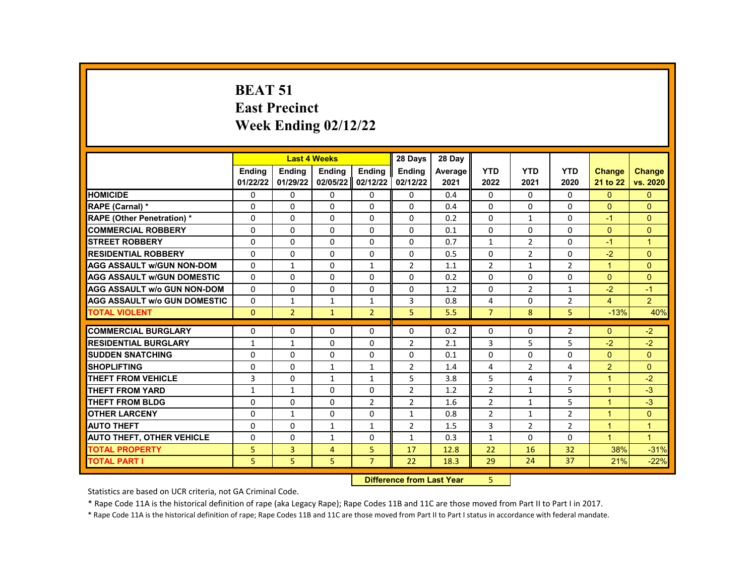#### **BEAT 51 East Precinct Week Ending 02/12/22**

|                                     |               | <b>Last 4 Weeks</b> |               |                   | 28 Days        | 28 Day  |                |                |                |               |                |
|-------------------------------------|---------------|---------------------|---------------|-------------------|----------------|---------|----------------|----------------|----------------|---------------|----------------|
|                                     | <b>Endina</b> | <b>Endina</b>       | <b>Endina</b> | <b>Endina</b>     | <b>Ending</b>  | Average | <b>YTD</b>     | <b>YTD</b>     | <b>YTD</b>     | <b>Change</b> | <b>Change</b>  |
|                                     | 01/22/22      | 01/29/22            | 02/05/22      | 02/12/22          | 02/12/22       | 2021    | 2022           | 2021           | 2020           | 21 to 22      | vs. 2020       |
| <b>HOMICIDE</b>                     | 0             | 0                   | 0             | 0                 | 0              | 0.4     | $\mathbf{0}$   | 0              | 0              | $\mathbf{0}$  | $\overline{0}$ |
| RAPE (Carnal) *                     | $\Omega$      | $\Omega$            | $\Omega$      | $\Omega$          | $\Omega$       | 0.4     | $\Omega$       | $\Omega$       | $\Omega$       | $\Omega$      | $\Omega$       |
| <b>RAPE (Other Penetration) *</b>   | $\Omega$      | $\Omega$            | $\Omega$      | $\Omega$          | $\Omega$       | 0.2     | $\Omega$       | $\mathbf{1}$   | $\Omega$       | $-1$          | $\Omega$       |
| <b>COMMERCIAL ROBBERY</b>           | $\Omega$      | $\Omega$            | 0             | $\Omega$          | $\Omega$       | 0.1     | $\Omega$       | $\Omega$       | $\Omega$       | $\Omega$      | $\Omega$       |
| <b>STREET ROBBERY</b>               | $\Omega$      | $\Omega$            | $\Omega$      | $\Omega$          | $\Omega$       | 0.7     | 1              | $\overline{2}$ | $\Omega$       | $-1$          | 1              |
| <b>RESIDENTIAL ROBBERY</b>          | $\Omega$      | $\Omega$            | $\Omega$      | $\Omega$          | $\Omega$       | 0.5     | $\Omega$       | $\overline{2}$ | $\Omega$       | $-2$          | $\Omega$       |
| <b>AGG ASSAULT w/GUN NON-DOM</b>    | $\Omega$      | $\mathbf{1}$        | 0             | $\mathbf{1}$      | $\overline{2}$ | 1.1     | $\overline{2}$ | $\mathbf{1}$   | $\overline{2}$ | $\mathbf{1}$  | $\Omega$       |
| <b>AGG ASSAULT w/GUN DOMESTIC</b>   | $\Omega$      | $\Omega$            | 0             | $\Omega$          | 0              | 0.2     | $\Omega$       | 0              | 0              | $\Omega$      | $\Omega$       |
| <b>AGG ASSAULT w/o GUN NON-DOM</b>  | $\Omega$      | 0                   | 0             | 0                 | $\Omega$       | 1.2     | $\Omega$       | $\overline{2}$ | $\mathbf{1}$   | $-2$          | $-1$           |
| <b>AGG ASSAULT W/o GUN DOMESTIC</b> | $\Omega$      | $\mathbf{1}$        | $\mathbf{1}$  | $\mathbf{1}$      | 3              | 0.8     | 4              | $\Omega$       | $\overline{2}$ | 4             | $\overline{2}$ |
| <b>TOTAL VIOLENT</b>                | $\Omega$      | $\overline{2}$      | $\mathbf{1}$  | $\overline{2}$    | 5              | 5.5     | $\overline{7}$ | 8              | 5              | $-13%$        | 40%            |
|                                     |               |                     |               |                   |                |         |                |                |                |               |                |
| <b>COMMERCIAL BURGLARY</b>          | 0             | 0                   | 0             | 0                 | 0              | 0.2     | 0              | 0              | 2              | $\Omega$      | $-2$           |
| <b>RESIDENTIAL BURGLARY</b>         | $\mathbf{1}$  | $\mathbf{1}$        | 0             | 0                 | $\overline{2}$ | 2.1     | 3              | 5              | 5              | $-2$          | $-2$           |
| <b>SUDDEN SNATCHING</b>             | $\Omega$      | $\Omega$            | $\Omega$      | $\Omega$          | $\Omega$       | 0.1     | $\Omega$       | $\Omega$       | $\Omega$       | $\Omega$      | $\Omega$       |
| <b>SHOPLIFTING</b>                  | 0             | 0                   | $\mathbf{1}$  | $\mathbf{1}$      | $\overline{2}$ | 1.4     | 4              | $\overline{2}$ | 4              | 2             | $\mathbf{0}$   |
| THEFT FROM VEHICLE                  | 3             | $\Omega$            | $\mathbf{1}$  | $\mathbf{1}$      | 5              | 3.8     | 5              | 4              | $\overline{7}$ | $\mathbf{1}$  | $-2$           |
| <b>THEFT FROM YARD</b>              | $\mathbf{1}$  | $\mathbf{1}$        | $\Omega$      | $\Omega$          | $\overline{2}$ | 1.2     | $\overline{2}$ | $\mathbf{1}$   | 5              | $\mathbf{1}$  | $-3$           |
| <b>THEFT FROM BLDG</b>              | $\Omega$      | $\Omega$            | $\Omega$      | $\overline{2}$    | $\overline{2}$ | 1.6     | $\overline{2}$ | $\mathbf{1}$   | 5              | $\mathbf{1}$  | $-3$           |
| <b>OTHER LARCENY</b>                | $\Omega$      | $\mathbf{1}$        | 0             | $\Omega$          | $\mathbf{1}$   | 0.8     | $\overline{2}$ | $\mathbf{1}$   | $\overline{2}$ | $\mathbf{1}$  | $\Omega$       |
| <b>AUTO THEFT</b>                   | $\Omega$      | $\Omega$            | $\mathbf{1}$  | $\mathbf{1}$      | $\overline{2}$ | 1.5     | 3              | $\overline{2}$ | $\overline{2}$ | $\mathbf{1}$  | $\mathbf{1}$   |
| <b>AUTO THEFT, OTHER VEHICLE</b>    | $\Omega$      | $\Omega$            | $\mathbf{1}$  | $\Omega$          | $\mathbf{1}$   | 0.3     | $\mathbf{1}$   | $\Omega$       | 0              | $\mathbf{1}$  | $\mathbf{1}$   |
| <b>TOTAL PROPERTY</b>               | 5             | 3                   | 4             | 5                 | 17             | 12.8    | 22             | 16             | 32             | 38%           | $-31%$         |
| <b>TOTAL PART I</b>                 | 5             | 5                   | 5             | $\overline{7}$    | 22             | 18.3    | 29             | 24             | 37             | 21%           | $-22%$         |
|                                     |               |                     |               | <b>STATISTICS</b> |                |         |                |                |                |               |                |

#### **Difference from Last Year** 5 |

Statistics are based on UCR criteria, not GA Criminal Code.

\* Rape Code 11A is the historical definition of rape (aka Legacy Rape); Rape Codes 11B and 11C are those moved from Part II to Part I in 2017.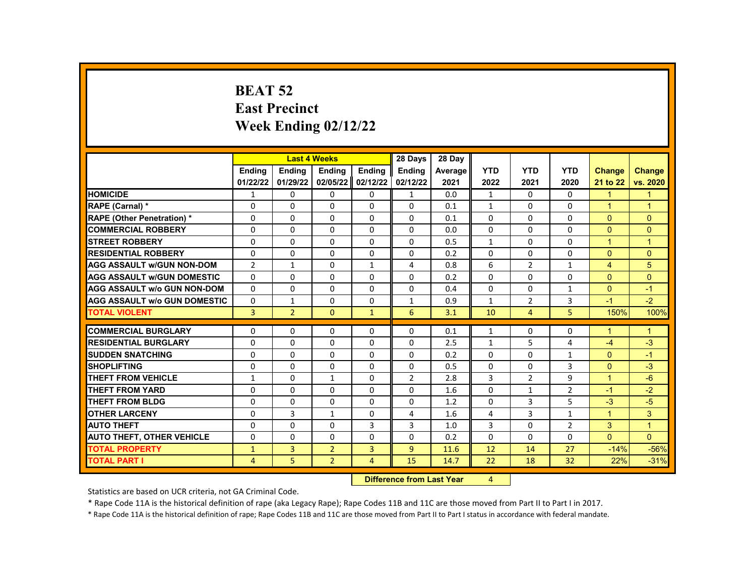# **BEAT 52 East Precinct Week Ending 02/12/22**

|                                     |                | <b>Last 4 Weeks</b> |                |               | 28 Days                                                                                                                                                                                                                        | 28 Day  |                |                |                |                |                      |
|-------------------------------------|----------------|---------------------|----------------|---------------|--------------------------------------------------------------------------------------------------------------------------------------------------------------------------------------------------------------------------------|---------|----------------|----------------|----------------|----------------|----------------------|
|                                     | <b>Endina</b>  | <b>Endina</b>       | <b>Endina</b>  | <b>Endina</b> | <b>Endina</b>                                                                                                                                                                                                                  | Average | <b>YTD</b>     | <b>YTD</b>     | <b>YTD</b>     | <b>Change</b>  | <b>Change</b>        |
|                                     | 01/22/22       | 01/29/22            | 02/05/22       | 02/12/22      | 02/12/22                                                                                                                                                                                                                       | 2021    | 2022           | 2021           | 2020           | 21 to 22       | vs. 2020             |
| <b>HOMICIDE</b>                     | 1              | 0                   | 0              | 0             | $\mathbf{1}$                                                                                                                                                                                                                   | 0.0     | $\mathbf{1}$   | 0              | 0              | $\mathbf{1}$   | 1                    |
| RAPE (Carnal) *                     | $\Omega$       | $\Omega$            | $\Omega$       | 0             | $\Omega$                                                                                                                                                                                                                       | 0.1     | $\mathbf{1}$   | $\Omega$       | $\Omega$       | $\mathbf{1}$   | $\mathbf{1}$         |
| <b>RAPE (Other Penetration) *</b>   | 0              | $\Omega$            | $\Omega$       | $\Omega$      | $\Omega$                                                                                                                                                                                                                       | 0.1     | $\Omega$       | $\mathbf{0}$   | $\Omega$       | $\Omega$       | $\Omega$             |
| <b>COMMERCIAL ROBBERY</b>           | 0              | $\Omega$            | $\Omega$       | $\Omega$      | $\Omega$                                                                                                                                                                                                                       | 0.0     | $\Omega$       | $\Omega$       | $\Omega$       | $\Omega$       | $\Omega$             |
| <b>STREET ROBBERY</b>               | 0              | $\Omega$            | $\Omega$       | 0             | 0                                                                                                                                                                                                                              | 0.5     | $\mathbf{1}$   | $\Omega$       | $\Omega$       | $\mathbf{1}$   | $\blacktriangleleft$ |
| <b>RESIDENTIAL ROBBERY</b>          | $\Omega$       | $\Omega$            | $\Omega$       | $\Omega$      | $\Omega$                                                                                                                                                                                                                       | 0.2     | $\Omega$       | $\mathbf{0}$   | $\Omega$       | $\Omega$       | $\Omega$             |
| <b>AGG ASSAULT w/GUN NON-DOM</b>    | $\overline{2}$ | 1                   | 0              | 1             | 4                                                                                                                                                                                                                              | 0.8     | 6              | $\overline{2}$ | 1              | $\overline{4}$ | 5                    |
| <b>AGG ASSAULT w/GUN DOMESTIC</b>   | 0              | $\Omega$            | 0              | 0             | $\Omega$                                                                                                                                                                                                                       | 0.2     | $\Omega$       | $\Omega$       | $\Omega$       | $\Omega$       | $\Omega$             |
| <b>AGG ASSAULT w/o GUN NON-DOM</b>  | $\Omega$       | $\Omega$            | $\Omega$       | $\Omega$      | $\Omega$                                                                                                                                                                                                                       | 0.4     | $\Omega$       | $\Omega$       | $\mathbf{1}$   | $\Omega$       | $-1$                 |
| <b>AGG ASSAULT w/o GUN DOMESTIC</b> | $\Omega$       | $\mathbf{1}$        | 0              | 0             | $\mathbf{1}$                                                                                                                                                                                                                   | 0.9     | $\mathbf{1}$   | $\overline{2}$ | 3              | $-1$           | $-2$                 |
| <b>TOTAL VIOLENT</b>                | 3              | $\overline{2}$      | $\mathbf{0}$   | $\mathbf{1}$  | 6                                                                                                                                                                                                                              | 3.1     | 10             | 4              | 5              | 150%           | 100%                 |
|                                     |                |                     |                |               |                                                                                                                                                                                                                                |         |                |                |                |                |                      |
| <b>COMMERCIAL BURGLARY</b>          | 0              | $\Omega$            | 0              | 0             | $\Omega$                                                                                                                                                                                                                       | 0.1     | $\mathbf{1}$   | 0              | 0              | 1              | $\mathbf{1}$         |
| <b>RESIDENTIAL BURGLARY</b>         | $\Omega$       | $\Omega$            | $\Omega$       | $\Omega$      | $\Omega$                                                                                                                                                                                                                       | 2.5     | $\mathbf{1}$   | 5              | 4              | $-4$           | $-3$                 |
| <b>SUDDEN SNATCHING</b>             | 0              | $\Omega$            | $\Omega$       | $\Omega$      | $\Omega$                                                                                                                                                                                                                       | 0.2     | $\Omega$       | $\Omega$       | $\mathbf{1}$   | $\Omega$       | $-1$                 |
| <b>SHOPLIFTING</b>                  | 0              | 0                   | $\Omega$       | 0             | 0                                                                                                                                                                                                                              | 0.5     | $\mathbf{0}$   | 0              | 3              | $\Omega$       | $-3$                 |
| <b>THEFT FROM VEHICLE</b>           | 1              | 0                   | $\mathbf{1}$   | 0             | $\overline{2}$                                                                                                                                                                                                                 | 2.8     | 3              | $\overline{2}$ | 9              | $\mathbf{1}$   | $-6$                 |
| <b>THEFT FROM YARD</b>              | 0              | $\Omega$            | $\Omega$       | $\Omega$      | $\Omega$                                                                                                                                                                                                                       | 1.6     | $\Omega$       | $\mathbf{1}$   | $\overline{2}$ | $-1$           | $-2$                 |
| <b>THEFT FROM BLDG</b>              | 0              | $\Omega$            | $\Omega$       | $\Omega$      | $\Omega$                                                                                                                                                                                                                       | 1.2     | $\Omega$       | 3              | 5              | $-3$           | $-5$                 |
| <b>OTHER LARCENY</b>                | 0              | 3                   | $\mathbf{1}$   | $\Omega$      | $\overline{4}$                                                                                                                                                                                                                 | 1.6     | 4              | 3              | $\mathbf{1}$   | $\mathbf{1}$   | 3                    |
| <b>AUTO THEFT</b>                   | $\Omega$       | $\Omega$            | $\Omega$       | 3             | 3                                                                                                                                                                                                                              | 1.0     | 3              | $\Omega$       | $\overline{2}$ | 3              | $\overline{1}$       |
| <b>AUTO THEFT, OTHER VEHICLE</b>    | 0              | 0                   | 0              | 0             | $\Omega$                                                                                                                                                                                                                       | 0.2     | 0              | 0              | $\Omega$       | $\overline{0}$ | $\Omega$             |
| <b>TOTAL PROPERTY</b>               | $\mathbf{1}$   | 3                   | $\overline{2}$ | 3             | 9                                                                                                                                                                                                                              | 11.6    | 12             | 14             | 27             | $-14%$         | $-56%$               |
| <b>TOTAL PART I</b>                 | 4              | 5                   | $\overline{2}$ | 4             | 15                                                                                                                                                                                                                             | 14.7    | 22             | 18             | 32             | 22%            | $-31%$               |
|                                     |                |                     |                | <b>PARKER</b> | and the company of the second states of the second states of the second states of the second states of the second states of the second states of the second states of the second states of the second states of the second sta |         | $\blacksquare$ |                |                |                |                      |

**Difference from Last Year** 4

Statistics are based on UCR criteria, not GA Criminal Code.

\* Rape Code 11A is the historical definition of rape (aka Legacy Rape); Rape Codes 11B and 11C are those moved from Part II to Part I in 2017.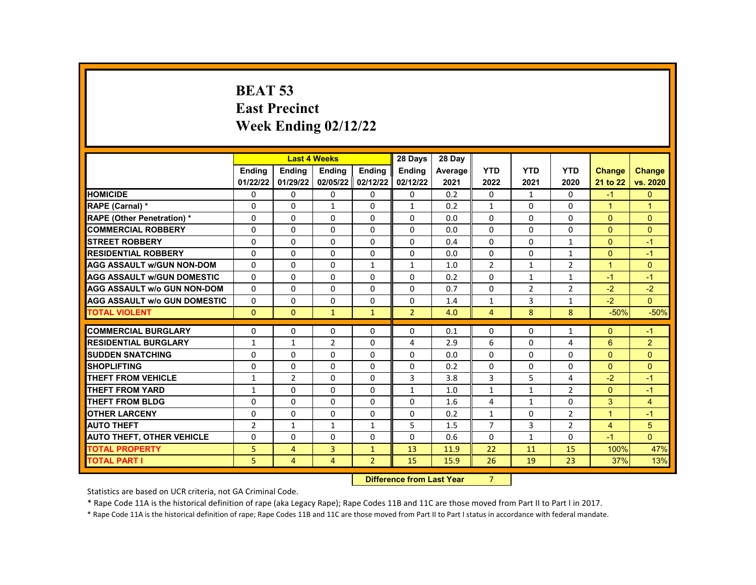# **BEAT 53 East Precinct Week Ending 02/12/22**

|                                     |                |                | <b>Last 4 Weeks</b> |                | 28 Days        | 28 Dav  |                |                |                |                      |                |
|-------------------------------------|----------------|----------------|---------------------|----------------|----------------|---------|----------------|----------------|----------------|----------------------|----------------|
|                                     | Ending         | <b>Ending</b>  | Ending              | Ending         | <b>Ending</b>  | Average | <b>YTD</b>     | <b>YTD</b>     | <b>YTD</b>     | <b>Change</b>        | <b>Change</b>  |
|                                     | 01/22/22       | 01/29/22       | 02/05/22            | 02/12/22       | 02/12/22       | 2021    | 2022           | 2021           | 2020           | 21 to 22             | vs. 2020       |
| <b>HOMICIDE</b>                     | 0              | 0              | 0                   | $\Omega$       | 0              | 0.2     | $\mathbf{0}$   | $\mathbf{1}$   | 0              | $-1$                 | $\mathbf{0}$   |
| RAPE (Carnal) *                     | $\Omega$       | $\Omega$       | $\mathbf{1}$        | $\mathbf{0}$   | $\mathbf{1}$   | 0.2     | $\mathbf{1}$   | $\Omega$       | $\Omega$       | $\blacktriangleleft$ | $\overline{1}$ |
| <b>RAPE (Other Penetration) *</b>   | $\Omega$       | $\Omega$       | $\Omega$            | $\Omega$       | $\Omega$       | 0.0     | $\Omega$       | $\Omega$       | $\Omega$       | $\Omega$             | $\mathbf{0}$   |
| <b>COMMERCIAL ROBBERY</b>           | 0              | 0              | $\Omega$            | $\Omega$       | $\mathbf{0}$   | 0.0     | $\Omega$       | 0              | 0              | $\mathbf{0}$         | $\mathbf{0}$   |
| <b>STREET ROBBERY</b>               | $\Omega$       | $\Omega$       | $\Omega$            | $\Omega$       | $\Omega$       | 0.4     | $\Omega$       | $\Omega$       | $\mathbf{1}$   | $\Omega$             | $-1$           |
| <b>RESIDENTIAL ROBBERY</b>          | $\Omega$       | $\Omega$       | $\Omega$            | $\Omega$       | $\Omega$       | 0.0     | $\Omega$       | $\Omega$       | $\mathbf{1}$   | $\Omega$             | $-1$           |
| <b>AGG ASSAULT W/GUN NON-DOM</b>    | 0              | $\Omega$       | $\Omega$            | $\mathbf{1}$   | $\mathbf{1}$   | 1.0     | $\overline{2}$ | $\mathbf{1}$   | 2              | $\overline{1}$       | $\mathbf{0}$   |
| <b>AGG ASSAULT W/GUN DOMESTIC</b>   | 0              | $\Omega$       | $\Omega$            | $\Omega$       | $\Omega$       | 0.2     | $\Omega$       | $\mathbf{1}$   | $\mathbf{1}$   | $-1$                 | $-1$           |
| <b>AGG ASSAULT W/o GUN NON-DOM</b>  | $\Omega$       | $\Omega$       | $\Omega$            | $\Omega$       | $\Omega$       | 0.7     | $\Omega$       | $\overline{2}$ | $\overline{2}$ | $-2$                 | $-2$           |
| <b>AGG ASSAULT W/o GUN DOMESTIC</b> | 0              | $\Omega$       | $\Omega$            | $\mathbf 0$    | 0              | 1.4     | $\mathbf{1}$   | 3              | $\mathbf{1}$   | $-2$                 | $\overline{0}$ |
| <b>TOTAL VIOLENT</b>                | $\Omega$       | $\Omega$       | $\mathbf{1}$        | $\mathbf{1}$   | $\overline{2}$ | 4.0     | $\overline{4}$ | 8              | 8              | $-50%$               | $-50%$         |
|                                     |                |                |                     |                |                |         |                |                |                |                      |                |
| <b>COMMERCIAL BURGLARY</b>          | 0              | $\Omega$       | 0                   | $\Omega$       | $\mathbf{0}$   | 0.1     | $\mathbf{0}$   | 0              | $\mathbf{1}$   | $\Omega$             | $-1$           |
| <b>RESIDENTIAL BURGLARY</b>         | $\mathbf{1}$   | 1              | $\overline{2}$      | $\Omega$       | 4              | 2.9     | 6              | $\Omega$       | 4              | 6                    | $\overline{2}$ |
| <b>SUDDEN SNATCHING</b>             | $\Omega$       | $\Omega$       | $\Omega$            | $\mathbf{0}$   | $\Omega$       | 0.0     | $\Omega$       | $\Omega$       | $\Omega$       | $\Omega$             | $\Omega$       |
| <b>SHOPLIFTING</b>                  | 0              | 0              | 0                   | $\Omega$       | $\mathbf{0}$   | 0.2     | $\mathbf{0}$   | 0              | 0              | $\mathbf{0}$         | $\Omega$       |
| <b>THEFT FROM VEHICLE</b>           | $\mathbf{1}$   | $\overline{2}$ | $\Omega$            | $\mathbf{0}$   | 3              | 3.8     | $\mathbf{3}$   | 5              | 4              | $-2$                 | $-1$           |
| THEFT FROM YARD                     | $\mathbf{1}$   | $\Omega$       | $\Omega$            | $\Omega$       | $\mathbf{1}$   | 1.0     | $\mathbf{1}$   | $\mathbf{1}$   | 2              | $\Omega$             | $-1$           |
| THEFT FROM BLDG                     | 0              | $\Omega$       | $\Omega$            | $\Omega$       | $\mathbf{0}$   | 1.6     | 4              | $\mathbf{1}$   | $\Omega$       | 3                    | $\overline{4}$ |
| <b>OTHER LARCENY</b>                | $\Omega$       | $\Omega$       | $\Omega$            | $\Omega$       | $\Omega$       | 0.2     | $\mathbf{1}$   | $\Omega$       | 2              | $\overline{1}$       | $-1$           |
| <b>AUTO THEFT</b>                   | $\overline{2}$ | $\mathbf{1}$   | $\mathbf{1}$        | $\mathbf{1}$   | 5              | 1.5     | $\overline{7}$ | 3              | 2              | $\overline{4}$       | 5              |
| <b>AUTO THEFT, OTHER VEHICLE</b>    | 0              | 0              | 0                   | $\Omega$       | $\mathbf{0}$   | 0.6     | $\mathbf{0}$   | $\mathbf{1}$   | 0              | $-1$                 | $\Omega$       |
| <b>TOTAL PROPERTY</b>               | 5              | 4              | $\overline{3}$      | $\mathbf{1}$   | 13             | 11.9    | 22             | 11             | 15             | 100%                 | 47%            |
| <b>TOTAL PART I</b>                 | 5.             | $\overline{4}$ | $\overline{4}$      | $\overline{2}$ | 15             | 15.9    | 26             | 19             | 23             | 37%                  | 13%            |
|                                     |                | <b>INSECT</b>  |                     |                |                |         |                |                |                |                      |                |

**Difference from Last Year** 7

Statistics are based on UCR criteria, not GA Criminal Code.

\* Rape Code 11A is the historical definition of rape (aka Legacy Rape); Rape Codes 11B and 11C are those moved from Part II to Part I in 2017.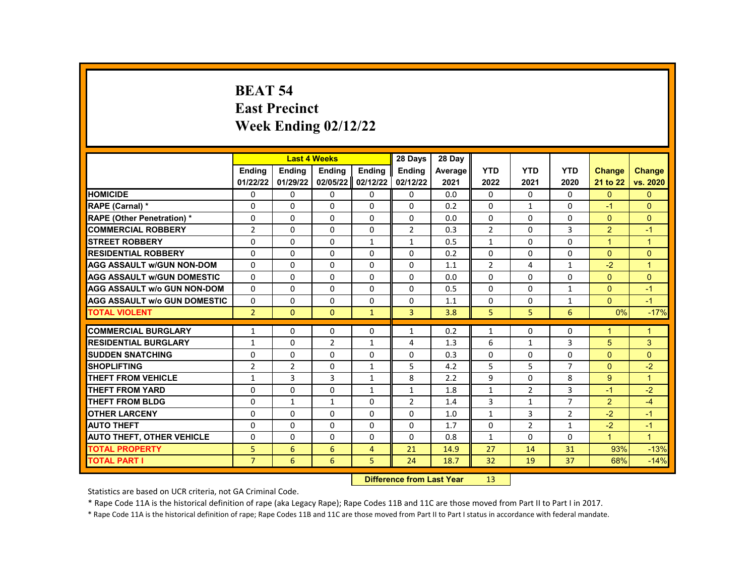# **BEAT 54 East Precinct Week Ending 02/12/22**

|                                     |                | <b>Last 4 Weeks</b> |                |                | 28 Days                   | 28 Day  |                 |                |                |                |                      |
|-------------------------------------|----------------|---------------------|----------------|----------------|---------------------------|---------|-----------------|----------------|----------------|----------------|----------------------|
|                                     | <b>Endina</b>  | <b>Ending</b>       | Ending         | Ending         | Ending                    | Average | <b>YTD</b>      | <b>YTD</b>     | <b>YTD</b>     | <b>Change</b>  | <b>Change</b>        |
|                                     | 01/22/22       | 01/29/22            | 02/05/22       | 02/12/22       | 02/12/22                  | 2021    | 2022            | 2021           | 2020           | 21 to 22       | vs. 2020             |
| <b>HOMICIDE</b>                     | 0              | 0                   | 0              | 0              | 0                         | 0.0     | $\mathbf{0}$    | $\Omega$       | 0              | $\mathbf{0}$   | $\mathbf{0}$         |
| RAPE (Carnal) *                     | 0              | 0                   | $\Omega$       | 0              | $\Omega$                  | 0.2     | $\Omega$        | $\mathbf{1}$   | $\Omega$       | $-1$           | $\Omega$             |
| <b>RAPE (Other Penetration) *</b>   | 0              | $\Omega$            | $\Omega$       | $\Omega$       | $\Omega$                  | 0.0     | $\Omega$        | $\Omega$       | $\Omega$       | $\Omega$       | $\Omega$             |
| <b>COMMERCIAL ROBBERY</b>           | $\overline{2}$ | $\Omega$            | $\Omega$       | $\Omega$       | $\overline{2}$            | 0.3     | $\overline{2}$  | $\Omega$       | 3              | $\overline{2}$ | $-1$                 |
| <b>STREET ROBBERY</b>               | 0              | $\Omega$            | 0              | $\mathbf{1}$   | $\mathbf{1}$              | 0.5     | $\mathbf{1}$    | $\Omega$       | $\Omega$       | $\mathbf{1}$   | $\blacktriangleleft$ |
| <b>RESIDENTIAL ROBBERY</b>          | $\Omega$       | $\Omega$            | $\Omega$       | $\Omega$       | $\Omega$                  | 0.2     | $\Omega$        | $\Omega$       | $\Omega$       | $\Omega$       | $\Omega$             |
| <b>AGG ASSAULT w/GUN NON-DOM</b>    | $\Omega$       | 0                   | 0              | 0              | 0                         | 1.1     | $\overline{2}$  | 4              | $\mathbf{1}$   | $-2$           | $\mathbf{1}$         |
| <b>AGG ASSAULT w/GUN DOMESTIC</b>   | 0              | 0                   | 0              | 0              | $\Omega$                  | 0.0     | $\Omega$        | 0              | 0              | $\mathbf{0}$   | $\Omega$             |
| <b>AGG ASSAULT w/o GUN NON-DOM</b>  | $\Omega$       | $\Omega$            | $\Omega$       | $\Omega$       | $\Omega$                  | 0.5     | $\Omega$        | $\Omega$       | $\mathbf{1}$   | $\Omega$       | $-1$                 |
| <b>AGG ASSAULT w/o GUN DOMESTIC</b> | $\Omega$       | $\Omega$            | 0              | $\Omega$       | 0                         | 1.1     | $\Omega$        | $\mathbf{0}$   | $\mathbf{1}$   | $\Omega$       | $-1$                 |
| <b>TOTAL VIOLENT</b>                | $\overline{2}$ | $\mathbf{0}$        | $\mathbf{0}$   | $\mathbf{1}$   | $\overline{3}$            | 3.8     | 5               | 5              | 6              | 0%             | $-17%$               |
|                                     |                |                     |                |                |                           |         |                 |                |                |                |                      |
| <b>COMMERCIAL BURGLARY</b>          | 1              | 0                   | 0              | 0              | $\mathbf{1}$              | 0.2     | $\mathbf{1}$    | 0              | 0              | 1              | 1                    |
| <b>RESIDENTIAL BURGLARY</b>         | 1              | 0                   | $\overline{2}$ | $\mathbf{1}$   | 4                         | 1.3     | 6               | $\mathbf{1}$   | 3              | 5              | 3                    |
| <b>SUDDEN SNATCHING</b>             | 0              | 0                   | $\Omega$       | 0              | $\Omega$                  | 0.3     | $\Omega$        | $\Omega$       | $\Omega$       | $\Omega$       | $\Omega$             |
| <b>SHOPLIFTING</b>                  | $\overline{2}$ | $\overline{2}$      | 0              | $\mathbf{1}$   | 5                         | 4.2     | 5               | 5              | $\overline{7}$ | $\mathbf{0}$   | $-2$                 |
| <b>THEFT FROM VEHICLE</b>           | $\mathbf{1}$   | 3                   | 3              | $\mathbf{1}$   | 8                         | 2.2     | 9               | $\Omega$       | 8              | 9              | $\mathbf{1}$         |
| <b>THEFT FROM YARD</b>              | 0              | $\Omega$            | $\Omega$       | $\mathbf{1}$   | $\mathbf{1}$              | 1.8     | $\mathbf{1}$    | $\overline{2}$ | 3              | $-1$           | $-2$                 |
| <b>THEFT FROM BLDG</b>              | 0              | $\mathbf{1}$        | $\mathbf{1}$   | $\Omega$       | $\overline{2}$            | 1.4     | 3               | $\mathbf{1}$   | $\overline{7}$ | $\overline{2}$ | $-4$                 |
| <b>OTHER LARCENY</b>                | $\Omega$       | $\Omega$            | $\Omega$       | $\Omega$       | $\Omega$                  | 1.0     | $\mathbf{1}$    | 3              | $\overline{2}$ | $-2$           | $-1$                 |
| <b>AUTO THEFT</b>                   | 0              | 0                   | $\Omega$       | 0              | $\Omega$                  | 1.7     | $\Omega$        | $\overline{2}$ | $\mathbf{1}$   | $-2$           | $-1$                 |
| <b>AUTO THEFT, OTHER VEHICLE</b>    | 0              | 0                   | 0              | $\Omega$       | $\Omega$                  | 0.8     | $\mathbf{1}$    | $\mathbf{0}$   | $\Omega$       | $\mathbf{1}$   | $\mathbf{1}$         |
| <b>TOTAL PROPERTY</b>               | 5              | 6                   | 6              | $\overline{4}$ | 21                        | 14.9    | 27              | 14             | 31             | 93%            | $-13%$               |
| <b>TOTAL PART I</b>                 | $\overline{7}$ | 6                   | 6              | 5              | 24                        | 18.7    | 32              | 19             | 37             | 68%            | $-14%$               |
|                                     |                |                     |                |                | Difference from Loot Voor |         | 12 <sub>1</sub> |                |                |                |                      |

**Difference from Last Year** 13

Statistics are based on UCR criteria, not GA Criminal Code.

\* Rape Code 11A is the historical definition of rape (aka Legacy Rape); Rape Codes 11B and 11C are those moved from Part II to Part I in 2017.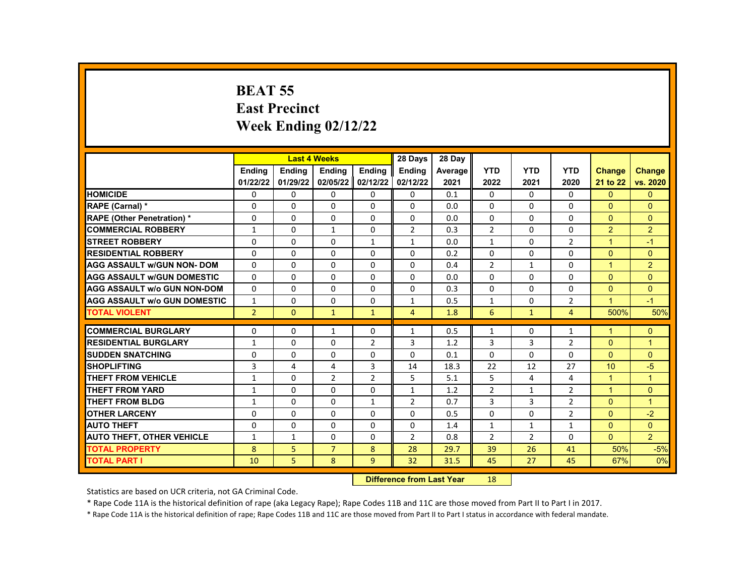# **BEAT 55 East Precinct Week Ending 02/12/22**

|                                     |                 |                                         | <b>Last 4 Weeks</b> |                | 28 Days        | 28 Day  |                |                |                |                      |                |
|-------------------------------------|-----------------|-----------------------------------------|---------------------|----------------|----------------|---------|----------------|----------------|----------------|----------------------|----------------|
|                                     | <b>Endina</b>   | <b>Endina</b>                           | Ending              | <b>Endina</b>  | <b>Ending</b>  | Average | <b>YTD</b>     | <b>YTD</b>     | <b>YTD</b>     | <b>Change</b>        | <b>Change</b>  |
|                                     | 01/22/22        | 01/29/22                                | 02/05/22            | 02/12/22       | 02/12/22       | 2021    | 2022           | 2021           | 2020           | 21 to 22             | vs. 2020       |
| <b>HOMICIDE</b>                     | 0               | $\Omega$                                | $\Omega$            | 0              | $\Omega$       | 0.1     | $\Omega$       | $\Omega$       | $\Omega$       | $\Omega$             | $\mathbf{0}$   |
| RAPE (Carnal) *                     | 0               | $\Omega$                                | $\Omega$            | $\Omega$       | $\Omega$       | 0.0     | $\Omega$       | $\Omega$       | $\Omega$       | $\Omega$             | $\Omega$       |
| <b>RAPE (Other Penetration) *</b>   | 0               | $\Omega$                                | $\Omega$            | 0              | $\Omega$       | 0.0     | $\Omega$       | $\Omega$       | $\Omega$       | $\Omega$             | $\Omega$       |
| <b>COMMERCIAL ROBBERY</b>           | $\mathbf{1}$    | 0                                       | $\mathbf{1}$        | 0              | $\overline{2}$ | 0.3     | $\overline{2}$ | $\Omega$       | $\Omega$       | 2                    | 2              |
| <b>STREET ROBBERY</b>               | 0               | 0                                       | $\Omega$            | $\mathbf{1}$   | $\mathbf{1}$   | 0.0     | $\mathbf{1}$   | $\Omega$       | $\overline{2}$ | $\blacktriangleleft$ | $-1$           |
| <b>RESIDENTIAL ROBBERY</b>          | 0               | $\Omega$                                | $\Omega$            | $\Omega$       | $\Omega$       | 0.2     | $\Omega$       | $\Omega$       | $\Omega$       | $\Omega$             | $\Omega$       |
| <b>AGG ASSAULT w/GUN NON- DOM</b>   | $\Omega$        | $\Omega$                                | $\Omega$            | 0              | 0              | 0.4     | $\overline{2}$ | $\mathbf{1}$   | $\Omega$       | $\blacksquare$       | $\overline{2}$ |
| <b>AGG ASSAULT W/GUN DOMESTIC</b>   | 0               | $\Omega$                                | $\Omega$            | $\Omega$       | 0              | 0.0     | $\Omega$       | $\Omega$       | $\Omega$       | $\Omega$             | $\mathbf{0}$   |
| <b>AGG ASSAULT W/o GUN NON-DOM</b>  | 0               | $\Omega$                                | $\Omega$            | $\Omega$       | 0              | 0.3     | $\Omega$       | $\Omega$       | $\Omega$       | $\Omega$             | $\Omega$       |
| <b>AGG ASSAULT W/o GUN DOMESTIC</b> | $\mathbf{1}$    | $\Omega$                                | $\Omega$            | 0              | $\mathbf{1}$   | 0.5     | $\mathbf{1}$   | $\Omega$       | 2              | $\mathbf{1}$         | $-1$           |
| <b>TOTAL VIOLENT</b>                | $\overline{2}$  | $\overline{0}$                          | $\mathbf{1}$        | $\mathbf{1}$   | $\overline{4}$ | 1.8     | 6              | $\mathbf{1}$   | $\overline{4}$ | 500%                 | 50%            |
|                                     |                 |                                         |                     |                |                |         |                |                |                | $\blacktriangleleft$ |                |
| <b>COMMERCIAL BURGLARY</b>          | 0               | 0                                       | $\mathbf{1}$        | 0              | $\mathbf{1}$   | 0.5     | $\mathbf{1}$   | $\Omega$       | 1              |                      | $\mathbf{0}$   |
| <b>RESIDENTIAL BURGLARY</b>         | 1               | $\Omega$                                | $\Omega$            | $\overline{2}$ | 3              | 1.2     | 3              | 3              | $\overline{2}$ | $\Omega$             | $\overline{1}$ |
| <b>SUDDEN SNATCHING</b>             | $\Omega$        | $\Omega$                                | $\Omega$            | $\Omega$       | $\Omega$       | 0.1     | $\Omega$       | $\Omega$       | $\Omega$       | $\Omega$             | $\Omega$       |
| <b>SHOPLIFTING</b>                  | 3               | 4                                       | 4                   | 3              | 14             | 18.3    | 22             | 12             | 27             | 10 <sup>10</sup>     | $-5$           |
| <b>THEFT FROM VEHICLE</b>           | $\mathbf{1}$    | $\Omega$                                | $\overline{2}$      | $2^{\circ}$    | 5              | 5.1     | 5              | 4              | 4              | $\blacktriangleleft$ | $\overline{1}$ |
| <b>THEFT FROM YARD</b>              | $\mathbf{1}$    | $\Omega$                                | $\Omega$            | $\Omega$       | $\mathbf{1}$   | 1.2     | $\overline{2}$ | $\mathbf{1}$   | $\overline{2}$ | $\blacktriangleleft$ | $\Omega$       |
| <b>THEFT FROM BLDG</b>              | 1               | $\Omega$                                | $\Omega$            | $\mathbf{1}$   | $\overline{2}$ | 0.7     | 3              | 3              | $\overline{2}$ | $\Omega$             | $\mathbf{1}$   |
| <b>OTHER LARCENY</b>                | 0               | $\Omega$                                | $\Omega$            | $\Omega$       | $\Omega$       | 0.5     | $\Omega$       | $\Omega$       | $\overline{2}$ | $\Omega$             | $-2$           |
| <b>AUTO THEFT</b>                   | $\Omega$        | $\Omega$                                | $\Omega$            | $\Omega$       | $\Omega$       | 1.4     | $\mathbf{1}$   | $\mathbf{1}$   | $\mathbf{1}$   | $\Omega$             | $\Omega$       |
| <b>AUTO THEFT, OTHER VEHICLE</b>    | $\mathbf{1}$    | $\mathbf{1}$                            | $\Omega$            | 0              | $\overline{2}$ | 0.8     | $\overline{2}$ | $\overline{2}$ | $\Omega$       | $\mathbf{0}$         | $\overline{2}$ |
| <b>TOTAL PROPERTY</b>               | 8               | 5                                       | $\overline{7}$      | 8              | 28             | 29.7    | 39             | 26             | 41             | 50%                  | $-5%$          |
| <b>TOTAL PART I</b>                 | 10              | 5                                       | 8                   | 9              | 32             | 31.5    | 45             | 27             | 45             | 67%                  | 0%             |
|                                     | <b>CALLED A</b> | and the company of the second states of |                     | $\sim$         |                |         |                |                |                |                      |                |

**Difference from Last Year** 18

Statistics are based on UCR criteria, not GA Criminal Code.

\* Rape Code 11A is the historical definition of rape (aka Legacy Rape); Rape Codes 11B and 11C are those moved from Part II to Part I in 2017.